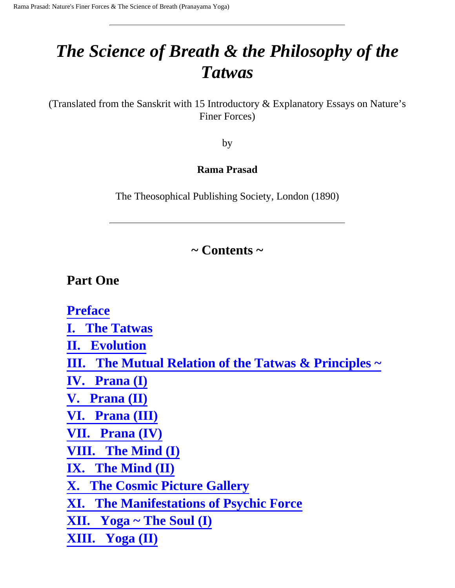# *The Science of Breath & the Philosophy of the Tatwas*

(Translated from the Sanskrit with 15 Introductory & Explanatory Essays on Nature's Finer Forces)

by

#### **Rama Prasad**

The Theosophical Publishing Society, London (1890)

### **~ Contents ~**

**Part One**

**[Preface](http://www.rexresearch.com/prana/essays.htm#preface) [I. The Tatwas](http://www.rexresearch.com/prana/essays.htm#i) [II. Evolution](http://www.rexresearch.com/prana/essays.htm#ii) [III. The Mutual Relation of the Tatwas & Principles ~](http://www.rexresearch.com/prana/essays.htm#iii) [IV. Prana \(I\)](http://www.rexresearch.com/prana/essays.htm#iv) [V. Prana \(II\)](http://www.rexresearch.com/prana/essays.htm#v) [VI. Prana \(III\)](http://www.rexresearch.com/prana/essays.htm#vi) [VII. Prana \(IV\)](http://www.rexresearch.com/prana/essays.htm#viii) [VIII. The Mind \(I\)](http://www.rexresearch.com/prana/essays.htm#viii) [IX. The Mind \(II\)](http://www.rexresearch.com/prana/essays.htm#ix) [X. The Cosmic Picture Gallery](http://www.rexresearch.com/prana/essays.htm#x) [XI. The Manifestations of Psychic Force](http://www.rexresearch.com/prana/essays.htm#xi) [XII. Yoga ~ The Soul \(I\)](http://www.rexresearch.com/prana/essays.htm#xii) [XIII. Yoga \(II\)](http://www.rexresearch.com/prana/essays.htm#xiii)**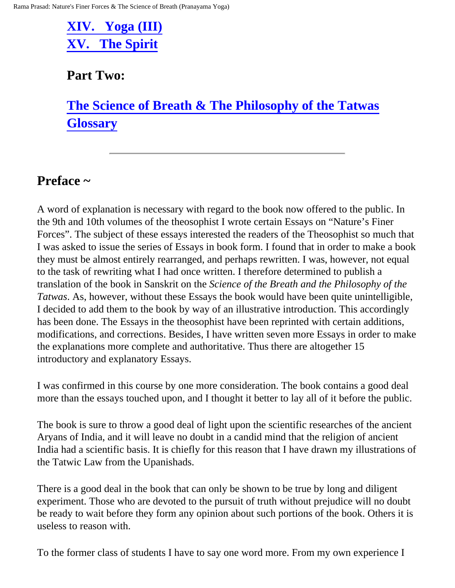**[XIV. Yoga \(III\)](http://www.rexresearch.com/prana/essays.htm#xiv) [XV. The Spirit](http://www.rexresearch.com/prana/essays.htm#xv)**

**Part Two:**

## **[The Science of Breath & The Philosophy of the Tatwas](http://www.rexresearch.com/prana/scibreth.htm#_top) [Glossary](http://www.rexresearch.com/prana/glossary.htm#_top)**

## **Preface ~**

A word of explanation is necessary with regard to the book now offered to the public. In the 9th and 10th volumes of the theosophist I wrote certain Essays on "Nature's Finer Forces". The subject of these essays interested the readers of the Theosophist so much that I was asked to issue the series of Essays in book form. I found that in order to make a book they must be almost entirely rearranged, and perhaps rewritten. I was, however, not equal to the task of rewriting what I had once written. I therefore determined to publish a translation of the book in Sanskrit on the *Science of the Breath and the Philosophy of the Tatwas*. As, however, without these Essays the book would have been quite unintelligible, I decided to add them to the book by way of an illustrative introduction. This accordingly has been done. The Essays in the theosophist have been reprinted with certain additions, modifications, and corrections. Besides, I have written seven more Essays in order to make the explanations more complete and authoritative. Thus there are altogether 15 introductory and explanatory Essays.

I was confirmed in this course by one more consideration. The book contains a good deal more than the essays touched upon, and I thought it better to lay all of it before the public.

The book is sure to throw a good deal of light upon the scientific researches of the ancient Aryans of India, and it will leave no doubt in a candid mind that the religion of ancient India had a scientific basis. It is chiefly for this reason that I have drawn my illustrations of the Tatwic Law from the Upanishads.

There is a good deal in the book that can only be shown to be true by long and diligent experiment. Those who are devoted to the pursuit of truth without prejudice will no doubt be ready to wait before they form any opinion about such portions of the book. Others it is useless to reason with.

To the former class of students I have to say one word more. From my own experience I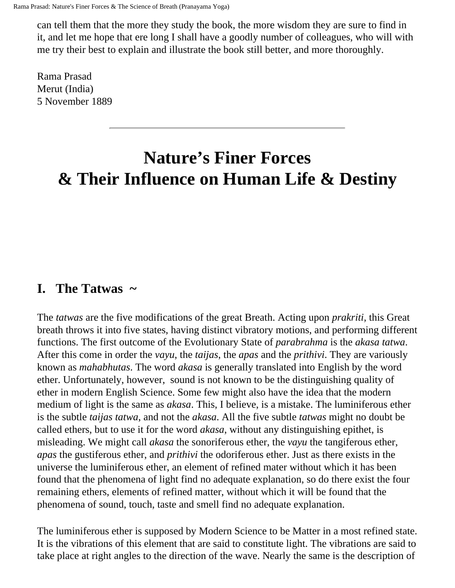can tell them that the more they study the book, the more wisdom they are sure to find in it, and let me hope that ere long I shall have a goodly number of colleagues, who will with me try their best to explain and illustrate the book still better, and more thoroughly.

Rama Prasad Merut (India) 5 November 1889

## **Nature's Finer Forces & Their Influence on Human Life & Destiny**

#### **I. The Tatwas ~**

The *tatwas* are the five modifications of the great Breath. Acting upon *prakriti,* this Great breath throws it into five states, having distinct vibratory motions, and performing different functions. The first outcome of the Evolutionary State of *parabrahma* is the *akasa tatwa*. After this come in order the *vayu*, the *taijas*, the *apas* and the *prithivi*. They are variously known as *mahabhutas*. The word *akasa* is generally translated into English by the word ether. Unfortunately, however, sound is not known to be the distinguishing quality of ether in modern English Science. Some few might also have the idea that the modern medium of light is the same as *akasa*. This, I believe, is a mistake. The luminiferous ether is the subtle *taijas tatwa*, and not the *akasa*. All the five subtle *tatwas* might no doubt be called ethers, but to use it for the word *akasa*, without any distinguishing epithet, is misleading. We might call *akasa* the sonoriferous ether, the *vayu* the tangiferous ether, *apas* the gustiferous ether, and *prithivi* the odoriferous ether. Just as there exists in the universe the luminiferous ether, an element of refined mater without which it has been found that the phenomena of light find no adequate explanation, so do there exist the four remaining ethers, elements of refined matter, without which it will be found that the phenomena of sound, touch, taste and smell find no adequate explanation.

The luminiferous ether is supposed by Modern Science to be Matter in a most refined state. It is the vibrations of this element that are said to constitute light. The vibrations are said to take place at right angles to the direction of the wave. Nearly the same is the description of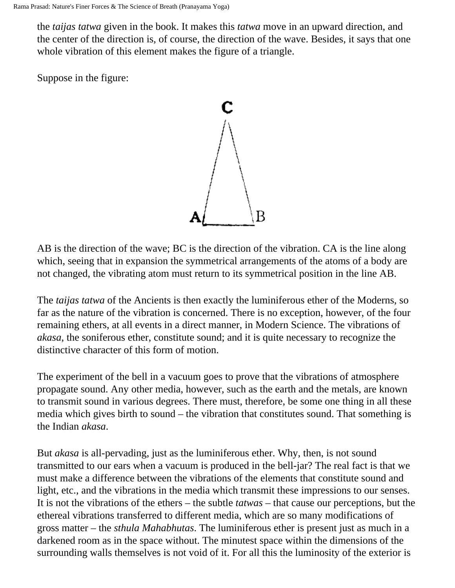the *taijas tatwa* given in the book. It makes this *tatwa* move in an upward direction, and the center of the direction is, of course, the direction of the wave. Besides, it says that one whole vibration of this element makes the figure of a triangle.

Suppose in the figure:



AB is the direction of the wave; BC is the direction of the vibration. CA is the line along which, seeing that in expansion the symmetrical arrangements of the atoms of a body are not changed, the vibrating atom must return to its symmetrical position in the line AB.

The *taijas tatwa* of the Ancients is then exactly the luminiferous ether of the Moderns, so far as the nature of the vibration is concerned. There is no exception, however, of the four remaining ethers, at all events in a direct manner, in Modern Science. The vibrations of *akasa*, the soniferous ether, constitute sound; and it is quite necessary to recognize the distinctive character of this form of motion.

The experiment of the bell in a vacuum goes to prove that the vibrations of atmosphere propagate sound. Any other media, however, such as the earth and the metals, are known to transmit sound in various degrees. There must, therefore, be some one thing in all these media which gives birth to sound – the vibration that constitutes sound. That something is the Indian *akasa*.

But *akasa* is all-pervading, just as the luminiferous ether. Why, then, is not sound transmitted to our ears when a vacuum is produced in the bell-jar? The real fact is that we must make a difference between the vibrations of the elements that constitute sound and light, etc., and the vibrations in the media which transmit these impressions to our senses. It is not the vibrations of the ethers – the subtle *tatwas* – that cause our perceptions, but the ethereal vibrations transferred to different media, which are so many modifications of gross matter – the *sthula Mahabhutas*. The luminiferous ether is present just as much in a darkened room as in the space without. The minutest space within the dimensions of the surrounding walls themselves is not void of it. For all this the luminosity of the exterior is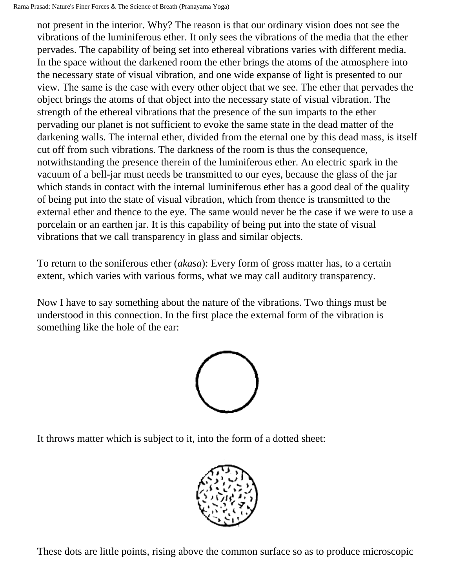not present in the interior. Why? The reason is that our ordinary vision does not see the vibrations of the luminiferous ether. It only sees the vibrations of the media that the ether pervades. The capability of being set into ethereal vibrations varies with different media. In the space without the darkened room the ether brings the atoms of the atmosphere into the necessary state of visual vibration, and one wide expanse of light is presented to our view. The same is the case with every other object that we see. The ether that pervades the object brings the atoms of that object into the necessary state of visual vibration. The strength of the ethereal vibrations that the presence of the sun imparts to the ether pervading our planet is not sufficient to evoke the same state in the dead matter of the darkening walls. The internal ether, divided from the eternal one by this dead mass, is itself cut off from such vibrations. The darkness of the room is thus the consequence, notwithstanding the presence therein of the luminiferous ether. An electric spark in the vacuum of a bell-jar must needs be transmitted to our eyes, because the glass of the jar which stands in contact with the internal luminiferous ether has a good deal of the quality of being put into the state of visual vibration, which from thence is transmitted to the external ether and thence to the eye. The same would never be the case if we were to use a porcelain or an earthen jar. It is this capability of being put into the state of visual vibrations that we call transparency in glass and similar objects.

To return to the soniferous ether (*akasa*): Every form of gross matter has, to a certain extent, which varies with various forms, what we may call auditory transparency.

Now I have to say something about the nature of the vibrations. Two things must be understood in this connection. In the first place the external form of the vibration is something like the hole of the ear:



It throws matter which is subject to it, into the form of a dotted sheet:



These dots are little points, rising above the common surface so as to produce microscopic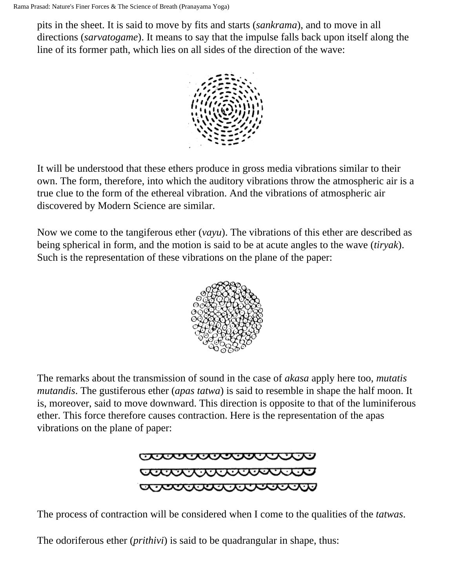pits in the sheet. It is said to move by fits and starts (*sankrama*), and to move in all directions (*sarvatogame*). It means to say that the impulse falls back upon itself along the line of its former path, which lies on all sides of the direction of the wave:



It will be understood that these ethers produce in gross media vibrations similar to their own. The form, therefore, into which the auditory vibrations throw the atmospheric air is a true clue to the form of the ethereal vibration. And the vibrations of atmospheric air discovered by Modern Science are similar.

Now we come to the tangiferous ether (*vayu*). The vibrations of this ether are described as being spherical in form, and the motion is said to be at acute angles to the wave (*tiryak*). Such is the representation of these vibrations on the plane of the paper:



The remarks about the transmission of sound in the case of *akasa* apply here too, *mutatis mutandis*. The gustiferous ether (*apas tatwa*) is said to resemble in shape the half moon. It is, moreover, said to move downward. This direction is opposite to that of the luminiferous ether. This force therefore causes contraction. Here is the representation of the apas vibrations on the plane of paper:



The process of contraction will be considered when I come to the qualities of the *tatwas*.

The odoriferous ether (*prithivi*) is said to be quadrangular in shape, thus: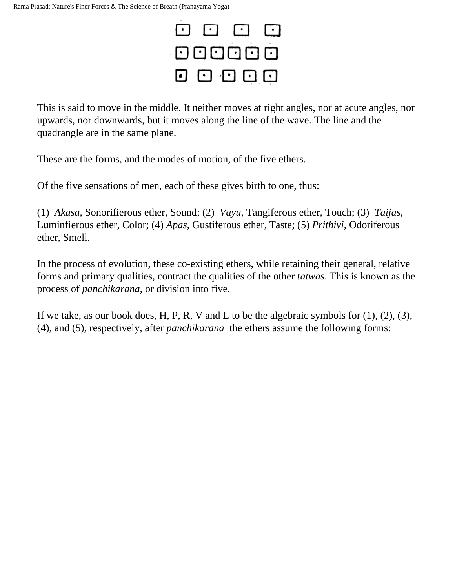

This is said to move in the middle. It neither moves at right angles, nor at acute angles, nor upwards, nor downwards, but it moves along the line of the wave. The line and the quadrangle are in the same plane.

These are the forms, and the modes of motion, of the five ethers.

Of the five sensations of men, each of these gives birth to one, thus:

(1) *Akasa*, Sonorifierous ether, Sound; (2) *Vayu*, Tangiferous ether, Touch; (3) *Taijas*, Luminfierous ether, Color; (4) *Apas*, Gustiferous ether, Taste; (5) *Prithivi*, Odoriferous ether, Smell.

In the process of evolution, these co-existing ethers, while retaining their general, relative forms and primary qualities, contract the qualities of the other *tatwas*. This is known as the process of *panchikarana*, or division into five.

If we take, as our book does, H, P, R, V and L to be the algebraic symbols for  $(1)$ ,  $(2)$ ,  $(3)$ , (4), and (5), respectively, after *panchikarana* the ethers assume the following forms: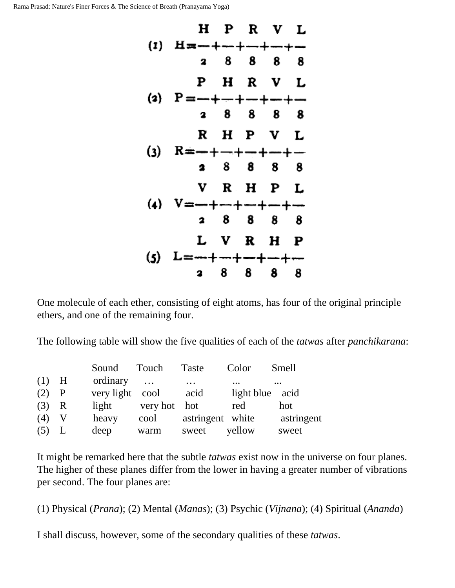

One molecule of each ether, consisting of eight atoms, has four of the original principle ethers, and one of the remaining four.

The following table will show the five qualities of each of the *tatwas* after *panchikarana*:

|     |   | Sound           | Touch        | Taste            | Color           | Smell      |
|-----|---|-----------------|--------------|------------------|-----------------|------------|
| (1) | H | ordinary        | $\cdots$     | $\ddots$         | $\cdots$        | $\cdots$   |
| (2) | P | very light cool |              | acid             | light blue acid |            |
| (3) | R | light           | very hot hot |                  | red             | hot        |
| (4) | V | heavy           | cool         | astringent white |                 | astringent |
| (5) |   | deep            | warm         | sweet            | yellow          | sweet      |

It might be remarked here that the subtle *tatwas* exist now in the universe on four planes. The higher of these planes differ from the lower in having a greater number of vibrations per second. The four planes are:

(1) Physical (*Prana*); (2) Mental (*Manas*); (3) Psychic (*Vijnana*); (4) Spiritual (*Ananda*)

I shall discuss, however, some of the secondary qualities of these *tatwas*.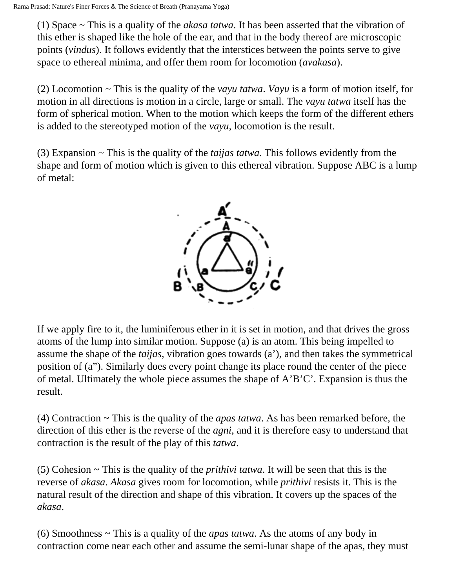(1) Space ~ This is a quality of the *akasa tatwa*. It has been asserted that the vibration of this ether is shaped like the hole of the ear, and that in the body thereof are microscopic points (*vindus*). It follows evidently that the interstices between the points serve to give space to ethereal minima, and offer them room for locomotion (*avakasa*).

(2) Locomotion ~ This is the quality of the *vayu tatwa*. *Vayu* is a form of motion itself, for motion in all directions is motion in a circle, large or small. The *vayu tatwa* itself has the form of spherical motion. When to the motion which keeps the form of the different ethers is added to the stereotyped motion of the *vayu*, locomotion is the result.

(3) Expansion ~ This is the quality of the *taijas tatwa*. This follows evidently from the shape and form of motion which is given to this ethereal vibration. Suppose ABC is a lump of metal:



If we apply fire to it, the luminiferous ether in it is set in motion, and that drives the gross atoms of the lump into similar motion. Suppose (a) is an atom. This being impelled to assume the shape of the *taijas*, vibration goes towards (a'), and then takes the symmetrical position of (a"). Similarly does every point change its place round the center of the piece of metal. Ultimately the whole piece assumes the shape of A'B'C'. Expansion is thus the result.

(4) Contraction ~ This is the quality of the *apas tatwa*. As has been remarked before, the direction of this ether is the reverse of the *agni*, and it is therefore easy to understand that contraction is the result of the play of this *tatwa*.

(5) Cohesion ~ This is the quality of the *prithivi tatwa*. It will be seen that this is the reverse of *akasa*. *Akasa* gives room for locomotion, while *prithivi* resists it. This is the natural result of the direction and shape of this vibration. It covers up the spaces of the *akasa*.

(6) Smoothness ~ This is a quality of the *apas tatwa*. As the atoms of any body in contraction come near each other and assume the semi-lunar shape of the apas, they must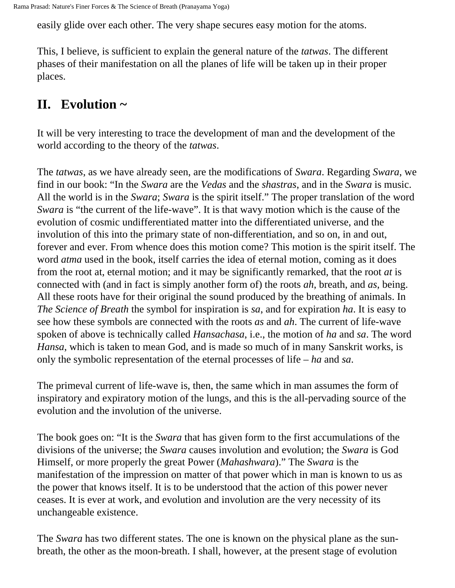easily glide over each other. The very shape secures easy motion for the atoms.

This, I believe, is sufficient to explain the general nature of the *tatwas*. The different phases of their manifestation on all the planes of life will be taken up in their proper places.

## **II. Evolution ~**

It will be very interesting to trace the development of man and the development of the world according to the theory of the *tatwas*.

The *tatwas*, as we have already seen, are the modifications of *Swara*. Regarding *Swara*, we find in our book: "In the *Swara* are the *Vedas* and the *shastras*, and in the *Swara* is music. All the world is in the *Swara*; *Swara* is the spirit itself." The proper translation of the word *Swara* is "the current of the life-wave". It is that wavy motion which is the cause of the evolution of cosmic undifferentiated matter into the differentiated universe, and the involution of this into the primary state of non-differentiation, and so on, in and out, forever and ever. From whence does this motion come? This motion is the spirit itself. The word *atma* used in the book, itself carries the idea of eternal motion, coming as it does from the root at, eternal motion; and it may be significantly remarked, that the root *at* is connected with (and in fact is simply another form of) the roots *ah*, breath, and *as*, being. All these roots have for their original the sound produced by the breathing of animals. In *The Science of Breath* the symbol for inspiration is *sa*, and for expiration *ha*. It is easy to see how these symbols are connected with the roots *as* and *ah*. The current of life-wave spoken of above is technically called *Hansachasa*, i.e., the motion of *ha* and *sa*. The word *Hansa*, which is taken to mean God, and is made so much of in many Sanskrit works, is only the symbolic representation of the eternal processes of life – *ha* and *sa*.

The primeval current of life-wave is, then, the same which in man assumes the form of inspiratory and expiratory motion of the lungs, and this is the all-pervading source of the evolution and the involution of the universe.

The book goes on: "It is the *Swara* that has given form to the first accumulations of the divisions of the universe; the *Swara* causes involution and evolution; the *Swara* is God Himself, or more properly the great Power (*Mahashwara*)." The *Swara* is the manifestation of the impression on matter of that power which in man is known to us as the power that knows itself. It is to be understood that the action of this power never ceases. It is ever at work, and evolution and involution are the very necessity of its unchangeable existence.

The *Swara* has two different states. The one is known on the physical plane as the sunbreath, the other as the moon-breath. I shall, however, at the present stage of evolution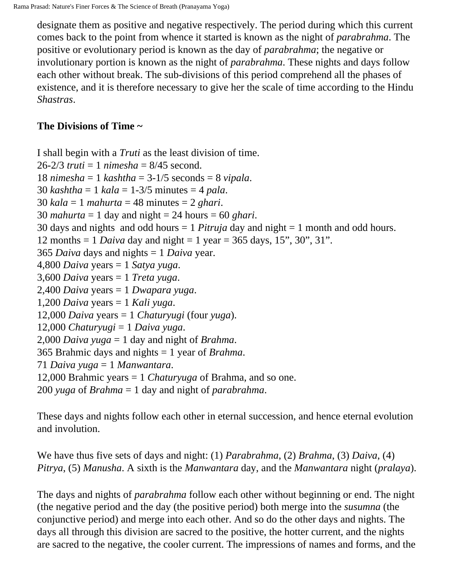designate them as positive and negative respectively. The period during which this current comes back to the point from whence it started is known as the night of *parabrahma*. The positive or evolutionary period is known as the day of *parabrahma*; the negative or involutionary portion is known as the night of *parabrahma*. These nights and days follow each other without break. The sub-divisions of this period comprehend all the phases of existence, and it is therefore necessary to give her the scale of time according to the Hindu *Shastras*.

#### **The Divisions of Time ~**

I shall begin with a *Truti* as the least division of time. 26-2/3 *truti* = 1 *nimesha* = 8/45 second. 18 *nimesha* = 1 *kashtha* = 3-1/5 seconds = 8 *vipala*. 30 *kashtha* = 1 *kala* = 1-3/5 minutes = 4 *pala*. 30 *kala* = 1 *mahurta* = 48 minutes = 2 *ghari*. 30 *mahurta* = 1 day and night = 24 hours = 60 *ghari*. 30 days and nights and odd hours  $= 1$  *Pitruja* day and night  $= 1$  month and odd hours. 12 months  $= 1$  *Daiva* day and night  $= 1$  year  $= 365$  days, 15", 30", 31". 365 *Daiva* days and nights = 1 *Daiva* year. 4,800 *Daiva* years = 1 *Satya yuga*. 3,600 *Daiva* years = 1 *Treta yuga*. 2,400 *Daiva* years = 1 *Dwapara yuga*. 1,200 *Daiva* years = 1 *Kali yuga*. 12,000 *Daiva* years = 1 *Chaturyugi* (four *yuga*). 12,000 *Chaturyugi* = 1 *Daiva yuga*. 2,000 *Daiva yuga* = 1 day and night of *Brahma*. 365 Brahmic days and nights = 1 year of *Brahma*. 71 *Daiva yuga* = 1 *Manwantara*. 12,000 Brahmic years = 1 *Chaturyuga* of Brahma, and so one. 200 *yuga* of *Brahma* = 1 day and night of *parabrahma*.

These days and nights follow each other in eternal succession, and hence eternal evolution and involution.

We have thus five sets of days and night: (1) *Parabrahma*, (2) *Brahma*, (3) *Daiva*, (4) *Pitrya*, (5) *Manusha*. A sixth is the *Manwantara* day, and the *Manwantara* night (*pralaya*).

The days and nights of *parabrahma* follow each other without beginning or end. The night (the negative period and the day (the positive period) both merge into the *susumna* (the conjunctive period) and merge into each other. And so do the other days and nights. The days all through this division are sacred to the positive, the hotter current, and the nights are sacred to the negative, the cooler current. The impressions of names and forms, and the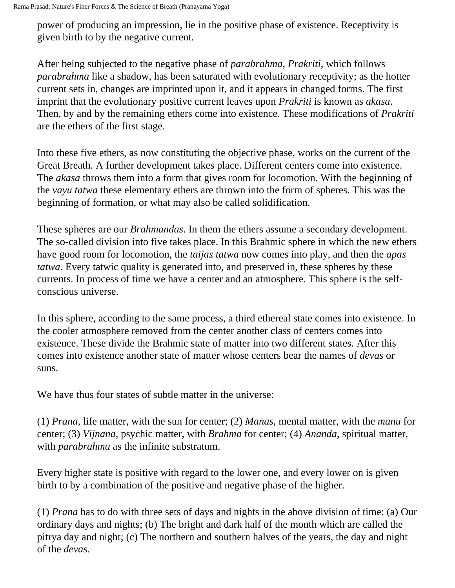power of producing an impression, lie in the positive phase of existence. Receptivity is given birth to by the negative current.

After being subjected to the negative phase of *parabrahma*, *Prakriti*, which follows *parabrahma* like a shadow, has been saturated with evolutionary receptivity; as the hotter current sets in, changes are imprinted upon it, and it appears in changed forms. The first imprint that the evolutionary positive current leaves upon *Prakriti* is known as *akasa*. Then, by and by the remaining ethers come into existence. These modifications of *Prakriti* are the ethers of the first stage.

Into these five ethers, as now constituting the objective phase, works on the current of the Great Breath. A further development takes place. Different centers come into existence. The *akasa* throws them into a form that gives room for locomotion. With the beginning of the *vayu tatwa* these elementary ethers are thrown into the form of spheres. This was the beginning of formation, or what may also be called solidification.

These spheres are our *Brahmandas*. In them the ethers assume a secondary development. The so-called division into five takes place. In this Brahmic sphere in which the new ethers have good room for locomotion, the *taijas tatwa* now comes into play, and then the *apas tatwa*. Every tatwic quality is generated into, and preserved in, these spheres by these currents. In process of time we have a center and an atmosphere. This sphere is the selfconscious universe.

In this sphere, according to the same process, a third ethereal state comes into existence. In the cooler atmosphere removed from the center another class of centers comes into existence. These divide the Brahmic state of matter into two different states. After this comes into existence another state of matter whose centers bear the names of *devas* or suns.

We have thus four states of subtle matter in the universe:

(1) *Prana*, life matter, with the sun for center; (2) *Manas*, mental matter, with the *manu* for center; (3) *Vijnana*, psychic matter, with *Brahma* for center; (4) *Ananda*, spiritual matter, with *parabrahma* as the infinite substratum.

Every higher state is positive with regard to the lower one, and every lower on is given birth to by a combination of the positive and negative phase of the higher.

(1) *Prana* has to do with three sets of days and nights in the above division of time: (a) Our ordinary days and nights; (b) The bright and dark half of the month which are called the pitrya day and night; (c) The northern and southern halves of the years, the day and night of the *devas*.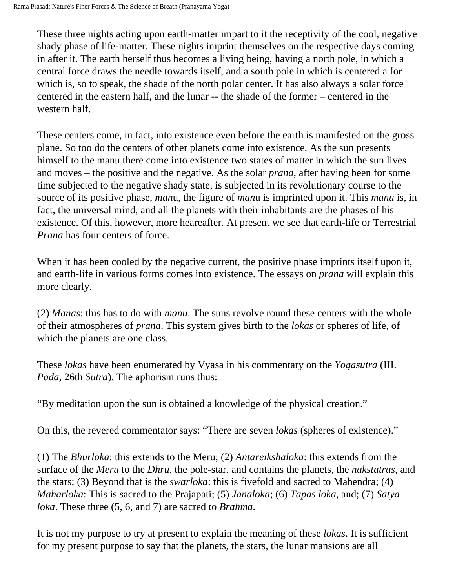These three nights acting upon earth-matter impart to it the receptivity of the cool, negative shady phase of life-matter. These nights imprint themselves on the respective days coming in after it. The earth herself thus becomes a living being, having a north pole, in which a central force draws the needle towards itself, and a south pole in which is centered a for which is, so to speak, the shade of the north polar center. It has also always a solar force centered in the eastern half, and the lunar -- the shade of the former – centered in the western half.

These centers come, in fact, into existence even before the earth is manifested on the gross plane. So too do the centers of other planets come into existence. As the sun presents himself to the manu there come into existence two states of matter in which the sun lives and moves – the positive and the negative. As the solar *prana*, after having been for some time subjected to the negative shady state, is subjected in its revolutionary course to the source of its positive phase, *man*u, the figure of *man*u is imprinted upon it. This *manu* is, in fact, the universal mind, and all the planets with their inhabitants are the phases of his existence. Of this, however, more heareafter. At present we see that earth-life or Terrestrial *Prana* has four centers of force.

When it has been cooled by the negative current, the positive phase imprints itself upon it, and earth-life in various forms comes into existence. The essays on *prana* will explain this more clearly.

(2) *Manas*: this has to do with *manu*. The suns revolve round these centers with the whole of their atmospheres of *prana*. This system gives birth to the *lokas* or spheres of life, of which the planets are one class.

These *lokas* have been enumerated by Vyasa in his commentary on the *Yogasutra* (III. *Pada*, 26th *Sutra*). The aphorism runs thus:

"By meditation upon the sun is obtained a knowledge of the physical creation."

On this, the revered commentator says: "There are seven *lokas* (spheres of existence)."

(1) The *Bhurloka*: this extends to the Meru; (2) *Antareikshaloka*: this extends from the surface of the *Meru* to the *Dhru*, the pole-star, and contains the planets, the *nakstatras*, and the stars; (3) Beyond that is the *swarloka*: this is fivefold and sacred to Mahendra; (4) *Maharloka*: This is sacred to the Prajapati; (5) *Janaloka*; (6) *Tapas loka*, and; (7) *Satya loka*. These three (5, 6, and 7) are sacred to *Brahma*.

It is not my purpose to try at present to explain the meaning of these *lokas*. It is sufficient for my present purpose to say that the planets, the stars, the lunar mansions are all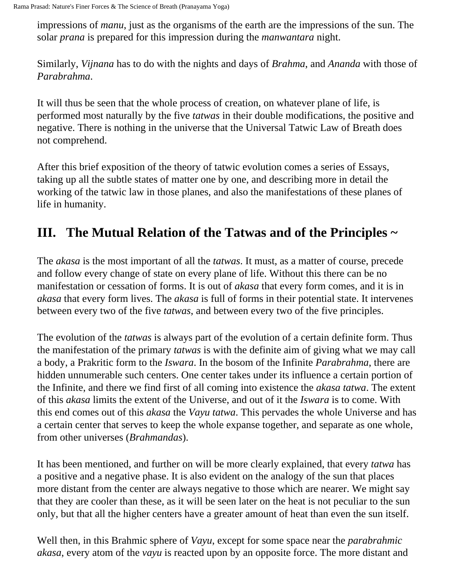impressions of *manu*, just as the organisms of the earth are the impressions of the sun. The solar *prana* is prepared for this impression during the *manwantara* night.

Similarly, *Vijnana* has to do with the nights and days of *Brahma*, and *Ananda* with those of *Parabrahma*.

It will thus be seen that the whole process of creation, on whatever plane of life, is performed most naturally by the five *tatwas* in their double modifications, the positive and negative. There is nothing in the universe that the Universal Tatwic Law of Breath does not comprehend.

After this brief exposition of the theory of tatwic evolution comes a series of Essays, taking up all the subtle states of matter one by one, and describing more in detail the working of the tatwic law in those planes, and also the manifestations of these planes of life in humanity.

## **III. The Mutual Relation of the Tatwas and of the Principles ~**

The *akasa* is the most important of all the *tatwas*. It must, as a matter of course, precede and follow every change of state on every plane of life. Without this there can be no manifestation or cessation of forms. It is out of *akasa* that every form comes, and it is in *akasa* that every form lives. The *akasa* is full of forms in their potential state. It intervenes between every two of the five *tatwas*, and between every two of the five principles.

The evolution of the *tatwas* is always part of the evolution of a certain definite form. Thus the manifestation of the primary *tatwas* is with the definite aim of giving what we may call a body, a Prakritic form to the *Iswara*. In the bosom of the Infinite *Parabrahma*, there are hidden unnumerable such centers. One center takes under its influence a certain portion of the Infinite, and there we find first of all coming into existence the *akasa tatwa*. The extent of this *akasa* limits the extent of the Universe, and out of it the *Iswara* is to come. With this end comes out of this *akasa* the *Vayu tatwa*. This pervades the whole Universe and has a certain center that serves to keep the whole expanse together, and separate as one whole, from other universes (*Brahmandas*).

It has been mentioned, and further on will be more clearly explained, that every *tatwa* has a positive and a negative phase. It is also evident on the analogy of the sun that places more distant from the center are always negative to those which are nearer. We might say that they are cooler than these, as it will be seen later on the heat is not peculiar to the sun only, but that all the higher centers have a greater amount of heat than even the sun itself.

Well then, in this Brahmic sphere of *Vayu*, except for some space near the *parabrahmic akasa*, every atom of the *vayu* is reacted upon by an opposite force. The more distant and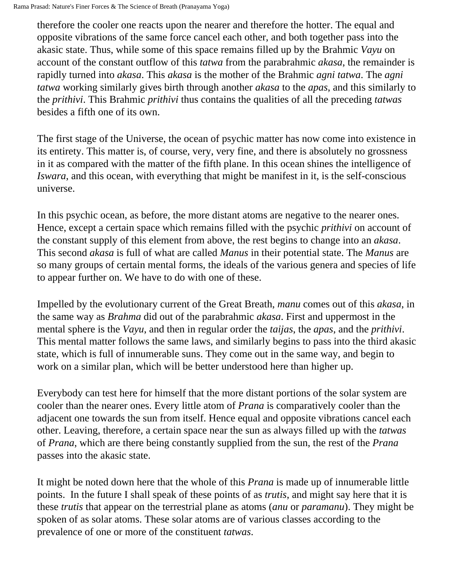therefore the cooler one reacts upon the nearer and therefore the hotter. The equal and opposite vibrations of the same force cancel each other, and both together pass into the akasic state. Thus, while some of this space remains filled up by the Brahmic *Vayu* on account of the constant outflow of this *tatwa* from the parabrahmic *akasa*, the remainder is rapidly turned into *akasa*. This *akasa* is the mother of the Brahmic *agni tatwa*. The *agni tatwa* working similarly gives birth through another *akasa* to the *apas*, and this similarly to the *prithivi*. This Brahmic *prithivi* thus contains the qualities of all the preceding *tatwas* besides a fifth one of its own.

The first stage of the Universe, the ocean of psychic matter has now come into existence in its entirety. This matter is, of course, very, very fine, and there is absolutely no grossness in it as compared with the matter of the fifth plane. In this ocean shines the intelligence of *Iswara*, and this ocean, with everything that might be manifest in it, is the self-conscious universe.

In this psychic ocean, as before, the more distant atoms are negative to the nearer ones. Hence, except a certain space which remains filled with the psychic *prithivi* on account of the constant supply of this element from above, the rest begins to change into an *akasa*. This second *akasa* is full of what are called *Manus* in their potential state. The *Manus* are so many groups of certain mental forms, the ideals of the various genera and species of life to appear further on. We have to do with one of these.

Impelled by the evolutionary current of the Great Breath, *manu* comes out of this *akasa*, in the same way as *Brahma* did out of the parabrahmic *akasa*. First and uppermost in the mental sphere is the *Vayu*, and then in regular order the *taijas*, the *apas*, and the *prithivi*. This mental matter follows the same laws, and similarly begins to pass into the third akasic state, which is full of innumerable suns. They come out in the same way, and begin to work on a similar plan, which will be better understood here than higher up.

Everybody can test here for himself that the more distant portions of the solar system are cooler than the nearer ones. Every little atom of *Prana* is comparatively cooler than the adjacent one towards the sun from itself. Hence equal and opposite vibrations cancel each other. Leaving, therefore, a certain space near the sun as always filled up with the *tatwas* of *Prana*, which are there being constantly supplied from the sun, the rest of the *Prana* passes into the akasic state.

It might be noted down here that the whole of this *Prana* is made up of innumerable little points. In the future I shall speak of these points of as *trutis*, and might say here that it is these *trutis* that appear on the terrestrial plane as atoms (*anu* or *paramanu*). They might be spoken of as solar atoms. These solar atoms are of various classes according to the prevalence of one or more of the constituent *tatwas*.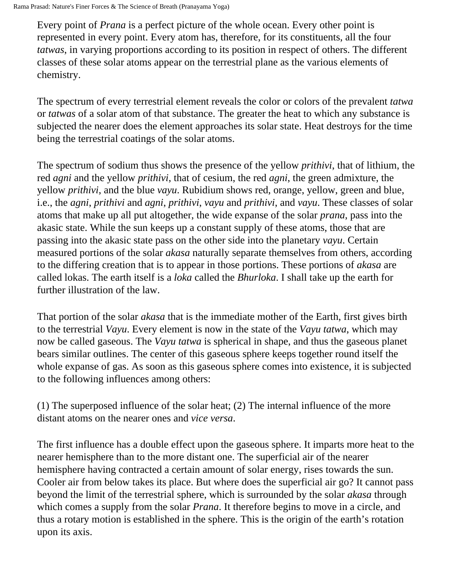Every point of *Prana* is a perfect picture of the whole ocean. Every other point is represented in every point. Every atom has, therefore, for its constituents, all the four *tatwas*, in varying proportions according to its position in respect of others. The different classes of these solar atoms appear on the terrestrial plane as the various elements of chemistry.

The spectrum of every terrestrial element reveals the color or colors of the prevalent *tatwa* or *tatwas* of a solar atom of that substance. The greater the heat to which any substance is subjected the nearer does the element approaches its solar state. Heat destroys for the time being the terrestrial coatings of the solar atoms.

The spectrum of sodium thus shows the presence of the yellow *prithivi*, that of lithium, the red *agni* and the yellow *prithivi*, that of cesium, the red *agni*, the green admixture, the yellow *prithivi*, and the blue *vayu*. Rubidium shows red, orange, yellow, green and blue, i.e., the *agni*, *prithivi* and *agni*, *prithivi*, *vayu* and *prithivi*, and *vayu*. These classes of solar atoms that make up all put altogether, the wide expanse of the solar *prana*, pass into the akasic state. While the sun keeps up a constant supply of these atoms, those that are passing into the akasic state pass on the other side into the planetary *vayu*. Certain measured portions of the solar *akasa* naturally separate themselves from others, according to the differing creation that is to appear in those portions. These portions of *akasa* are called lokas. The earth itself is a *loka* called the *Bhurloka*. I shall take up the earth for further illustration of the law.

That portion of the solar *akasa* that is the immediate mother of the Earth, first gives birth to the terrestrial *Vayu*. Every element is now in the state of the *Vayu tatwa*, which may now be called gaseous. The *Vayu tatwa* is spherical in shape, and thus the gaseous planet bears similar outlines. The center of this gaseous sphere keeps together round itself the whole expanse of gas. As soon as this gaseous sphere comes into existence, it is subjected to the following influences among others:

(1) The superposed influence of the solar heat; (2) The internal influence of the more distant atoms on the nearer ones and *vice versa*.

The first influence has a double effect upon the gaseous sphere. It imparts more heat to the nearer hemisphere than to the more distant one. The superficial air of the nearer hemisphere having contracted a certain amount of solar energy, rises towards the sun. Cooler air from below takes its place. But where does the superficial air go? It cannot pass beyond the limit of the terrestrial sphere, which is surrounded by the solar *akasa* through which comes a supply from the solar *Prana*. It therefore begins to move in a circle, and thus a rotary motion is established in the sphere. This is the origin of the earth's rotation upon its axis.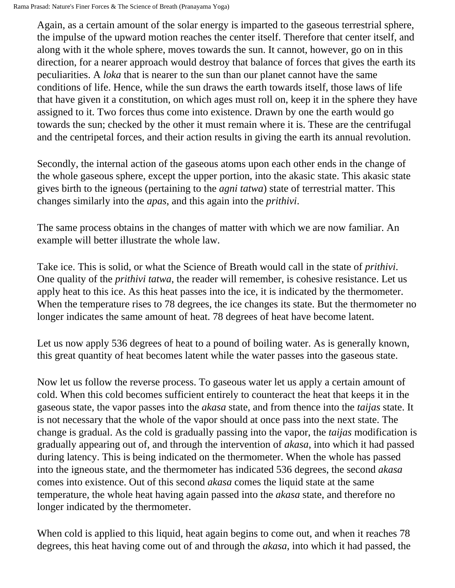Again, as a certain amount of the solar energy is imparted to the gaseous terrestrial sphere, the impulse of the upward motion reaches the center itself. Therefore that center itself, and along with it the whole sphere, moves towards the sun. It cannot, however, go on in this direction, for a nearer approach would destroy that balance of forces that gives the earth its peculiarities. A *loka* that is nearer to the sun than our planet cannot have the same conditions of life. Hence, while the sun draws the earth towards itself, those laws of life that have given it a constitution, on which ages must roll on, keep it in the sphere they have assigned to it. Two forces thus come into existence. Drawn by one the earth would go towards the sun; checked by the other it must remain where it is. These are the centrifugal and the centripetal forces, and their action results in giving the earth its annual revolution.

Secondly, the internal action of the gaseous atoms upon each other ends in the change of the whole gaseous sphere, except the upper portion, into the akasic state. This akasic state gives birth to the igneous (pertaining to the *agni tatwa*) state of terrestrial matter. This changes similarly into the *apas*, and this again into the *prithivi*.

The same process obtains in the changes of matter with which we are now familiar. An example will better illustrate the whole law.

Take ice. This is solid, or what the Science of Breath would call in the state of *prithivi*. One quality of the *prithivi tatwa*, the reader will remember, is cohesive resistance. Let us apply heat to this ice. As this heat passes into the ice, it is indicated by the thermometer. When the temperature rises to 78 degrees, the ice changes its state. But the thermometer no longer indicates the same amount of heat. 78 degrees of heat have become latent.

Let us now apply 536 degrees of heat to a pound of boiling water. As is generally known, this great quantity of heat becomes latent while the water passes into the gaseous state.

Now let us follow the reverse process. To gaseous water let us apply a certain amount of cold. When this cold becomes sufficient entirely to counteract the heat that keeps it in the gaseous state, the vapor passes into the *akasa* state, and from thence into the *taijas* state. It is not necessary that the whole of the vapor should at once pass into the next state. The change is gradual. As the cold is gradually passing into the vapor, the *taijas* modification is gradually appearing out of, and through the intervention of *akasa*, into which it had passed during latency. This is being indicated on the thermometer. When the whole has passed into the igneous state, and the thermometer has indicated 536 degrees, the second *akasa* comes into existence. Out of this second *akasa* comes the liquid state at the same temperature, the whole heat having again passed into the *akasa* state, and therefore no longer indicated by the thermometer.

When cold is applied to this liquid, heat again begins to come out, and when it reaches 78 degrees, this heat having come out of and through the *akasa*, into which it had passed, the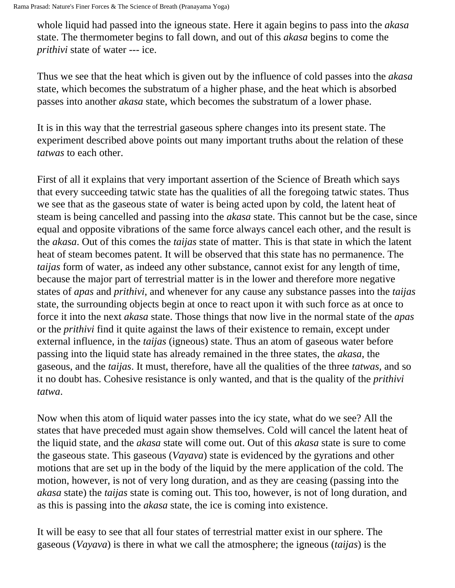whole liquid had passed into the igneous state. Here it again begins to pass into the *akasa* state. The thermometer begins to fall down, and out of this *akasa* begins to come the *prithivi* state of water --- ice.

Thus we see that the heat which is given out by the influence of cold passes into the *akasa* state, which becomes the substratum of a higher phase, and the heat which is absorbed passes into another *akasa* state, which becomes the substratum of a lower phase.

It is in this way that the terrestrial gaseous sphere changes into its present state. The experiment described above points out many important truths about the relation of these *tatwas* to each other.

First of all it explains that very important assertion of the Science of Breath which says that every succeeding tatwic state has the qualities of all the foregoing tatwic states. Thus we see that as the gaseous state of water is being acted upon by cold, the latent heat of steam is being cancelled and passing into the *akasa* state. This cannot but be the case, since equal and opposite vibrations of the same force always cancel each other, and the result is the *akasa*. Out of this comes the *taijas* state of matter. This is that state in which the latent heat of steam becomes patent. It will be observed that this state has no permanence. The *taijas* form of water, as indeed any other substance, cannot exist for any length of time, because the major part of terrestrial matter is in the lower and therefore more negative states of *apas* and *prithivi*, and whenever for any cause any substance passes into the *taijas* state, the surrounding objects begin at once to react upon it with such force as at once to force it into the next *akasa* state. Those things that now live in the normal state of the *apas* or the *prithivi* find it quite against the laws of their existence to remain, except under external influence, in the *taijas* (igneous) state. Thus an atom of gaseous water before passing into the liquid state has already remained in the three states, the *akasa*, the gaseous, and the *taijas*. It must, therefore, have all the qualities of the three *tatwas*, and so it no doubt has. Cohesive resistance is only wanted, and that is the quality of the *prithivi tatwa*.

Now when this atom of liquid water passes into the icy state, what do we see? All the states that have preceded must again show themselves. Cold will cancel the latent heat of the liquid state, and the *akasa* state will come out. Out of this *akasa* state is sure to come the gaseous state. This gaseous (*Vayava*) state is evidenced by the gyrations and other motions that are set up in the body of the liquid by the mere application of the cold. The motion, however, is not of very long duration, and as they are ceasing (passing into the *akasa* state) the *taijas* state is coming out. This too, however, is not of long duration, and as this is passing into the *akasa* state, the ice is coming into existence.

It will be easy to see that all four states of terrestrial matter exist in our sphere. The gaseous (*Vayava*) is there in what we call the atmosphere; the igneous (*taijas*) is the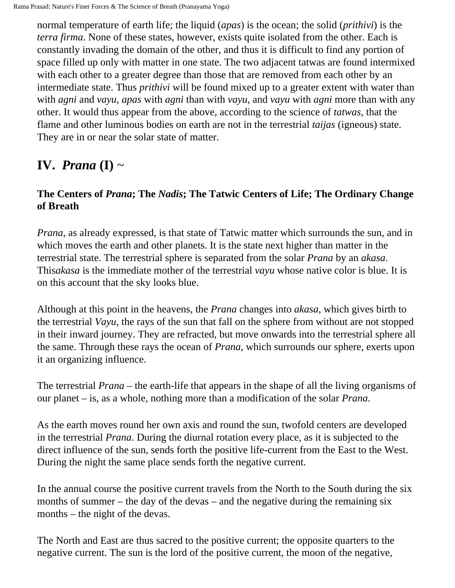normal temperature of earth life; the liquid (*apas*) is the ocean; the solid (*prithivi*) is the *terra firma*. None of these states, however, exists quite isolated from the other. Each is constantly invading the domain of the other, and thus it is difficult to find any portion of space filled up only with matter in one state. The two adjacent tatwas are found intermixed with each other to a greater degree than those that are removed from each other by an intermediate state. Thus *prithivi* will be found mixed up to a greater extent with water than with *agni* and *vayu*, *apas* with *agni* than with *vayu*, and *vayu* with *agni* more than with any other. It would thus appear from the above, according to the science of *tatwas*, that the flame and other luminous bodies on earth are not in the terrestrial *taijas* (igneous) state. They are in or near the solar state of matter.

## **IV.** *Prana* (I)  $\sim$

#### **The Centers of** *Prana***; The** *Nadis***; The Tatwic Centers of Life; The Ordinary Change of Breath**

*Prana*, as already expressed, is that state of Tatwic matter which surrounds the sun, and in which moves the earth and other planets. It is the state next higher than matter in the terrestrial state. The terrestrial sphere is separated from the solar *Prana* by an *akasa*. This*akasa* is the immediate mother of the terrestrial *vayu* whose native color is blue. It is on this account that the sky looks blue.

Although at this point in the heavens, the *Prana* changes into *akasa*, which gives birth to the terrestrial *Vayu*, the rays of the sun that fall on the sphere from without are not stopped in their inward journey. They are refracted, but move onwards into the terrestrial sphere all the same. Through these rays the ocean of *Prana*, which surrounds our sphere, exerts upon it an organizing influence.

The terrestrial *Prana* – the earth-life that appears in the shape of all the living organisms of our planet – is, as a whole, nothing more than a modification of the solar *Prana*.

As the earth moves round her own axis and round the sun, twofold centers are developed in the terrestrial *Prana*. During the diurnal rotation every place, as it is subjected to the direct influence of the sun, sends forth the positive life-current from the East to the West. During the night the same place sends forth the negative current.

In the annual course the positive current travels from the North to the South during the six months of summer – the day of the devas – and the negative during the remaining six months – the night of the devas.

The North and East are thus sacred to the positive current; the opposite quarters to the negative current. The sun is the lord of the positive current, the moon of the negative,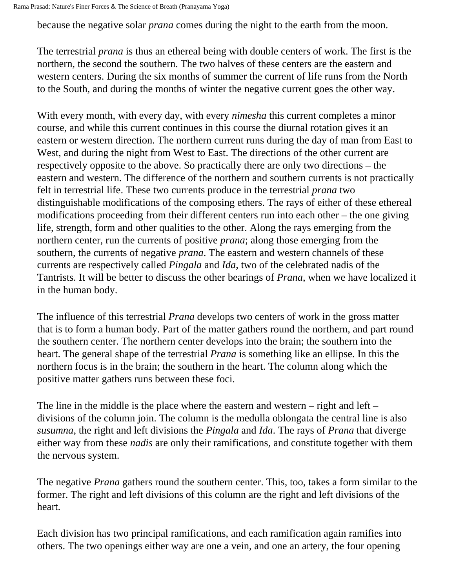Rama Prasad: Nature's Finer Forces & The Science of Breath (Pranayama Yoga)

because the negative solar *prana* comes during the night to the earth from the moon.

The terrestrial *prana* is thus an ethereal being with double centers of work. The first is the northern, the second the southern. The two halves of these centers are the eastern and western centers. During the six months of summer the current of life runs from the North to the South, and during the months of winter the negative current goes the other way.

With every month, with every day, with every *nimesha* this current completes a minor course, and while this current continues in this course the diurnal rotation gives it an eastern or western direction. The northern current runs during the day of man from East to West, and during the night from West to East. The directions of the other current are respectively opposite to the above. So practically there are only two directions – the eastern and western. The difference of the northern and southern currents is not practically felt in terrestrial life. These two currents produce in the terrestrial *prana* two distinguishable modifications of the composing ethers. The rays of either of these ethereal modifications proceeding from their different centers run into each other – the one giving life, strength, form and other qualities to the other. Along the rays emerging from the northern center, run the currents of positive *prana*; along those emerging from the southern, the currents of negative *prana*. The eastern and western channels of these currents are respectively called *Pingala* and *Ida*, two of the celebrated nadis of the Tantrists. It will be better to discuss the other bearings of *Prana*, when we have localized it in the human body.

The influence of this terrestrial *Prana* develops two centers of work in the gross matter that is to form a human body. Part of the matter gathers round the northern, and part round the southern center. The northern center develops into the brain; the southern into the heart. The general shape of the terrestrial *Prana* is something like an ellipse. In this the northern focus is in the brain; the southern in the heart. The column along which the positive matter gathers runs between these foci.

The line in the middle is the place where the eastern and western – right and left – divisions of the column join. The column is the medulla oblongata the central line is also *susumna*, the right and left divisions the *Pingala* and *Ida*. The rays of *Prana* that diverge either way from these *nadis* are only their ramifications, and constitute together with them the nervous system.

The negative *Prana* gathers round the southern center. This, too, takes a form similar to the former. The right and left divisions of this column are the right and left divisions of the heart.

Each division has two principal ramifications, and each ramification again ramifies into others. The two openings either way are one a vein, and one an artery, the four opening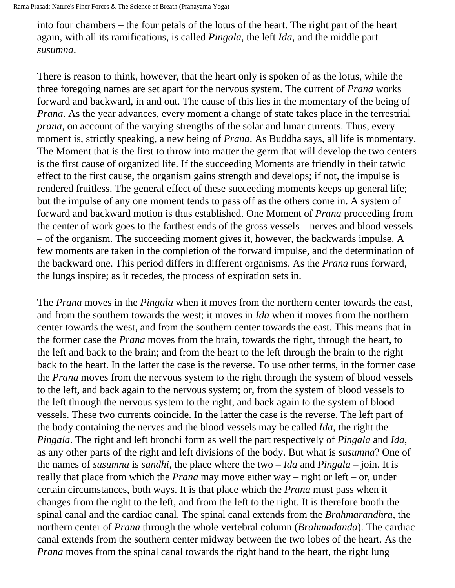Rama Prasad: Nature's Finer Forces & The Science of Breath (Pranayama Yoga)

into four chambers – the four petals of the lotus of the heart. The right part of the heart again, with all its ramifications, is called *Pingala*, the left *Ida*, and the middle part *susumna*.

There is reason to think, however, that the heart only is spoken of as the lotus, while the three foregoing names are set apart for the nervous system. The current of *Prana* works forward and backward, in and out. The cause of this lies in the momentary of the being of *Prana*. As the year advances, every moment a change of state takes place in the terrestrial *prana*, on account of the varying strengths of the solar and lunar currents. Thus, every moment is, strictly speaking, a new being of *Prana*. As Buddha says, all life is momentary. The Moment that is the first to throw into matter the germ that will develop the two centers is the first cause of organized life. If the succeeding Moments are friendly in their tatwic effect to the first cause, the organism gains strength and develops; if not, the impulse is rendered fruitless. The general effect of these succeeding moments keeps up general life; but the impulse of any one moment tends to pass off as the others come in. A system of forward and backward motion is thus established. One Moment of *Prana* proceeding from the center of work goes to the farthest ends of the gross vessels – nerves and blood vessels – of the organism. The succeeding moment gives it, however, the backwards impulse. A few moments are taken in the completion of the forward impulse, and the determination of the backward one. This period differs in different organisms. As the *Prana* runs forward, the lungs inspire; as it recedes, the process of expiration sets in.

The *Prana* moves in the *Pingala* when it moves from the northern center towards the east, and from the southern towards the west; it moves in *Ida* when it moves from the northern center towards the west, and from the southern center towards the east. This means that in the former case the *Prana* moves from the brain, towards the right, through the heart, to the left and back to the brain; and from the heart to the left through the brain to the right back to the heart. In the latter the case is the reverse. To use other terms, in the former case the *Prana* moves from the nervous system to the right through the system of blood vessels to the left, and back again to the nervous system; or, from the system of blood vessels to the left through the nervous system to the right, and back again to the system of blood vessels. These two currents coincide. In the latter the case is the reverse. The left part of the body containing the nerves and the blood vessels may be called *Ida*, the right the *Pingala*. The right and left bronchi form as well the part respectively of *Pingala* and *Ida*, as any other parts of the right and left divisions of the body. But what is *susumna*? One of the names of *susumna* is *sandhi*, the place where the two – *Ida* and *Pingala* – join. It is really that place from which the *Prana* may move either way – right or left – or, under certain circumstances, both ways. It is that place which the *Prana* must pass when it changes from the right to the left, and from the left to the right. It is therefore booth the spinal canal and the cardiac canal. The spinal canal extends from the *Brahmarandhra*, the northern center of *Prana* through the whole vertebral column (*Brahmadanda*). The cardiac canal extends from the southern center midway between the two lobes of the heart. As the *Prana* moves from the spinal canal towards the right hand to the heart, the right lung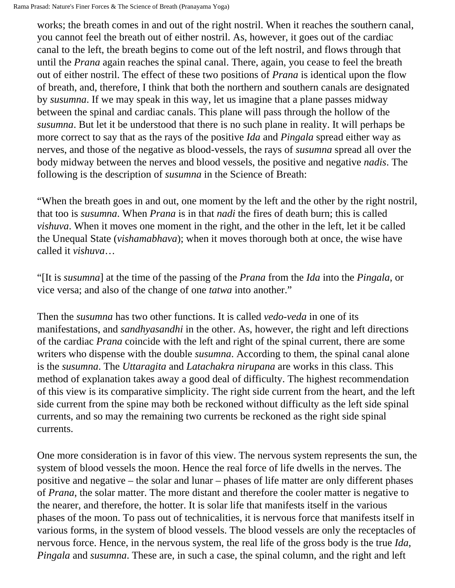works; the breath comes in and out of the right nostril. When it reaches the southern canal, you cannot feel the breath out of either nostril. As, however, it goes out of the cardiac canal to the left, the breath begins to come out of the left nostril, and flows through that until the *Prana* again reaches the spinal canal. There, again, you cease to feel the breath out of either nostril. The effect of these two positions of *Prana* is identical upon the flow of breath, and, therefore, I think that both the northern and southern canals are designated by *susumna*. If we may speak in this way, let us imagine that a plane passes midway between the spinal and cardiac canals. This plane will pass through the hollow of the *susumna*. But let it be understood that there is no such plane in reality. It will perhaps be more correct to say that as the rays of the positive *Ida* and *Pingala* spread either way as nerves, and those of the negative as blood-vessels, the rays of *susumna* spread all over the body midway between the nerves and blood vessels, the positive and negative *nadis*. The following is the description of *susumna* in the Science of Breath:

"When the breath goes in and out, one moment by the left and the other by the right nostril, that too is *susumna*. When *Prana* is in that *nadi* the fires of death burn; this is called *vishuva*. When it moves one moment in the right, and the other in the left, let it be called the Unequal State (*vishamabhava*); when it moves thorough both at once, the wise have called it *vishuva*…

"[It is *susumna*] at the time of the passing of the *Prana* from the *Ida* into the *Pingala*, or vice versa; and also of the change of one *tatwa* into another."

Then the *susumna* has two other functions. It is called *vedo-veda* in one of its manifestations, and *sandhyasandhi* in the other. As, however, the right and left directions of the cardiac *Prana* coincide with the left and right of the spinal current, there are some writers who dispense with the double *susumna*. According to them, the spinal canal alone is the *susumna*. The *Uttaragita* and *Latachakra nirupana* are works in this class. This method of explanation takes away a good deal of difficulty. The highest recommendation of this view is its comparative simplicity. The right side current from the heart, and the left side current from the spine may both be reckoned without difficulty as the left side spinal currents, and so may the remaining two currents be reckoned as the right side spinal currents.

One more consideration is in favor of this view. The nervous system represents the sun, the system of blood vessels the moon. Hence the real force of life dwells in the nerves. The positive and negative – the solar and lunar – phases of life matter are only different phases of *Prana*, the solar matter. The more distant and therefore the cooler matter is negative to the nearer, and therefore, the hotter. It is solar life that manifests itself in the various phases of the moon. To pass out of technicalities, it is nervous force that manifests itself in various forms, in the system of blood vessels. The blood vessels are only the receptacles of nervous force. Hence, in the nervous system, the real life of the gross body is the true *Ida*, *Pingala* and *susumna*. These are, in such a case, the spinal column, and the right and left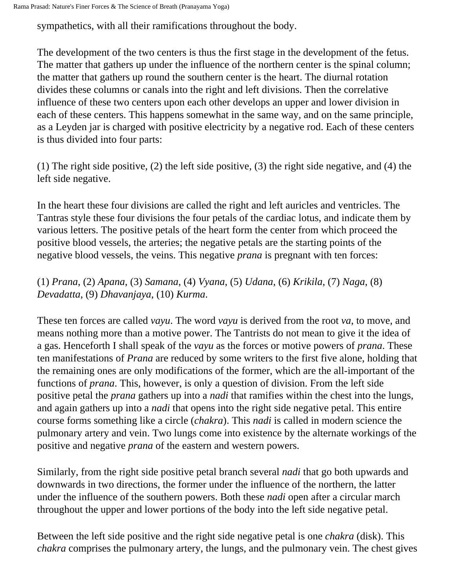sympathetics, with all their ramifications throughout the body.

The development of the two centers is thus the first stage in the development of the fetus. The matter that gathers up under the influence of the northern center is the spinal column; the matter that gathers up round the southern center is the heart. The diurnal rotation divides these columns or canals into the right and left divisions. Then the correlative influence of these two centers upon each other develops an upper and lower division in each of these centers. This happens somewhat in the same way, and on the same principle, as a Leyden jar is charged with positive electricity by a negative rod. Each of these centers is thus divided into four parts:

(1) The right side positive, (2) the left side positive, (3) the right side negative, and (4) the left side negative.

In the heart these four divisions are called the right and left auricles and ventricles. The Tantras style these four divisions the four petals of the cardiac lotus, and indicate them by various letters. The positive petals of the heart form the center from which proceed the positive blood vessels, the arteries; the negative petals are the starting points of the negative blood vessels, the veins. This negative *prana* is pregnant with ten forces:

#### (1) *Prana*, (2) *Apana*, (3) *Samana*, (4) *Vyana*, (5) *Udana*, (6) *Krikila*, (7) *Naga*, (8) *Devadatta*, (9) *Dhavanjaya*, (10) *Kurma*.

These ten forces are called *vayu*. The word *vayu* is derived from the root *va*, to move, and means nothing more than a motive power. The Tantrists do not mean to give it the idea of a gas. Henceforth I shall speak of the *vayu* as the forces or motive powers of *prana*. These ten manifestations of *Prana* are reduced by some writers to the first five alone, holding that the remaining ones are only modifications of the former, which are the all-important of the functions of *prana*. This, however, is only a question of division. From the left side positive petal the *prana* gathers up into a *nadi* that ramifies within the chest into the lungs, and again gathers up into a *nadi* that opens into the right side negative petal. This entire course forms something like a circle (*chakra*). This *nadi* is called in modern science the pulmonary artery and vein. Two lungs come into existence by the alternate workings of the positive and negative *prana* of the eastern and western powers.

Similarly, from the right side positive petal branch several *nadi* that go both upwards and downwards in two directions, the former under the influence of the northern, the latter under the influence of the southern powers. Both these *nadi* open after a circular march throughout the upper and lower portions of the body into the left side negative petal.

Between the left side positive and the right side negative petal is one *chakra* (disk). This *chakra* comprises the pulmonary artery, the lungs, and the pulmonary vein. The chest gives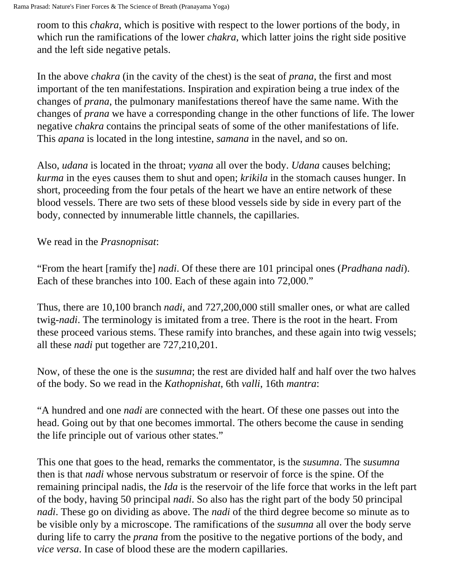room to this *chakra*, which is positive with respect to the lower portions of the body, in which run the ramifications of the lower *chakra*, which latter joins the right side positive and the left side negative petals.

In the above *chakra* (in the cavity of the chest) is the seat of *prana*, the first and most important of the ten manifestations. Inspiration and expiration being a true index of the changes of *prana*, the pulmonary manifestations thereof have the same name. With the changes of *prana* we have a corresponding change in the other functions of life. The lower negative *chakra* contains the principal seats of some of the other manifestations of life. This *apana* is located in the long intestine, *samana* in the navel, and so on.

Also, *udana* is located in the throat; *vyana* all over the body. *Udana* causes belching; *kurma* in the eyes causes them to shut and open; *krikila* in the stomach causes hunger. In short, proceeding from the four petals of the heart we have an entire network of these blood vessels. There are two sets of these blood vessels side by side in every part of the body, connected by innumerable little channels, the capillaries.

We read in the *Prasnopnisat*:

"From the heart [ramify the] *nadi*. Of these there are 101 principal ones (*Pradhana nadi*). Each of these branches into 100. Each of these again into 72,000."

Thus, there are 10,100 branch *nadi*, and 727,200,000 still smaller ones, or what are called twig-*nadi*. The terminology is imitated from a tree. There is the root in the heart. From these proceed various stems. These ramify into branches, and these again into twig vessels; all these *nadi* put together are 727,210,201.

Now, of these the one is the *susumna*; the rest are divided half and half over the two halves of the body. So we read in the *Kathopnishat*, 6th *valli*, 16th *mantra*:

"A hundred and one *nadi* are connected with the heart. Of these one passes out into the head. Going out by that one becomes immortal. The others become the cause in sending the life principle out of various other states."

This one that goes to the head, remarks the commentator, is the *susumna*. The *susumna* then is that *nadi* whose nervous substratum or reservoir of force is the spine. Of the remaining principal nadis, the *Ida* is the reservoir of the life force that works in the left part of the body, having 50 principal *nadi*. So also has the right part of the body 50 principal *nadi*. These go on dividing as above. The *nadi* of the third degree become so minute as to be visible only by a microscope. The ramifications of the *susumna* all over the body serve during life to carry the *prana* from the positive to the negative portions of the body, and *vice versa*. In case of blood these are the modern capillaries.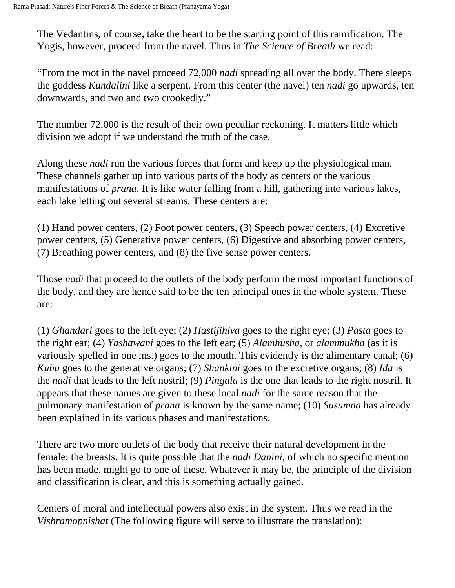The Vedantins, of course, take the heart to be the starting point of this ramification. The Yogis, however, proceed from the navel. Thus in *The Science of Breath* we read:

"From the root in the navel proceed 72,000 *nadi* spreading all over the body. There sleeps the goddess *Kundalini* like a serpent. From this center (the navel) ten *nadi* go upwards, ten downwards, and two and two crookedly."

The number 72,000 is the result of their own peculiar reckoning. It matters little which division we adopt if we understand the truth of the case.

Along these *nadi* run the various forces that form and keep up the physiological man. These channels gather up into various parts of the body as centers of the various manifestations of *prana*. It is like water falling from a hill, gathering into various lakes, each lake letting out several streams. These centers are:

(1) Hand power centers, (2) Foot power centers, (3) Speech power centers, (4) Excretive power centers, (5) Generative power centers, (6) Digestive and absorbing power centers, (7) Breathing power centers, and (8) the five sense power centers.

Those *nadi* that proceed to the outlets of the body perform the most important functions of the body, and they are hence said to be the ten principal ones in the whole system. These are:

(1) *Ghandari* goes to the left eye; (2) *Hastijihiva* goes to the right eye; (3) *Pasta* goes to the right ear; (4) *Yashawani* goes to the left ear; (5) *Alamhusha*, or *alammukha* (as it is variously spelled in one ms.) goes to the mouth. This evidently is the alimentary canal; (6) *Kuhu* goes to the generative organs; (7) *Shankini* goes to the excretive organs; (8) *Ida* is the *nadi* that leads to the left nostril; (9) *Pingala* is the one that leads to the right nostril. It appears that these names are given to these local *nadi* for the same reason that the pulmonary manifestation of *prana* is known by the same name; (10) *Susumna* has already been explained in its various phases and manifestations.

There are two more outlets of the body that receive their natural development in the female: the breasts. It is quite possible that the *nadi Danini*, of which no specific mention has been made, might go to one of these. Whatever it may be, the principle of the division and classification is clear, and this is something actually gained.

Centers of moral and intellectual powers also exist in the system. Thus we read in the *Vishramopnishat* (The following figure will serve to illustrate the translation):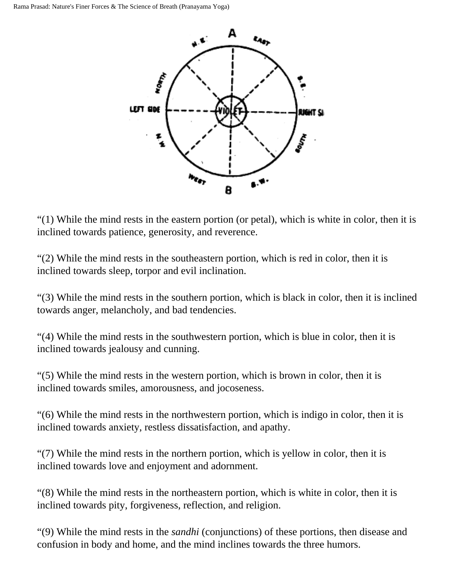

"(1) While the mind rests in the eastern portion (or petal), which is white in color, then it is inclined towards patience, generosity, and reverence.

"(2) While the mind rests in the southeastern portion, which is red in color, then it is inclined towards sleep, torpor and evil inclination.

"(3) While the mind rests in the southern portion, which is black in color, then it is inclined towards anger, melancholy, and bad tendencies.

"(4) While the mind rests in the southwestern portion, which is blue in color, then it is inclined towards jealousy and cunning.

"(5) While the mind rests in the western portion, which is brown in color, then it is inclined towards smiles, amorousness, and jocoseness.

"(6) While the mind rests in the northwestern portion, which is indigo in color, then it is inclined towards anxiety, restless dissatisfaction, and apathy.

"(7) While the mind rests in the northern portion, which is yellow in color, then it is inclined towards love and enjoyment and adornment.

"(8) While the mind rests in the northeastern portion, which is white in color, then it is inclined towards pity, forgiveness, reflection, and religion.

"(9) While the mind rests in the *sandhi* (conjunctions) of these portions, then disease and confusion in body and home, and the mind inclines towards the three humors.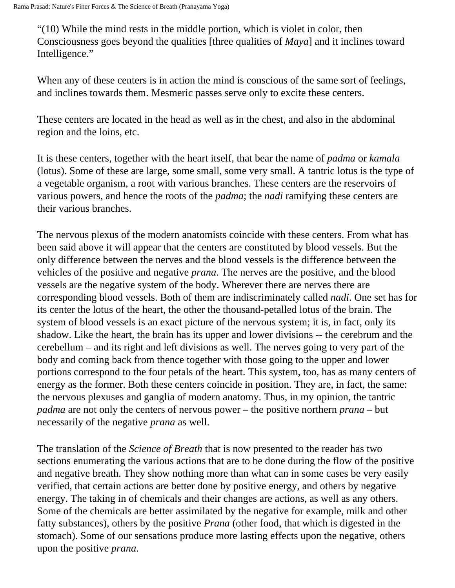"(10) While the mind rests in the middle portion, which is violet in color, then Consciousness goes beyond the qualities [three qualities of *Maya*] and it inclines toward Intelligence."

When any of these centers is in action the mind is conscious of the same sort of feelings, and inclines towards them. Mesmeric passes serve only to excite these centers.

These centers are located in the head as well as in the chest, and also in the abdominal region and the loins, etc.

It is these centers, together with the heart itself, that bear the name of *padma* or *kamala* (lotus). Some of these are large, some small, some very small. A tantric lotus is the type of a vegetable organism, a root with various branches. These centers are the reservoirs of various powers, and hence the roots of the *padma*; the *nadi* ramifying these centers are their various branches.

The nervous plexus of the modern anatomists coincide with these centers. From what has been said above it will appear that the centers are constituted by blood vessels. But the only difference between the nerves and the blood vessels is the difference between the vehicles of the positive and negative *prana*. The nerves are the positive, and the blood vessels are the negative system of the body. Wherever there are nerves there are corresponding blood vessels. Both of them are indiscriminately called *nadi*. One set has for its center the lotus of the heart, the other the thousand-petalled lotus of the brain. The system of blood vessels is an exact picture of the nervous system; it is, in fact, only its shadow. Like the heart, the brain has its upper and lower divisions -- the cerebrum and the cerebellum – and its right and left divisions as well. The nerves going to very part of the body and coming back from thence together with those going to the upper and lower portions correspond to the four petals of the heart. This system, too, has as many centers of energy as the former. Both these centers coincide in position. They are, in fact, the same: the nervous plexuses and ganglia of modern anatomy. Thus, in my opinion, the tantric *padma* are not only the centers of nervous power – the positive northern *prana* – but necessarily of the negative *prana* as well.

The translation of the *Science of Breath* that is now presented to the reader has two sections enumerating the various actions that are to be done during the flow of the positive and negative breath. They show nothing more than what can in some cases be very easily verified, that certain actions are better done by positive energy, and others by negative energy. The taking in of chemicals and their changes are actions, as well as any others. Some of the chemicals are better assimilated by the negative for example, milk and other fatty substances), others by the positive *Prana* (other food, that which is digested in the stomach). Some of our sensations produce more lasting effects upon the negative, others upon the positive *prana*.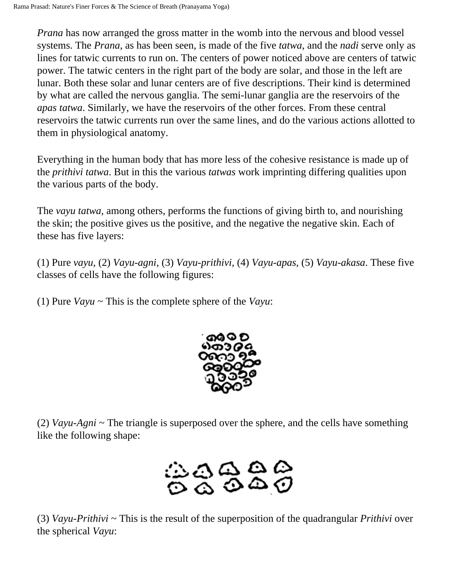*Prana* has now arranged the gross matter in the womb into the nervous and blood vessel systems. The *Prana*, as has been seen, is made of the five *tatwa*, and the *nadi* serve only as lines for tatwic currents to run on. The centers of power noticed above are centers of tatwic power. The tatwic centers in the right part of the body are solar, and those in the left are lunar. Both these solar and lunar centers are of five descriptions. Their kind is determined by what are called the nervous ganglia. The semi-lunar ganglia are the reservoirs of the *apas tatwa*. Similarly, we have the reservoirs of the other forces. From these central reservoirs the tatwic currents run over the same lines, and do the various actions allotted to them in physiological anatomy.

Everything in the human body that has more less of the cohesive resistance is made up of the *prithivi tatwa*. But in this the various *tatwas* work imprinting differing qualities upon the various parts of the body.

The *vayu tatwa*, among others, performs the functions of giving birth to, and nourishing the skin; the positive gives us the positive, and the negative the negative skin. Each of these has five layers:

(1) Pure *vayu*, (2) *Vayu-agni*, (3) *Vayu-prithivi*, (4) *Vayu-apas*, (5) *Vayu-akasa*. These five classes of cells have the following figures:

(1) Pure *Vayu* ~ This is the complete sphere of the *Vayu*:



(2) *Vayu-Agni* ~ The triangle is superposed over the sphere, and the cells have something like the following shape:



(3) *Vayu-Prithivi* ~ This is the result of the superposition of the quadrangular *Prithivi* over the spherical *Vayu*: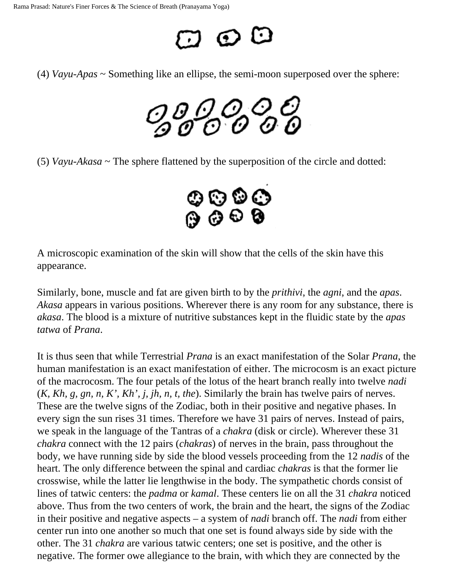# ල ග ග

(4) *Vayu-Apas* ~ Something like an ellipse, the semi-moon superposed over the sphere:

つのののので

(5) *Vayu-Akasa* ~ The sphere flattened by the superposition of the circle and dotted:



A microscopic examination of the skin will show that the cells of the skin have this appearance.

Similarly, bone, muscle and fat are given birth to by the *prithivi*, the *agni*, and the *apas*. *Akasa* appears in various positions. Wherever there is any room for any substance, there is *akasa*. The blood is a mixture of nutritive substances kept in the fluidic state by the *apas tatwa* of *Prana*.

It is thus seen that while Terrestrial *Prana* is an exact manifestation of the Solar *Prana*, the human manifestation is an exact manifestation of either. The microcosm is an exact picture of the macrocosm. The four petals of the lotus of the heart branch really into twelve *nadi* (*K, Kh, g, gn, n, K', Kh', j, jh, n, t, the*). Similarly the brain has twelve pairs of nerves. These are the twelve signs of the Zodiac, both in their positive and negative phases. In every sign the sun rises 31 times. Therefore we have 31 pairs of nerves. Instead of pairs, we speak in the language of the Tantras of a *chakra* (disk or circle). Wherever these 31 *chakra* connect with the 12 pairs (*chakras*) of nerves in the brain, pass throughout the body, we have running side by side the blood vessels proceeding from the 12 *nadis* of the heart. The only difference between the spinal and cardiac *chakras* is that the former lie crosswise, while the latter lie lengthwise in the body. The sympathetic chords consist of lines of tatwic centers: the *padma* or *kamal*. These centers lie on all the 31 *chakra* noticed above. Thus from the two centers of work, the brain and the heart, the signs of the Zodiac in their positive and negative aspects – a system of *nadi* branch off. The *nadi* from either center run into one another so much that one set is found always side by side with the other. The 31 *chakra* are various tatwic centers; one set is positive, and the other is negative. The former owe allegiance to the brain, with which they are connected by the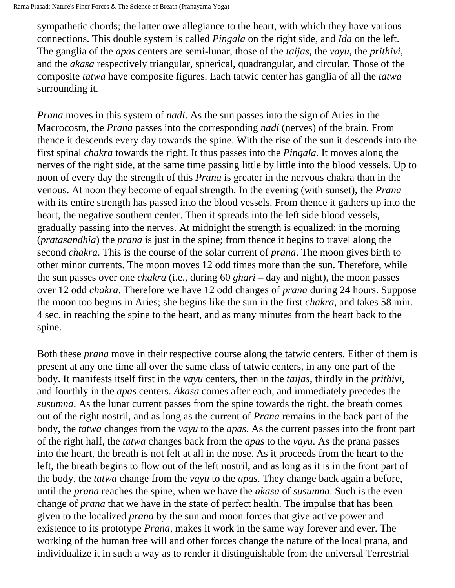sympathetic chords; the latter owe allegiance to the heart, with which they have various connections. This double system is called *Pingala* on the right side, and *Ida* on the left. The ganglia of the *apas* centers are semi-lunar, those of the *taijas*, the *vayu*, the *prithivi*, and the *akasa* respectively triangular, spherical, quadrangular, and circular. Those of the composite *tatwa* have composite figures. Each tatwic center has ganglia of all the *tatwa* surrounding it.

*Prana* moves in this system of *nadi*. As the sun passes into the sign of Aries in the Macrocosm, the *Prana* passes into the corresponding *nadi* (nerves) of the brain. From thence it descends every day towards the spine. With the rise of the sun it descends into the first spinal *chakra* towards the right. It thus passes into the *Pingala*. It moves along the nerves of the right side, at the same time passing little by little into the blood vessels. Up to noon of every day the strength of this *Prana* is greater in the nervous chakra than in the venous. At noon they become of equal strength. In the evening (with sunset), the *Prana* with its entire strength has passed into the blood vessels. From thence it gathers up into the heart, the negative southern center. Then it spreads into the left side blood vessels, gradually passing into the nerves. At midnight the strength is equalized; in the morning (*pratasandhia*) the *prana* is just in the spine; from thence it begins to travel along the second *chakra*. This is the course of the solar current of *prana*. The moon gives birth to other minor currents. The moon moves 12 odd times more than the sun. Therefore, while the sun passes over one *chakra* (i.e., during 60 *ghari* – day and night), the moon passes over 12 odd *chakra*. Therefore we have 12 odd changes of *prana* during 24 hours. Suppose the moon too begins in Aries; she begins like the sun in the first *chakra*, and takes 58 min. 4 sec. in reaching the spine to the heart, and as many minutes from the heart back to the spine.

Both these *prana* move in their respective course along the tatwic centers. Either of them is present at any one time all over the same class of tatwic centers, in any one part of the body. It manifests itself first in the *vayu* centers, then in the *taijas*, thirdly in the *prithivi*, and fourthly in the *apas* centers. *Akasa* comes after each, and immediately precedes the *susumna*. As the lunar current passes from the spine towards the right, the breath comes out of the right nostril, and as long as the current of *Prana* remains in the back part of the body, the *tatwa* changes from the *vayu* to the *apas*. As the current passes into the front part of the right half, the *tatwa* changes back from the *apas* to the *vayu*. As the prana passes into the heart, the breath is not felt at all in the nose. As it proceeds from the heart to the left, the breath begins to flow out of the left nostril, and as long as it is in the front part of the body, the *tatwa* change from the *vayu* to the *apas*. They change back again a before, until the *prana* reaches the spine, when we have the *akasa* of *susumna*. Such is the even change of *prana* that we have in the state of perfect health. The impulse that has been given to the localized *prana* by the sun and moon forces that give active power and existence to its prototype *Prana*, makes it work in the same way forever and ever. The working of the human free will and other forces change the nature of the local prana, and individualize it in such a way as to render it distinguishable from the universal Terrestrial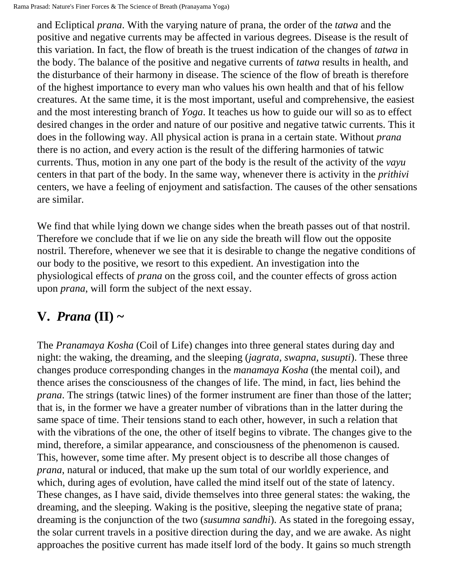and Ecliptical *prana*. With the varying nature of prana, the order of the *tatwa* and the positive and negative currents may be affected in various degrees. Disease is the result of this variation. In fact, the flow of breath is the truest indication of the changes of *tatwa* in the body. The balance of the positive and negative currents of *tatwa* results in health, and the disturbance of their harmony in disease. The science of the flow of breath is therefore of the highest importance to every man who values his own health and that of his fellow creatures. At the same time, it is the most important, useful and comprehensive, the easiest and the most interesting branch of *Yoga*. It teaches us how to guide our will so as to effect desired changes in the order and nature of our positive and negative tatwic currents. This it does in the following way. All physical action is prana in a certain state. Without *prana* there is no action, and every action is the result of the differing harmonies of tatwic currents. Thus, motion in any one part of the body is the result of the activity of the *vayu* centers in that part of the body. In the same way, whenever there is activity in the *prithivi* centers, we have a feeling of enjoyment and satisfaction. The causes of the other sensations are similar.

We find that while lying down we change sides when the breath passes out of that nostril. Therefore we conclude that if we lie on any side the breath will flow out the opposite nostril. Therefore, whenever we see that it is desirable to change the negative conditions of our body to the positive, we resort to this expedient. An investigation into the physiological effects of *prana* on the gross coil, and the counter effects of gross action upon *prana*, will form the subject of the next essay.

## **V.** *Prana* (II)  $\sim$

The *Pranamaya Kosha* (Coil of Life) changes into three general states during day and night: the waking, the dreaming, and the sleeping (*jagrata, swapna, susupti*). These three changes produce corresponding changes in the *manamaya Kosha* (the mental coil), and thence arises the consciousness of the changes of life. The mind, in fact, lies behind the *prana*. The strings (tatwic lines) of the former instrument are finer than those of the latter; that is, in the former we have a greater number of vibrations than in the latter during the same space of time. Their tensions stand to each other, however, in such a relation that with the vibrations of the one, the other of itself begins to vibrate. The changes give to the mind, therefore, a similar appearance, and consciousness of the phenomenon is caused. This, however, some time after. My present object is to describe all those changes of *prana*, natural or induced, that make up the sum total of our worldly experience, and which, during ages of evolution, have called the mind itself out of the state of latency. These changes, as I have said, divide themselves into three general states: the waking, the dreaming, and the sleeping. Waking is the positive, sleeping the negative state of prana; dreaming is the conjunction of the two (*susumna sandhi*). As stated in the foregoing essay, the solar current travels in a positive direction during the day, and we are awake. As night approaches the positive current has made itself lord of the body. It gains so much strength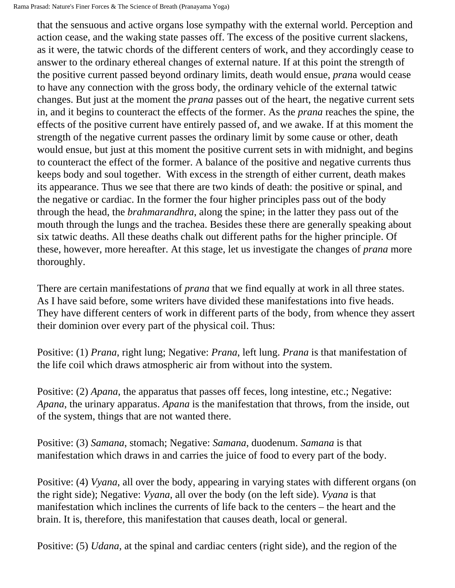that the sensuous and active organs lose sympathy with the external world. Perception and action cease, and the waking state passes off. The excess of the positive current slackens, as it were, the tatwic chords of the different centers of work, and they accordingly cease to answer to the ordinary ethereal changes of external nature. If at this point the strength of the positive current passed beyond ordinary limits, death would ensue, *pran*a would cease to have any connection with the gross body, the ordinary vehicle of the external tatwic changes. But just at the moment the *prana* passes out of the heart, the negative current sets in, and it begins to counteract the effects of the former. As the *prana* reaches the spine, the effects of the positive current have entirely passed of, and we awake. If at this moment the strength of the negative current passes the ordinary limit by some cause or other, death would ensue, but just at this moment the positive current sets in with midnight, and begins to counteract the effect of the former. A balance of the positive and negative currents thus keeps body and soul together. With excess in the strength of either current, death makes its appearance. Thus we see that there are two kinds of death: the positive or spinal, and the negative or cardiac. In the former the four higher principles pass out of the body through the head, the *brahmarandhra*, along the spine; in the latter they pass out of the mouth through the lungs and the trachea. Besides these there are generally speaking about six tatwic deaths. All these deaths chalk out different paths for the higher principle. Of these, however, more hereafter. At this stage, let us investigate the changes of *prana* more thoroughly.

There are certain manifestations of *prana* that we find equally at work in all three states. As I have said before, some writers have divided these manifestations into five heads. They have different centers of work in different parts of the body, from whence they assert their dominion over every part of the physical coil. Thus:

Positive: (1) *Prana*, right lung; Negative: *Prana*, left lung. *Prana* is that manifestation of the life coil which draws atmospheric air from without into the system.

Positive: (2) *Apana*, the apparatus that passes off feces, long intestine, etc.; Negative: *Apana*, the urinary apparatus. *Apana* is the manifestation that throws, from the inside, out of the system, things that are not wanted there.

Positive: (3) *Samana*, stomach; Negative: *Samana*, duodenum. *Samana* is that manifestation which draws in and carries the juice of food to every part of the body.

Positive: (4) *Vyana*, all over the body, appearing in varying states with different organs (on the right side); Negative: *Vyana*, all over the body (on the left side). *Vyana* is that manifestation which inclines the currents of life back to the centers – the heart and the brain. It is, therefore, this manifestation that causes death, local or general.

Positive: (5) *Udana*, at the spinal and cardiac centers (right side), and the region of the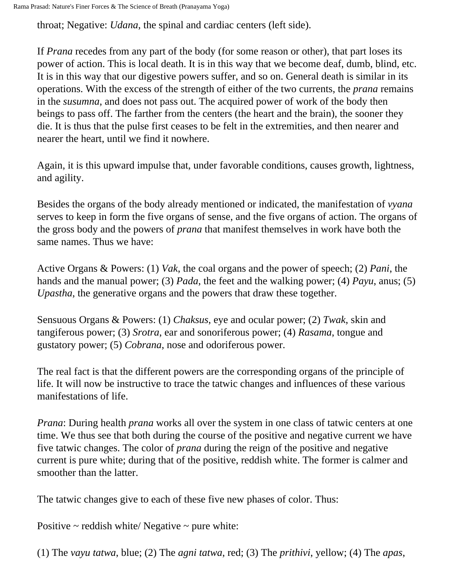Rama Prasad: Nature's Finer Forces & The Science of Breath (Pranayama Yoga)

throat; Negative: *Udana*, the spinal and cardiac centers (left side).

If *Prana* recedes from any part of the body (for some reason or other), that part loses its power of action. This is local death. It is in this way that we become deaf, dumb, blind, etc. It is in this way that our digestive powers suffer, and so on. General death is similar in its operations. With the excess of the strength of either of the two currents, the *prana* remains in the *susumna*, and does not pass out. The acquired power of work of the body then beings to pass off. The farther from the centers (the heart and the brain), the sooner they die. It is thus that the pulse first ceases to be felt in the extremities, and then nearer and nearer the heart, until we find it nowhere.

Again, it is this upward impulse that, under favorable conditions, causes growth, lightness, and agility.

Besides the organs of the body already mentioned or indicated, the manifestation of *vyana* serves to keep in form the five organs of sense, and the five organs of action. The organs of the gross body and the powers of *prana* that manifest themselves in work have both the same names. Thus we have:

Active Organs & Powers: (1) *Vak*, the coal organs and the power of speech; (2) *Pani*, the hands and the manual power; (3) *Pada*, the feet and the walking power; (4) *Payu*, anus; (5) *Upastha*, the generative organs and the powers that draw these together.

Sensuous Organs & Powers: (1) *Chaksus*, eye and ocular power; (2) *Twak*, skin and tangiferous power; (3) *Srotra*, ear and sonoriferous power; (4) *Rasama*, tongue and gustatory power; (5) *Cobrana*, nose and odoriferous power.

The real fact is that the different powers are the corresponding organs of the principle of life. It will now be instructive to trace the tatwic changes and influences of these various manifestations of life.

*Prana*: During health *prana* works all over the system in one class of tatwic centers at one time. We thus see that both during the course of the positive and negative current we have five tatwic changes. The color of *prana* during the reign of the positive and negative current is pure white; during that of the positive, reddish white. The former is calmer and smoother than the latter.

The tatwic changes give to each of these five new phases of color. Thus:

Positive  $\sim$  reddish white/ Negative  $\sim$  pure white:

(1) The *vayu tatwa*, blue; (2) The *agni tatwa*, red; (3) The *prithivi*, yellow; (4) The *apas*,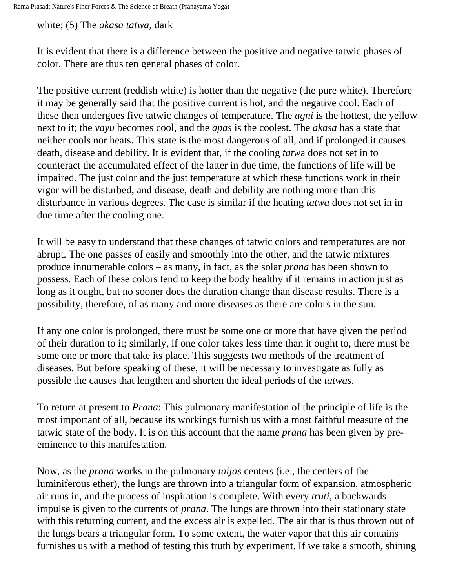Rama Prasad: Nature's Finer Forces & The Science of Breath (Pranayama Yoga)

white; (5) The *akasa tatwa*, dark

It is evident that there is a difference between the positive and negative tatwic phases of color. There are thus ten general phases of color.

The positive current (reddish white) is hotter than the negative (the pure white). Therefore it may be generally said that the positive current is hot, and the negative cool. Each of these then undergoes five tatwic changes of temperature. The *agni* is the hottest, the yellow next to it; the *vayu* becomes cool, and the *apas* is the coolest. The *akasa* has a state that neither cools nor heats. This state is the most dangerous of all, and if prolonged it causes death, disease and debility. It is evident that, if the cooling *tatw*a does not set in to counteract the accumulated effect of the latter in due time, the functions of life will be impaired. The just color and the just temperature at which these functions work in their vigor will be disturbed, and disease, death and debility are nothing more than this disturbance in various degrees. The case is similar if the heating *tatwa* does not set in in due time after the cooling one.

It will be easy to understand that these changes of tatwic colors and temperatures are not abrupt. The one passes of easily and smoothly into the other, and the tatwic mixtures produce innumerable colors – as many, in fact, as the solar *prana* has been shown to possess. Each of these colors tend to keep the body healthy if it remains in action just as long as it ought, but no sooner does the duration change than disease results. There is a possibility, therefore, of as many and more diseases as there are colors in the sun.

If any one color is prolonged, there must be some one or more that have given the period of their duration to it; similarly, if one color takes less time than it ought to, there must be some one or more that take its place. This suggests two methods of the treatment of diseases. But before speaking of these, it will be necessary to investigate as fully as possible the causes that lengthen and shorten the ideal periods of the *tatwas*.

To return at present to *Prana*: This pulmonary manifestation of the principle of life is the most important of all, because its workings furnish us with a most faithful measure of the tatwic state of the body. It is on this account that the name *prana* has been given by preeminence to this manifestation.

Now, as the *prana* works in the pulmonary *taijas* centers (i.e., the centers of the luminiferous ether), the lungs are thrown into a triangular form of expansion, atmospheric air runs in, and the process of inspiration is complete. With every *truti*, a backwards impulse is given to the currents of *prana*. The lungs are thrown into their stationary state with this returning current, and the excess air is expelled. The air that is thus thrown out of the lungs bears a triangular form. To some extent, the water vapor that this air contains furnishes us with a method of testing this truth by experiment. If we take a smooth, shining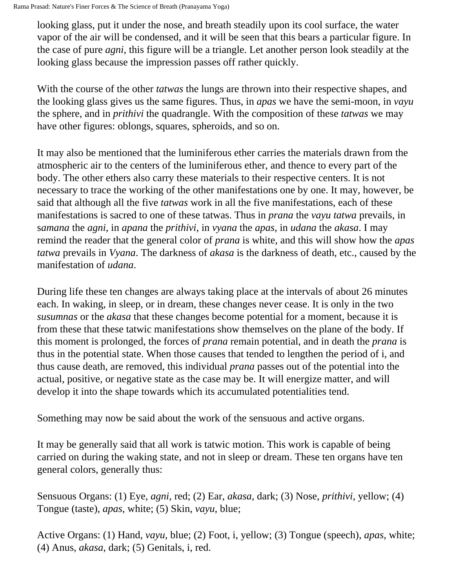looking glass, put it under the nose, and breath steadily upon its cool surface, the water vapor of the air will be condensed, and it will be seen that this bears a particular figure. In the case of pure *agni*, this figure will be a triangle. Let another person look steadily at the looking glass because the impression passes off rather quickly.

With the course of the other *tatwas* the lungs are thrown into their respective shapes, and the looking glass gives us the same figures. Thus, in *apas* we have the semi-moon, in *vayu* the sphere, and in *prithivi* the quadrangle. With the composition of these *tatwas* we may have other figures: oblongs, squares, spheroids, and so on.

It may also be mentioned that the luminiferous ether carries the materials drawn from the atmospheric air to the centers of the luminiferous ether, and thence to every part of the body. The other ethers also carry these materials to their respective centers. It is not necessary to trace the working of the other manifestations one by one. It may, however, be said that although all the five *tatwas* work in all the five manifestations, each of these manifestations is sacred to one of these tatwas. Thus in *prana* the *vayu tatwa* prevails, in s*amana* the *agni*, in *apana* the *prithivi*, in *vyana* the *apas*, in *udana* the *akasa*. I may remind the reader that the general color of *prana* is white, and this will show how the *apas tatwa* prevails in *Vyana*. The darkness of *akasa* is the darkness of death, etc., caused by the manifestation of *udana*.

During life these ten changes are always taking place at the intervals of about 26 minutes each. In waking, in sleep, or in dream, these changes never cease. It is only in the two *susumnas* or the *akasa* that these changes become potential for a moment, because it is from these that these tatwic manifestations show themselves on the plane of the body. If this moment is prolonged, the forces of *prana* remain potential, and in death the *prana* is thus in the potential state. When those causes that tended to lengthen the period of i, and thus cause death, are removed, this individual *prana* passes out of the potential into the actual, positive, or negative state as the case may be. It will energize matter, and will develop it into the shape towards which its accumulated potentialities tend.

Something may now be said about the work of the sensuous and active organs.

It may be generally said that all work is tatwic motion. This work is capable of being carried on during the waking state, and not in sleep or dream. These ten organs have ten general colors, generally thus:

Sensuous Organs: (1) Eye, *agni*, red; (2) Ear, *akasa*, dark; (3) Nose, *prithivi*, yellow; (4) Tongue (taste), *apas*, white; (5) Skin, *vayu*, blue;

Active Organs: (1) Hand, *vayu*, blue; (2) Foot, i, yellow; (3) Tongue (speech), *apas*, white; (4) Anus, *akasa*, dark; (5) Genitals, i, red.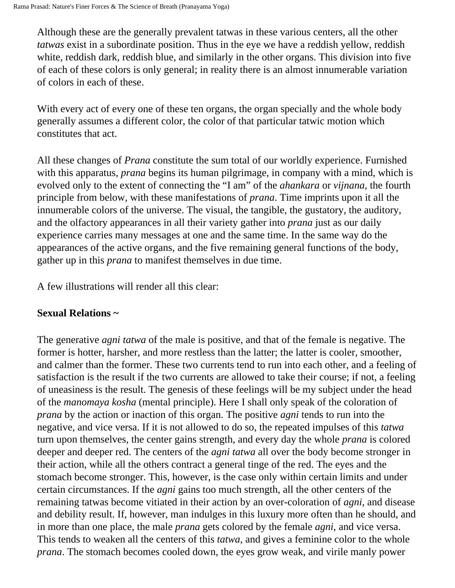Although these are the generally prevalent tatwas in these various centers, all the other *tatwas* exist in a subordinate position. Thus in the eye we have a reddish yellow, reddish white, reddish dark, reddish blue, and similarly in the other organs. This division into five of each of these colors is only general; in reality there is an almost innumerable variation of colors in each of these.

With every act of every one of these ten organs, the organ specially and the whole body generally assumes a different color, the color of that particular tatwic motion which constitutes that act.

All these changes of *Prana* constitute the sum total of our worldly experience. Furnished with this apparatus, *prana* begins its human pilgrimage, in company with a mind, which is evolved only to the extent of connecting the "I am" of the *ahankara* or *vijnana*, the fourth principle from below, with these manifestations of *prana*. Time imprints upon it all the innumerable colors of the universe. The visual, the tangible, the gustatory, the auditory, and the olfactory appearances in all their variety gather into *prana* just as our daily experience carries many messages at one and the same time. In the same way do the appearances of the active organs, and the five remaining general functions of the body, gather up in this *prana* to manifest themselves in due time.

A few illustrations will render all this clear:

#### **Sexual Relations ~**

The generative *agni tatwa* of the male is positive, and that of the female is negative. The former is hotter, harsher, and more restless than the latter; the latter is cooler, smoother, and calmer than the former. These two currents tend to run into each other, and a feeling of satisfaction is the result if the two currents are allowed to take their course; if not, a feeling of uneasiness is the result. The genesis of these feelings will be my subject under the head of the *manomaya kosha* (mental principle). Here I shall only speak of the coloration of *prana* by the action or inaction of this organ. The positive *agni* tends to run into the negative, and vice versa. If it is not allowed to do so, the repeated impulses of this *tatwa* turn upon themselves, the center gains strength, and every day the whole *prana* is colored deeper and deeper red. The centers of the *agni tatwa* all over the body become stronger in their action, while all the others contract a general tinge of the red. The eyes and the stomach become stronger. This, however, is the case only within certain limits and under certain circumstances. If the *agni* gains too much strength, all the other centers of the remaining tatwas become vitiated in their action by an over-coloration of *agni*, and disease and debility result. If, however, man indulges in this luxury more often than he should, and in more than one place, the male *prana* gets colored by the female *agni*, and vice versa. This tends to weaken all the centers of this *tatwa*, and gives a feminine color to the whole *prana*. The stomach becomes cooled down, the eyes grow weak, and virile manly power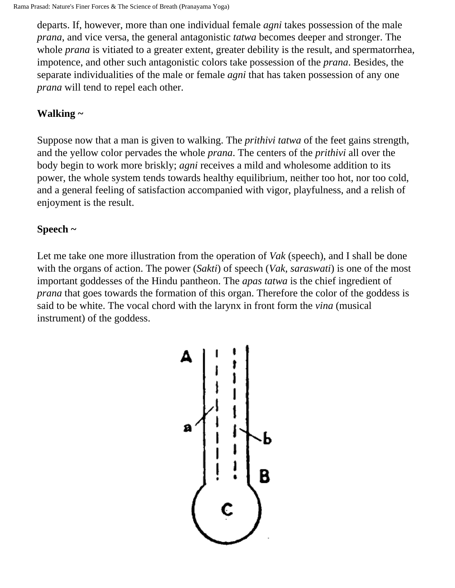departs. If, however, more than one individual female *agni* takes possession of the male *prana*, and vice versa, the general antagonistic *tatwa* becomes deeper and stronger. The whole *prana* is vitiated to a greater extent, greater debility is the result, and spermatorrhea, impotence, and other such antagonistic colors take possession of the *prana*. Besides, the separate individualities of the male or female *agni* that has taken possession of any one *prana* will tend to repel each other.

### **Walking ~**

Suppose now that a man is given to walking. The *prithivi tatwa* of the feet gains strength, and the yellow color pervades the whole *prana*. The centers of the *prithivi* all over the body begin to work more briskly; *agni* receives a mild and wholesome addition to its power, the whole system tends towards healthy equilibrium, neither too hot, nor too cold, and a general feeling of satisfaction accompanied with vigor, playfulness, and a relish of enjoyment is the result.

#### **Speech ~**

Let me take one more illustration from the operation of *Vak* (speech), and I shall be done with the organs of action. The power (*Sakti*) of speech (*Vak, saraswati*) is one of the most important goddesses of the Hindu pantheon. The *apas tatwa* is the chief ingredient of *prana* that goes towards the formation of this organ. Therefore the color of the goddess is said to be white. The vocal chord with the larynx in front form the *vina* (musical instrument) of the goddess.

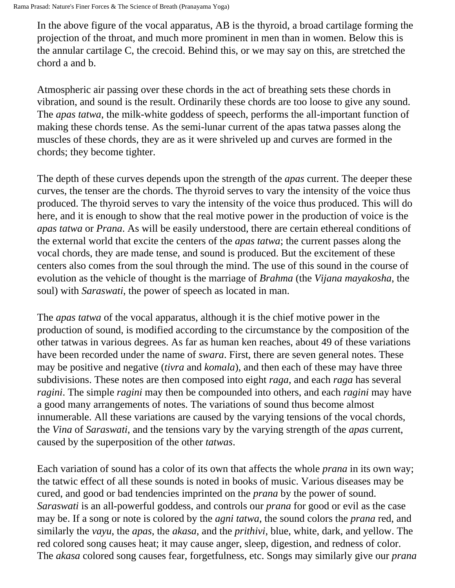In the above figure of the vocal apparatus, AB is the thyroid, a broad cartilage forming the projection of the throat, and much more prominent in men than in women. Below this is the annular cartilage C, the crecoid. Behind this, or we may say on this, are stretched the chord a and b.

Atmospheric air passing over these chords in the act of breathing sets these chords in vibration, and sound is the result. Ordinarily these chords are too loose to give any sound. The *apas tatwa*, the milk-white goddess of speech, performs the all-important function of making these chords tense. As the semi-lunar current of the apas tatwa passes along the muscles of these chords, they are as it were shriveled up and curves are formed in the chords; they become tighter.

The depth of these curves depends upon the strength of the *apas* current. The deeper these curves, the tenser are the chords. The thyroid serves to vary the intensity of the voice thus produced. The thyroid serves to vary the intensity of the voice thus produced. This will do here, and it is enough to show that the real motive power in the production of voice is the *apas tatwa* or *Prana*. As will be easily understood, there are certain ethereal conditions of the external world that excite the centers of the *apas tatwa*; the current passes along the vocal chords, they are made tense, and sound is produced. But the excitement of these centers also comes from the soul through the mind. The use of this sound in the course of evolution as the vehicle of thought is the marriage of *Brahma* (the *Vijana mayakosha*, the soul) with *Saraswati*, the power of speech as located in man.

The *apas tatwa* of the vocal apparatus, although it is the chief motive power in the production of sound, is modified according to the circumstance by the composition of the other tatwas in various degrees. As far as human ken reaches, about 49 of these variations have been recorded under the name of *swara*. First, there are seven general notes. These may be positive and negative (*tivra* and *komala*), and then each of these may have three subdivisions. These notes are then composed into eight *raga*, and each *raga* has several *ragini*. The simple *ragini* may then be compounded into others, and each *ragini* may have a good many arrangements of notes. The variations of sound thus become almost innumerable. All these variations are caused by the varying tensions of the vocal chords, the *Vina* of *Saraswati*, and the tensions vary by the varying strength of the *apas* current, caused by the superposition of the other *tatwas*.

Each variation of sound has a color of its own that affects the whole *prana* in its own way; the tatwic effect of all these sounds is noted in books of music. Various diseases may be cured, and good or bad tendencies imprinted on the *prana* by the power of sound. *Saraswati* is an all-powerful goddess, and controls our *prana* for good or evil as the case may be. If a song or note is colored by the *agni tatwa*, the sound colors the *prana* red, and similarly the *vayu*, the *apas*, the *akasa*, and the *prithivi*, blue, white, dark, and yellow. The red colored song causes heat; it may cause anger, sleep, digestion, and redness of color. The *akasa* colored song causes fear, forgetfulness, etc. Songs may similarly give our *prana*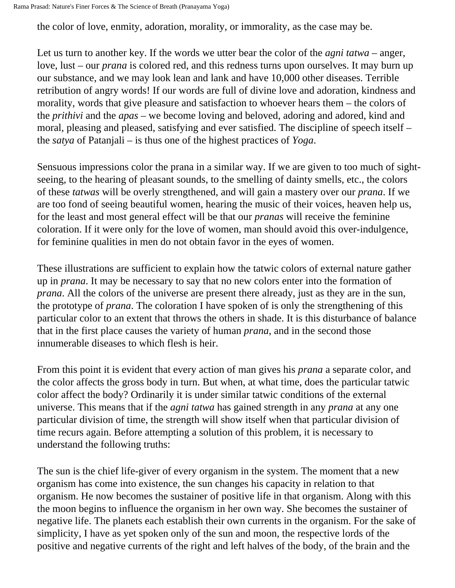the color of love, enmity, adoration, morality, or immorality, as the case may be.

Let us turn to another key. If the words we utter bear the color of the *agni tatwa* – anger, love, lust – our *prana* is colored red, and this redness turns upon ourselves. It may burn up our substance, and we may look lean and lank and have 10,000 other diseases. Terrible retribution of angry words! If our words are full of divine love and adoration, kindness and morality, words that give pleasure and satisfaction to whoever hears them – the colors of the *prithivi* and the *apas* – we become loving and beloved, adoring and adored, kind and moral, pleasing and pleased, satisfying and ever satisfied. The discipline of speech itself – the *satya* of Patanjali – is thus one of the highest practices of *Yoga*.

Sensuous impressions color the prana in a similar way. If we are given to too much of sightseeing, to the hearing of pleasant sounds, to the smelling of dainty smells, etc., the colors of these *tatwas* will be overly strengthened, and will gain a mastery over our *prana*. If we are too fond of seeing beautiful women, hearing the music of their voices, heaven help us, for the least and most general effect will be that our *pranas* will receive the feminine coloration. If it were only for the love of women, man should avoid this over-indulgence, for feminine qualities in men do not obtain favor in the eyes of women.

These illustrations are sufficient to explain how the tatwic colors of external nature gather up in *prana*. It may be necessary to say that no new colors enter into the formation of *prana*. All the colors of the universe are present there already, just as they are in the sun, the prototype of *prana*. The coloration I have spoken of is only the strengthening of this particular color to an extent that throws the others in shade. It is this disturbance of balance that in the first place causes the variety of human *prana*, and in the second those innumerable diseases to which flesh is heir.

From this point it is evident that every action of man gives his *prana* a separate color, and the color affects the gross body in turn. But when, at what time, does the particular tatwic color affect the body? Ordinarily it is under similar tatwic conditions of the external universe. This means that if the *agni tatwa* has gained strength in any *prana* at any one particular division of time, the strength will show itself when that particular division of time recurs again. Before attempting a solution of this problem, it is necessary to understand the following truths:

The sun is the chief life-giver of every organism in the system. The moment that a new organism has come into existence, the sun changes his capacity in relation to that organism. He now becomes the sustainer of positive life in that organism. Along with this the moon begins to influence the organism in her own way. She becomes the sustainer of negative life. The planets each establish their own currents in the organism. For the sake of simplicity, I have as yet spoken only of the sun and moon, the respective lords of the positive and negative currents of the right and left halves of the body, of the brain and the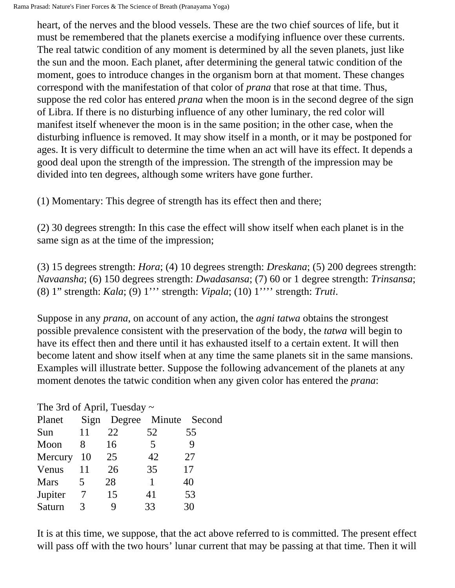heart, of the nerves and the blood vessels. These are the two chief sources of life, but it must be remembered that the planets exercise a modifying influence over these currents. The real tatwic condition of any moment is determined by all the seven planets, just like the sun and the moon. Each planet, after determining the general tatwic condition of the moment, goes to introduce changes in the organism born at that moment. These changes correspond with the manifestation of that color of *prana* that rose at that time. Thus, suppose the red color has entered *prana* when the moon is in the second degree of the sign of Libra. If there is no disturbing influence of any other luminary, the red color will manifest itself whenever the moon is in the same position; in the other case, when the disturbing influence is removed. It may show itself in a month, or it may be postponed for ages. It is very difficult to determine the time when an act will have its effect. It depends a good deal upon the strength of the impression. The strength of the impression may be divided into ten degrees, although some writers have gone further.

(1) Momentary: This degree of strength has its effect then and there;

(2) 30 degrees strength: In this case the effect will show itself when each planet is in the same sign as at the time of the impression;

(3) 15 degrees strength: *Hora*; (4) 10 degrees strength: *Dreskana*; (5) 200 degrees strength: *Navaansha*; (6) 150 degrees strength: *Dwadasansa*; (7) 60 or 1 degree strength: *Trinsansa*; (8) 1" strength: *Kala*; (9) 1''' strength: *Vipala*; (10) 1'''' strength: *Truti*.

Suppose in any *prana*, on account of any action, the *agni tatwa* obtains the strongest possible prevalence consistent with the preservation of the body, the *tatwa* will begin to have its effect then and there until it has exhausted itself to a certain extent. It will then become latent and show itself when at any time the same planets sit in the same mansions. Examples will illustrate better. Suppose the following advancement of the planets at any moment denotes the tatwic condition when any given color has entered the *prana*:

The 3rd of April, Tuesday ~

| Planet      |    |    |    | Sign Degree Minute Second |
|-------------|----|----|----|---------------------------|
| Sun         | 11 | 22 | 52 | 55                        |
| Moon        | 8  | 16 | 5  |                           |
| Mercury     | 10 | 25 | 42 | 27                        |
| Venus       | 11 | 26 | 35 | 17                        |
| <b>Mars</b> |    | 28 | 1  | 40                        |
| Jupiter     |    | 15 | 41 | 53                        |
| Saturn      | 3  |    | 33 | 30                        |
|             |    |    |    |                           |

It is at this time, we suppose, that the act above referred to is committed. The present effect will pass off with the two hours' lunar current that may be passing at that time. Then it will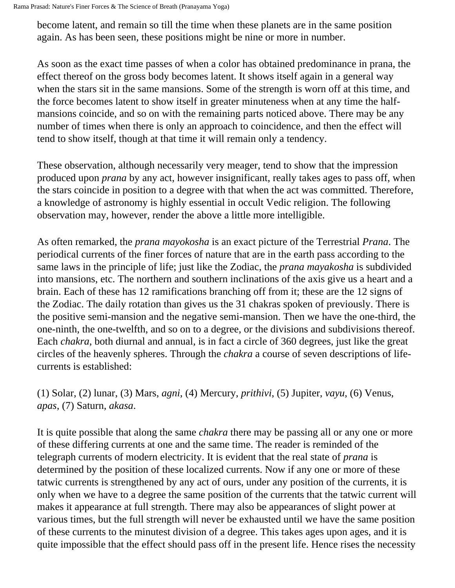Rama Prasad: Nature's Finer Forces & The Science of Breath (Pranayama Yoga)

become latent, and remain so till the time when these planets are in the same position again. As has been seen, these positions might be nine or more in number.

As soon as the exact time passes of when a color has obtained predominance in prana, the effect thereof on the gross body becomes latent. It shows itself again in a general way when the stars sit in the same mansions. Some of the strength is worn off at this time, and the force becomes latent to show itself in greater minuteness when at any time the halfmansions coincide, and so on with the remaining parts noticed above. There may be any number of times when there is only an approach to coincidence, and then the effect will tend to show itself, though at that time it will remain only a tendency.

These observation, although necessarily very meager, tend to show that the impression produced upon *prana* by any act, however insignificant, really takes ages to pass off, when the stars coincide in position to a degree with that when the act was committed. Therefore, a knowledge of astronomy is highly essential in occult Vedic religion. The following observation may, however, render the above a little more intelligible.

As often remarked, the *prana mayokosha* is an exact picture of the Terrestrial *Prana*. The periodical currents of the finer forces of nature that are in the earth pass according to the same laws in the principle of life; just like the Zodiac, the *prana mayakosha* is subdivided into mansions, etc. The northern and southern inclinations of the axis give us a heart and a brain. Each of these has 12 ramifications branching off from it; these are the 12 signs of the Zodiac. The daily rotation than gives us the 31 chakras spoken of previously. There is the positive semi-mansion and the negative semi-mansion. Then we have the one-third, the one-ninth, the one-twelfth, and so on to a degree, or the divisions and subdivisions thereof. Each *chakra*, both diurnal and annual, is in fact a circle of 360 degrees, just like the great circles of the heavenly spheres. Through the *chakra* a course of seven descriptions of lifecurrents is established:

(1) Solar, (2) lunar, (3) Mars, *agni*, (4) Mercury, *prithivi*, (5) Jupiter, *vayu*, (6) Venus, *apas*, (7) Saturn, *akasa*.

It is quite possible that along the same *chakra* there may be passing all or any one or more of these differing currents at one and the same time. The reader is reminded of the telegraph currents of modern electricity. It is evident that the real state of *prana* is determined by the position of these localized currents. Now if any one or more of these tatwic currents is strengthened by any act of ours, under any position of the currents, it is only when we have to a degree the same position of the currents that the tatwic current will makes it appearance at full strength. There may also be appearances of slight power at various times, but the full strength will never be exhausted until we have the same position of these currents to the minutest division of a degree. This takes ages upon ages, and it is quite impossible that the effect should pass off in the present life. Hence rises the necessity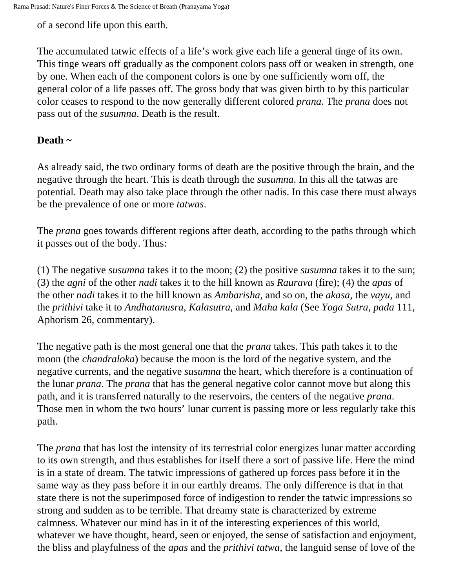of a second life upon this earth.

The accumulated tatwic effects of a life's work give each life a general tinge of its own. This tinge wears off gradually as the component colors pass off or weaken in strength, one by one. When each of the component colors is one by one sufficiently worn off, the general color of a life passes off. The gross body that was given birth to by this particular color ceases to respond to the now generally different colored *prana*. The *prana* does not pass out of the *susumna*. Death is the result.

#### **Death ~**

As already said, the two ordinary forms of death are the positive through the brain, and the negative through the heart. This is death through the *susumna*. In this all the tatwas are potential. Death may also take place through the other nadis. In this case there must always be the prevalence of one or more *tatwas*.

The *prana* goes towards different regions after death, according to the paths through which it passes out of the body. Thus:

(1) The negative *susumna* takes it to the moon; (2) the positive *susumna* takes it to the sun; (3) the *agni* of the other *nadi* takes it to the hill known as *Raurava* (fire); (4) the *apas* of the other *nadi* takes it to the hill known as *Ambarisha*, and so on, the *akasa*, the *vayu*, and the *prithivi* take it to *Andhatanusra*, *Kalasutra*, and *Maha kala* (See *Yoga Sutra*, *pada* 111, Aphorism 26, commentary).

The negative path is the most general one that the *prana* takes. This path takes it to the moon (the *chandraloka*) because the moon is the lord of the negative system, and the negative currents, and the negative *susumna* the heart, which therefore is a continuation of the lunar *prana*. The *prana* that has the general negative color cannot move but along this path, and it is transferred naturally to the reservoirs, the centers of the negative *prana*. Those men in whom the two hours' lunar current is passing more or less regularly take this path.

The *prana* that has lost the intensity of its terrestrial color energizes lunar matter according to its own strength, and thus establishes for itself there a sort of passive life. Here the mind is in a state of dream. The tatwic impressions of gathered up forces pass before it in the same way as they pass before it in our earthly dreams. The only difference is that in that state there is not the superimposed force of indigestion to render the tatwic impressions so strong and sudden as to be terrible. That dreamy state is characterized by extreme calmness. Whatever our mind has in it of the interesting experiences of this world, whatever we have thought, heard, seen or enjoyed, the sense of satisfaction and enjoyment, the bliss and playfulness of the *apas* and the *prithivi tatwa*, the languid sense of love of the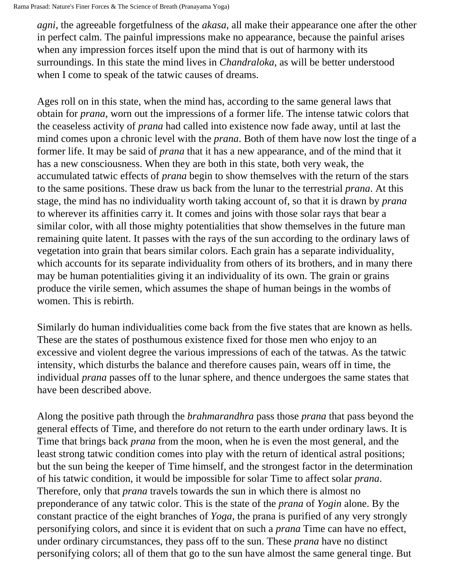*agni*, the agreeable forgetfulness of the *akasa*, all make their appearance one after the other in perfect calm. The painful impressions make no appearance, because the painful arises when any impression forces itself upon the mind that is out of harmony with its surroundings. In this state the mind lives in *Chandraloka*, as will be better understood when I come to speak of the tatwic causes of dreams.

Ages roll on in this state, when the mind has, according to the same general laws that obtain for *prana*, worn out the impressions of a former life. The intense tatwic colors that the ceaseless activity of *prana* had called into existence now fade away, until at last the mind comes upon a chronic level with the *prana*. Both of them have now lost the tinge of a former life. It may be said of *prana* that it has a new appearance, and of the mind that it has a new consciousness. When they are both in this state, both very weak, the accumulated tatwic effects of *prana* begin to show themselves with the return of the stars to the same positions. These draw us back from the lunar to the terrestrial *prana*. At this stage, the mind has no individuality worth taking account of, so that it is drawn by *prana* to wherever its affinities carry it. It comes and joins with those solar rays that bear a similar color, with all those mighty potentialities that show themselves in the future man remaining quite latent. It passes with the rays of the sun according to the ordinary laws of vegetation into grain that bears similar colors. Each grain has a separate individuality, which accounts for its separate individuality from others of its brothers, and in many there may be human potentialities giving it an individuality of its own. The grain or grains produce the virile semen, which assumes the shape of human beings in the wombs of women. This is rebirth.

Similarly do human individualities come back from the five states that are known as hells. These are the states of posthumous existence fixed for those men who enjoy to an excessive and violent degree the various impressions of each of the tatwas. As the tatwic intensity, which disturbs the balance and therefore causes pain, wears off in time, the individual *prana* passes off to the lunar sphere, and thence undergoes the same states that have been described above.

Along the positive path through the *brahmarandhra* pass those *prana* that pass beyond the general effects of Time, and therefore do not return to the earth under ordinary laws. It is Time that brings back *prana* from the moon, when he is even the most general, and the least strong tatwic condition comes into play with the return of identical astral positions; but the sun being the keeper of Time himself, and the strongest factor in the determination of his tatwic condition, it would be impossible for solar Time to affect solar *prana*. Therefore, only that *prana* travels towards the sun in which there is almost no preponderance of any tatwic color. This is the state of the *prana* of *Yogin* alone. By the constant practice of the eight branches of *Yoga*, the prana is purified of any very strongly personifying colors, and since it is evident that on such a *prana* Time can have no effect, under ordinary circumstances, they pass off to the sun. These *prana* have no distinct personifying colors; all of them that go to the sun have almost the same general tinge. But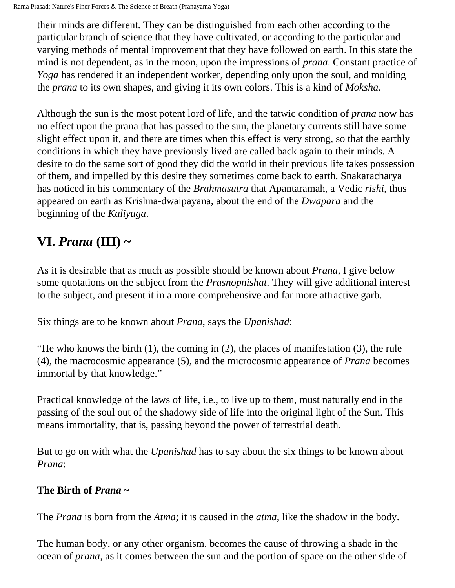their minds are different. They can be distinguished from each other according to the particular branch of science that they have cultivated, or according to the particular and varying methods of mental improvement that they have followed on earth. In this state the mind is not dependent, as in the moon, upon the impressions of *prana*. Constant practice of *Yoga* has rendered it an independent worker, depending only upon the soul, and molding the *prana* to its own shapes, and giving it its own colors. This is a kind of *Moksha*.

Although the sun is the most potent lord of life, and the tatwic condition of *prana* now has no effect upon the prana that has passed to the sun, the planetary currents still have some slight effect upon it, and there are times when this effect is very strong, so that the earthly conditions in which they have previously lived are called back again to their minds. A desire to do the same sort of good they did the world in their previous life takes possession of them, and impelled by this desire they sometimes come back to earth. Snakaracharya has noticed in his commentary of the *Brahmasutra* that Apantaramah, a Vedic *rishi*, thus appeared on earth as Krishna-dwaipayana, about the end of the *Dwapara* and the beginning of the *Kaliyuga*.

# **VI.** *Prana* **(III) ~**

As it is desirable that as much as possible should be known about *Prana*, I give below some quotations on the subject from the *Prasnopnishat*. They will give additional interest to the subject, and present it in a more comprehensive and far more attractive garb.

Six things are to be known about *Prana*, says the *Upanishad*:

"He who knows the birth (1), the coming in (2), the places of manifestation (3), the rule (4), the macrocosmic appearance (5), and the microcosmic appearance of *Prana* becomes immortal by that knowledge."

Practical knowledge of the laws of life, i.e., to live up to them, must naturally end in the passing of the soul out of the shadowy side of life into the original light of the Sun. This means immortality, that is, passing beyond the power of terrestrial death.

But to go on with what the *Upanishad* has to say about the six things to be known about *Prana*:

### **The Birth of** *Prana* **~**

The *Prana* is born from the *Atma*; it is caused in the *atma*, like the shadow in the body.

The human body, or any other organism, becomes the cause of throwing a shade in the ocean of *prana*, as it comes between the sun and the portion of space on the other side of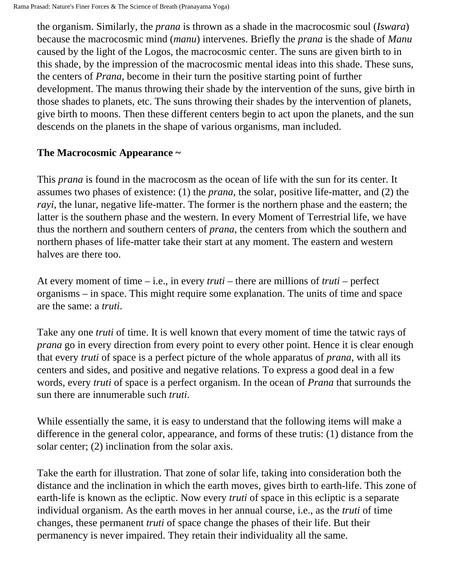the organism. Similarly, the *prana* is thrown as a shade in the macrocosmic soul (*Iswara*) because the macrocosmic mind (*manu*) intervenes. Briefly the *prana* is the shade of *Manu* caused by the light of the Logos, the macrocosmic center. The suns are given birth to in this shade, by the impression of the macrocosmic mental ideas into this shade. These suns, the centers of *Prana*, become in their turn the positive starting point of further development. The manus throwing their shade by the intervention of the suns, give birth in those shades to planets, etc. The suns throwing their shades by the intervention of planets, give birth to moons. Then these different centers begin to act upon the planets, and the sun descends on the planets in the shape of various organisms, man included.

#### **The Macrocosmic Appearance ~**

This *prana* is found in the macrocosm as the ocean of life with the sun for its center. It assumes two phases of existence: (1) the *prana*, the solar, positive life-matter, and (2) the *rayi*, the lunar, negative life-matter. The former is the northern phase and the eastern; the latter is the southern phase and the western. In every Moment of Terrestrial life, we have thus the northern and southern centers of *prana*, the centers from which the southern and northern phases of life-matter take their start at any moment. The eastern and western halves are there too.

At every moment of time – i.e., in every *truti* – there are millions of *truti* – perfect organisms – in space. This might require some explanation. The units of time and space are the same: a *truti*.

Take any one *truti* of time. It is well known that every moment of time the tatwic rays of *prana* go in every direction from every point to every other point. Hence it is clear enough that every *truti* of space is a perfect picture of the whole apparatus of *prana*, with all its centers and sides, and positive and negative relations. To express a good deal in a few words, every *truti* of space is a perfect organism. In the ocean of *Prana* that surrounds the sun there are innumerable such *truti*.

While essentially the same, it is easy to understand that the following items will make a difference in the general color, appearance, and forms of these trutis: (1) distance from the solar center; (2) inclination from the solar axis.

Take the earth for illustration. That zone of solar life, taking into consideration both the distance and the inclination in which the earth moves, gives birth to earth-life. This zone of earth-life is known as the ecliptic. Now every *truti* of space in this ecliptic is a separate individual organism. As the earth moves in her annual course, i.e., as the *truti* of time changes, these permanent *truti* of space change the phases of their life. But their permanency is never impaired. They retain their individuality all the same.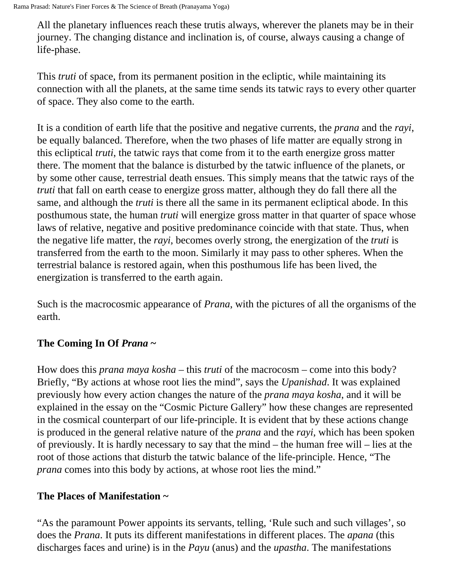Rama Prasad: Nature's Finer Forces & The Science of Breath (Pranayama Yoga)

All the planetary influences reach these trutis always, wherever the planets may be in their journey. The changing distance and inclination is, of course, always causing a change of life-phase.

This *truti* of space, from its permanent position in the ecliptic, while maintaining its connection with all the planets, at the same time sends its tatwic rays to every other quarter of space. They also come to the earth.

It is a condition of earth life that the positive and negative currents, the *prana* and the *rayi*, be equally balanced. Therefore, when the two phases of life matter are equally strong in this ecliptical *truti*, the tatwic rays that come from it to the earth energize gross matter there. The moment that the balance is disturbed by the tatwic influence of the planets, or by some other cause, terrestrial death ensues. This simply means that the tatwic rays of the *truti* that fall on earth cease to energize gross matter, although they do fall there all the same, and although the *truti* is there all the same in its permanent ecliptical abode. In this posthumous state, the human *truti* will energize gross matter in that quarter of space whose laws of relative, negative and positive predominance coincide with that state. Thus, when the negative life matter, the *rayi*, becomes overly strong, the energization of the *truti* is transferred from the earth to the moon. Similarly it may pass to other spheres. When the terrestrial balance is restored again, when this posthumous life has been lived, the energization is transferred to the earth again.

Such is the macrocosmic appearance of *Prana*, with the pictures of all the organisms of the earth.

#### The Coming In Of *Prana* ~

How does this *prana maya kosha* – this *truti* of the macrocosm – come into this body? Briefly, "By actions at whose root lies the mind", says the *Upanishad*. It was explained previously how every action changes the nature of the *prana maya kosha*, and it will be explained in the essay on the "Cosmic Picture Gallery" how these changes are represented in the cosmical counterpart of our life-principle. It is evident that by these actions change is produced in the general relative nature of the *prana* and the *rayi*, which has been spoken of previously. It is hardly necessary to say that the mind – the human free will – lies at the root of those actions that disturb the tatwic balance of the life-principle. Hence, "The *prana* comes into this body by actions, at whose root lies the mind."

#### **The Places of Manifestation ~**

"As the paramount Power appoints its servants, telling, 'Rule such and such villages', so does the *Prana*. It puts its different manifestations in different places. The *apana* (this discharges faces and urine) is in the *Payu* (anus) and the *upastha*. The manifestations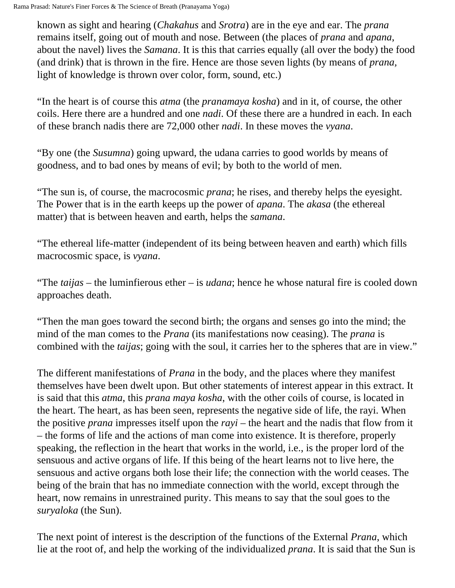known as sight and hearing (*Chakahus* and *Srotra*) are in the eye and ear. The *prana* remains itself, going out of mouth and nose. Between (the places of *prana* and *apana*, about the navel) lives the *Samana*. It is this that carries equally (all over the body) the food (and drink) that is thrown in the fire. Hence are those seven lights (by means of *prana,* light of knowledge is thrown over color, form, sound, etc.)

"In the heart is of course this *atma* (the *pranamaya kosha*) and in it, of course, the other coils. Here there are a hundred and one *nadi*. Of these there are a hundred in each. In each of these branch nadis there are 72,000 other *nadi*. In these moves the *vyana*.

"By one (the *Susumna*) going upward, the udana carries to good worlds by means of goodness, and to bad ones by means of evil; by both to the world of men.

"The sun is, of course, the macrocosmic *prana*; he rises, and thereby helps the eyesight. The Power that is in the earth keeps up the power of *apana*. The *akasa* (the ethereal matter) that is between heaven and earth, helps the *samana*.

"The ethereal life-matter (independent of its being between heaven and earth) which fills macrocosmic space, is *vyana*.

"The *taijas* – the luminfierous ether – is *udana*; hence he whose natural fire is cooled down approaches death.

"Then the man goes toward the second birth; the organs and senses go into the mind; the mind of the man comes to the *Prana* (its manifestations now ceasing). The *prana* is combined with the *taijas*; going with the soul, it carries her to the spheres that are in view."

The different manifestations of *Prana* in the body, and the places where they manifest themselves have been dwelt upon. But other statements of interest appear in this extract. It is said that this *atma*, this *prana maya kosha*, with the other coils of course, is located in the heart. The heart, as has been seen, represents the negative side of life, the rayi. When the positive *prana* impresses itself upon the *rayi* – the heart and the nadis that flow from it – the forms of life and the actions of man come into existence. It is therefore, properly speaking, the reflection in the heart that works in the world, i.e., is the proper lord of the sensuous and active organs of life. If this being of the heart learns not to live here, the sensuous and active organs both lose their life; the connection with the world ceases. The being of the brain that has no immediate connection with the world, except through the heart, now remains in unrestrained purity. This means to say that the soul goes to the *suryaloka* (the Sun).

The next point of interest is the description of the functions of the External *Prana*, which lie at the root of, and help the working of the individualized *prana*. It is said that the Sun is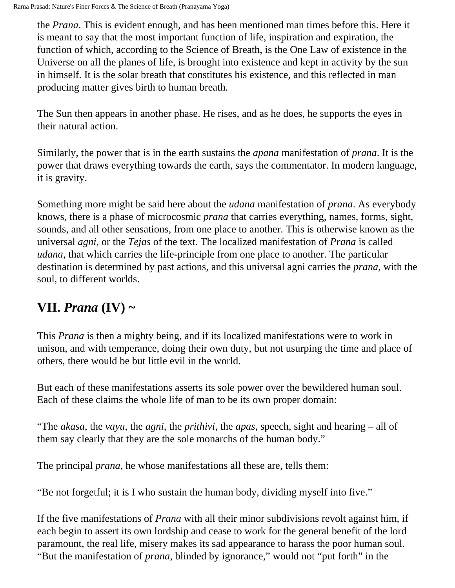the *Prana*. This is evident enough, and has been mentioned man times before this. Here it is meant to say that the most important function of life, inspiration and expiration, the function of which, according to the Science of Breath, is the One Law of existence in the Universe on all the planes of life, is brought into existence and kept in activity by the sun in himself. It is the solar breath that constitutes his existence, and this reflected in man producing matter gives birth to human breath.

The Sun then appears in another phase. He rises, and as he does, he supports the eyes in their natural action.

Similarly, the power that is in the earth sustains the *apana* manifestation of *prana*. It is the power that draws everything towards the earth, says the commentator. In modern language, it is gravity.

Something more might be said here about the *udana* manifestation of *prana*. As everybody knows, there is a phase of microcosmic *prana* that carries everything, names, forms, sight, sounds, and all other sensations, from one place to another. This is otherwise known as the universal *agni*, or the *Tejas* of the text. The localized manifestation of *Prana* is called *udana*, that which carries the life-principle from one place to another. The particular destination is determined by past actions, and this universal agni carries the *prana*, with the soul, to different worlds.

## **VII.** *Prana* (IV)  $\sim$

This *Prana* is then a mighty being, and if its localized manifestations were to work in unison, and with temperance, doing their own duty, but not usurping the time and place of others, there would be but little evil in the world.

But each of these manifestations asserts its sole power over the bewildered human soul. Each of these claims the whole life of man to be its own proper domain:

"The *akasa*, the *vayu*, the *agni*, the *prithivi*, the *apas*, speech, sight and hearing – all of them say clearly that they are the sole monarchs of the human body."

The principal *prana*, he whose manifestations all these are, tells them:

"Be not forgetful; it is I who sustain the human body, dividing myself into five."

If the five manifestations of *Prana* with all their minor subdivisions revolt against him, if each begin to assert its own lordship and cease to work for the general benefit of the lord paramount, the real life, misery makes its sad appearance to harass the poor human soul. "But the manifestation of *prana*, blinded by ignorance," would not "put forth" in the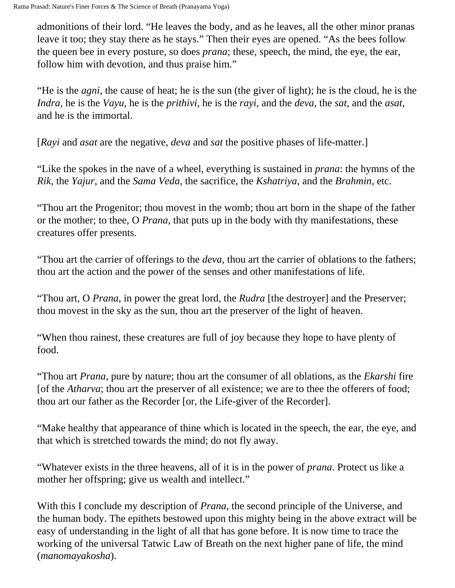admonitions of their lord. "He leaves the body, and as he leaves, all the other minor pranas leave it too; they stay there as he stays." Then their eyes are opened. "As the bees follow the queen bee in every posture, so does *prana*; these, speech, the mind, the eye, the ear, follow him with devotion, and thus praise him."

"He is the *agni*, the cause of heat; he is the sun (the giver of light); he is the cloud, he is the *Indra*, he is the *Vayu*, he is the *prithivi*, he is the *rayi*, and the *deva*, the *sat*, and the *asat*, and he is the immortal.

[*Rayi* and *asat* are the negative, *deva* and *sat* the positive phases of life-matter.]

"Like the spokes in the nave of a wheel, everything is sustained in *prana*: the hymns of the *Rik*, the *Yajur*, and the *Sama Veda*, the sacrifice, the *Kshatriya*, and the *Brahmin*, etc.

"Thou art the Progenitor; thou movest in the womb; thou art born in the shape of the father or the mother; to thee, O *Prana*, that puts up in the body with thy manifestations, these creatures offer presents.

"Thou art the carrier of offerings to the *deva*, thou art the carrier of oblations to the fathers; thou art the action and the power of the senses and other manifestations of life.

"Thou art, O *Prana*, in power the great lord, the *Rudra* [the destroyer] and the Preserver; thou movest in the sky as the sun, thou art the preserver of the light of heaven.

"When thou rainest, these creatures are full of joy because they hope to have plenty of food.

"Thou art *Prana*, pure by nature; thou art the consumer of all oblations, as the *Ekarshi* fire [of the *Atharva*; thou art the preserver of all existence; we are to thee the offerers of food; thou art our father as the Recorder [or, the Life-giver of the Recorder].

"Make healthy that appearance of thine which is located in the speech, the ear, the eye, and that which is stretched towards the mind; do not fly away.

"Whatever exists in the three heavens, all of it is in the power of *prana*. Protect us like a mother her offspring; give us wealth and intellect."

With this I conclude my description of *Prana*, the second principle of the Universe, and the human body. The epithets bestowed upon this mighty being in the above extract will be easy of understanding in the light of all that has gone before. It is now time to trace the working of the universal Tatwic Law of Breath on the next higher pane of life, the mind (*manomayakosha*).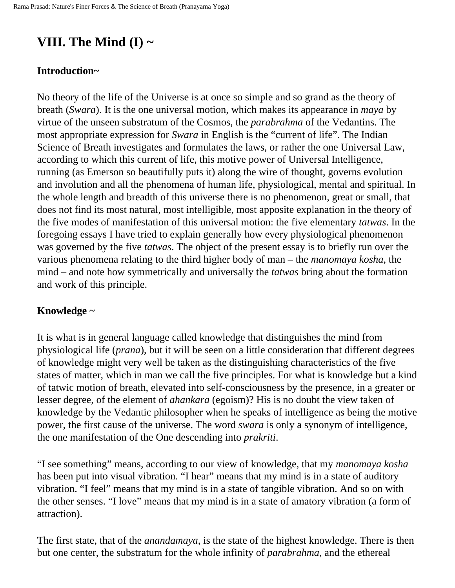## **VIII. The Mind (I) ~**

#### **Introduction~**

No theory of the life of the Universe is at once so simple and so grand as the theory of breath (*Swara*). It is the one universal motion, which makes its appearance in *maya* by virtue of the unseen substratum of the Cosmos, the *parabrahma* of the Vedantins. The most appropriate expression for *Swara* in English is the "current of life". The Indian Science of Breath investigates and formulates the laws, or rather the one Universal Law, according to which this current of life, this motive power of Universal Intelligence, running (as Emerson so beautifully puts it) along the wire of thought, governs evolution and involution and all the phenomena of human life, physiological, mental and spiritual. In the whole length and breadth of this universe there is no phenomenon, great or small, that does not find its most natural, most intelligible, most apposite explanation in the theory of the five modes of manifestation of this universal motion: the five elementary *tatwas*. In the foregoing essays I have tried to explain generally how every physiological phenomenon was governed by the five *tatwas*. The object of the present essay is to briefly run over the various phenomena relating to the third higher body of man – the *manomaya kosha*, the mind – and note how symmetrically and universally the *tatwas* bring about the formation and work of this principle.

#### **Knowledge ~**

It is what is in general language called knowledge that distinguishes the mind from physiological life (*prana*), but it will be seen on a little consideration that different degrees of knowledge might very well be taken as the distinguishing characteristics of the five states of matter, which in man we call the five principles. For what is knowledge but a kind of tatwic motion of breath, elevated into self-consciousness by the presence, in a greater or lesser degree, of the element of *ahankara* (egoism)? His is no doubt the view taken of knowledge by the Vedantic philosopher when he speaks of intelligence as being the motive power, the first cause of the universe. The word *swara* is only a synonym of intelligence, the one manifestation of the One descending into *prakriti*.

"I see something" means, according to our view of knowledge, that my *manomaya kosha* has been put into visual vibration. "I hear" means that my mind is in a state of auditory vibration. "I feel" means that my mind is in a state of tangible vibration. And so on with the other senses. "I love" means that my mind is in a state of amatory vibration (a form of attraction).

The first state, that of the *anandamaya*, is the state of the highest knowledge. There is then but one center, the substratum for the whole infinity of *parabrahma*, and the ethereal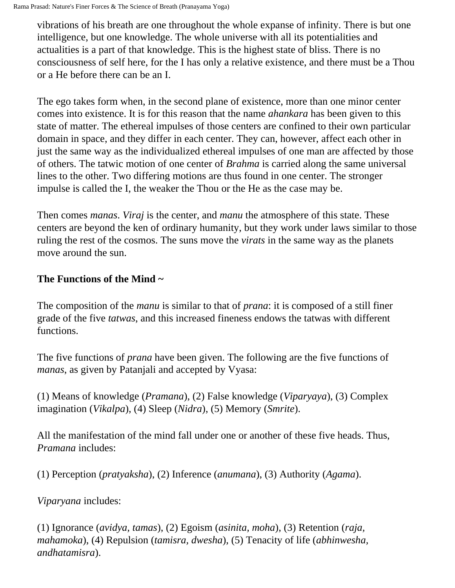vibrations of his breath are one throughout the whole expanse of infinity. There is but one intelligence, but one knowledge. The whole universe with all its potentialities and actualities is a part of that knowledge. This is the highest state of bliss. There is no consciousness of self here, for the I has only a relative existence, and there must be a Thou or a He before there can be an I.

The ego takes form when, in the second plane of existence, more than one minor center comes into existence. It is for this reason that the name *ahankara* has been given to this state of matter. The ethereal impulses of those centers are confined to their own particular domain in space, and they differ in each center. They can, however, affect each other in just the same way as the individualized ethereal impulses of one man are affected by those of others. The tatwic motion of one center of *Brahma* is carried along the same universal lines to the other. Two differing motions are thus found in one center. The stronger impulse is called the I, the weaker the Thou or the He as the case may be.

Then comes *manas*. *Viraj* is the center, and *manu* the atmosphere of this state. These centers are beyond the ken of ordinary humanity, but they work under laws similar to those ruling the rest of the cosmos. The suns move the *virats* in the same way as the planets move around the sun.

### **The Functions of the Mind ~**

The composition of the *manu* is similar to that of *prana*: it is composed of a still finer grade of the five *tatwas*, and this increased fineness endows the tatwas with different functions.

The five functions of *prana* have been given. The following are the five functions of *manas*, as given by Patanjali and accepted by Vyasa:

(1) Means of knowledge (*Pramana*), (2) False knowledge (*Viparyaya*), (3) Complex imagination (*Vikalpa*), (4) Sleep (*Nidra*), (5) Memory (*Smrite*).

All the manifestation of the mind fall under one or another of these five heads. Thus, *Pramana* includes:

(1) Perception (*pratyaksha*), (2) Inference (*anumana*), (3) Authority (*Agama*).

*Viparyana* includes:

(1) Ignorance (*avidya, tamas*), (2) Egoism (*asinita, moha*), (3) Retention (*raja, mahamoka*), (4) Repulsion (*tamisra, dwesha*), (5) Tenacity of life (*abhinwesha, andhatamisra*).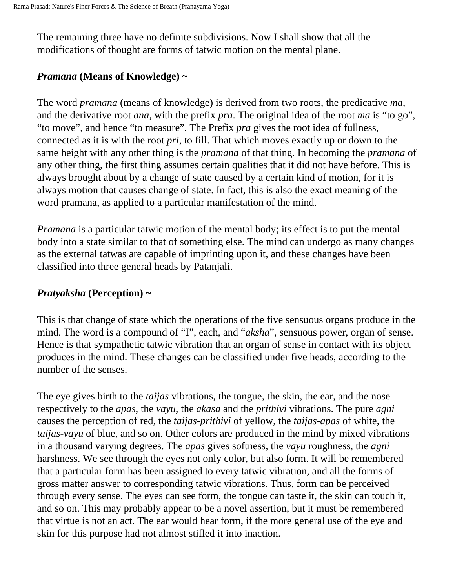The remaining three have no definite subdivisions. Now I shall show that all the modifications of thought are forms of tatwic motion on the mental plane.

#### *Pramana* **(Means of Knowledge) ~**

The word *pramana* (means of knowledge) is derived from two roots, the predicative *ma*, and the derivative root *ana*, with the prefix *pra*. The original idea of the root *ma* is "to go", "to move", and hence "to measure". The Prefix *pra* gives the root idea of fullness, connected as it is with the root *pri*, to fill. That which moves exactly up or down to the same height with any other thing is the *pramana* of that thing. In becoming the *pramana* of any other thing, the first thing assumes certain qualities that it did not have before. This is always brought about by a change of state caused by a certain kind of motion, for it is always motion that causes change of state. In fact, this is also the exact meaning of the word pramana, as applied to a particular manifestation of the mind.

*Pramana* is a particular tatwic motion of the mental body; its effect is to put the mental body into a state similar to that of something else. The mind can undergo as many changes as the external tatwas are capable of imprinting upon it, and these changes have been classified into three general heads by Patanjali.

#### *Pratyaksha* **(Perception) ~**

This is that change of state which the operations of the five sensuous organs produce in the mind. The word is a compound of "I", each, and "*aksha*", sensuous power, organ of sense. Hence is that sympathetic tatwic vibration that an organ of sense in contact with its object produces in the mind. These changes can be classified under five heads, according to the number of the senses.

The eye gives birth to the *taijas* vibrations, the tongue, the skin, the ear, and the nose respectively to the *apas*, the *vayu*, the *akasa* and the *prithivi* vibrations. The pure *agni* causes the perception of red, the *taijas-prithivi* of yellow, the *taijas-apas* of white, the *taijas-vayu* of blue, and so on. Other colors are produced in the mind by mixed vibrations in a thousand varying degrees. The *apas* gives softness, the *vayu* roughness, the *agni* harshness. We see through the eyes not only color, but also form. It will be remembered that a particular form has been assigned to every tatwic vibration, and all the forms of gross matter answer to corresponding tatwic vibrations. Thus, form can be perceived through every sense. The eyes can see form, the tongue can taste it, the skin can touch it, and so on. This may probably appear to be a novel assertion, but it must be remembered that virtue is not an act. The ear would hear form, if the more general use of the eye and skin for this purpose had not almost stifled it into inaction.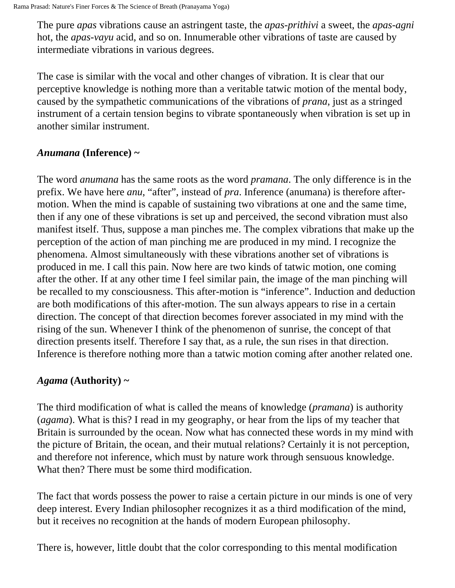The pure *apas* vibrations cause an astringent taste, the *apas-prithivi* a sweet, the *apas-agni* hot, the *apas-vayu* acid, and so on. Innumerable other vibrations of taste are caused by intermediate vibrations in various degrees.

The case is similar with the vocal and other changes of vibration. It is clear that our perceptive knowledge is nothing more than a veritable tatwic motion of the mental body, caused by the sympathetic communications of the vibrations of *prana*, just as a stringed instrument of a certain tension begins to vibrate spontaneously when vibration is set up in another similar instrument.

#### *Anumana* **(Inference) ~**

The word *anumana* has the same roots as the word *pramana*. The only difference is in the prefix. We have here *anu*, "after", instead of *pra*. Inference (anumana) is therefore aftermotion. When the mind is capable of sustaining two vibrations at one and the same time, then if any one of these vibrations is set up and perceived, the second vibration must also manifest itself. Thus, suppose a man pinches me. The complex vibrations that make up the perception of the action of man pinching me are produced in my mind. I recognize the phenomena. Almost simultaneously with these vibrations another set of vibrations is produced in me. I call this pain. Now here are two kinds of tatwic motion, one coming after the other. If at any other time I feel similar pain, the image of the man pinching will be recalled to my consciousness. This after-motion is "inference". Induction and deduction are both modifications of this after-motion. The sun always appears to rise in a certain direction. The concept of that direction becomes forever associated in my mind with the rising of the sun. Whenever I think of the phenomenon of sunrise, the concept of that direction presents itself. Therefore I say that, as a rule, the sun rises in that direction. Inference is therefore nothing more than a tatwic motion coming after another related one.

### *Agama* **(Authority) ~**

The third modification of what is called the means of knowledge (*pramana*) is authority (*agama*). What is this? I read in my geography, or hear from the lips of my teacher that Britain is surrounded by the ocean. Now what has connected these words in my mind with the picture of Britain, the ocean, and their mutual relations? Certainly it is not perception, and therefore not inference, which must by nature work through sensuous knowledge. What then? There must be some third modification.

The fact that words possess the power to raise a certain picture in our minds is one of very deep interest. Every Indian philosopher recognizes it as a third modification of the mind, but it receives no recognition at the hands of modern European philosophy.

There is, however, little doubt that the color corresponding to this mental modification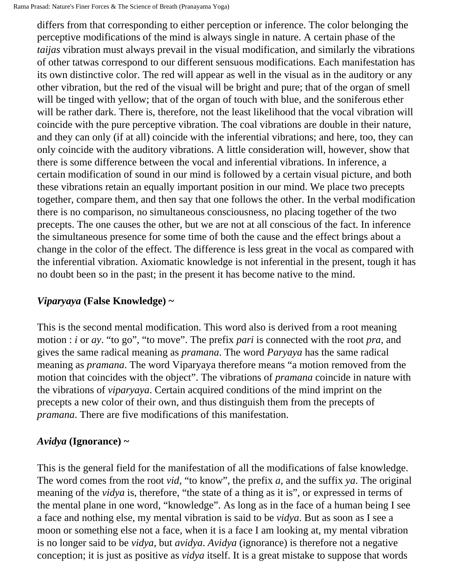differs from that corresponding to either perception or inference. The color belonging the perceptive modifications of the mind is always single in nature. A certain phase of the *taijas* vibration must always prevail in the visual modification, and similarly the vibrations of other tatwas correspond to our different sensuous modifications. Each manifestation has its own distinctive color. The red will appear as well in the visual as in the auditory or any other vibration, but the red of the visual will be bright and pure; that of the organ of smell will be tinged with yellow; that of the organ of touch with blue, and the soniferous ether will be rather dark. There is, therefore, not the least likelihood that the vocal vibration will coincide with the pure perceptive vibration. The coal vibrations are double in their nature, and they can only (if at all) coincide with the inferential vibrations; and here, too, they can only coincide with the auditory vibrations. A little consideration will, however, show that there is some difference between the vocal and inferential vibrations. In inference, a certain modification of sound in our mind is followed by a certain visual picture, and both these vibrations retain an equally important position in our mind. We place two precepts together, compare them, and then say that one follows the other. In the verbal modification there is no comparison, no simultaneous consciousness, no placing together of the two precepts. The one causes the other, but we are not at all conscious of the fact. In inference the simultaneous presence for some time of both the cause and the effect brings about a change in the color of the effect. The difference is less great in the vocal as compared with the inferential vibration. Axiomatic knowledge is not inferential in the present, tough it has no doubt been so in the past; in the present it has become native to the mind.

#### *Viparyaya* **(False Knowledge) ~**

This is the second mental modification. This word also is derived from a root meaning motion : *i* or *ay*. "to go", "to move". The prefix *pari* is connected with the root *pra*, and gives the same radical meaning as *pramana*. The word *Paryaya* has the same radical meaning as *pramana*. The word Viparyaya therefore means "a motion removed from the motion that coincides with the object". The vibrations of *pramana* coincide in nature with the vibrations of *viparyaya*. Certain acquired conditions of the mind imprint on the precepts a new color of their own, and thus distinguish them from the precepts of *pramana*. There are five modifications of this manifestation.

### *Avidya* **(Ignorance) ~**

This is the general field for the manifestation of all the modifications of false knowledge. The word comes from the root *vid*, "to know", the prefix *a*, and the suffix *ya*. The original meaning of the *vidya* is, therefore, "the state of a thing as it is", or expressed in terms of the mental plane in one word, "knowledge". As long as in the face of a human being I see a face and nothing else, my mental vibration is said to be *vidya*. But as soon as I see a moon or something else not a face, when it is a face I am looking at, my mental vibration is no longer said to be *vidya*, but *avidya*. *Avidya* (ignorance) is therefore not a negative conception; it is just as positive as *vidya* itself. It is a great mistake to suppose that words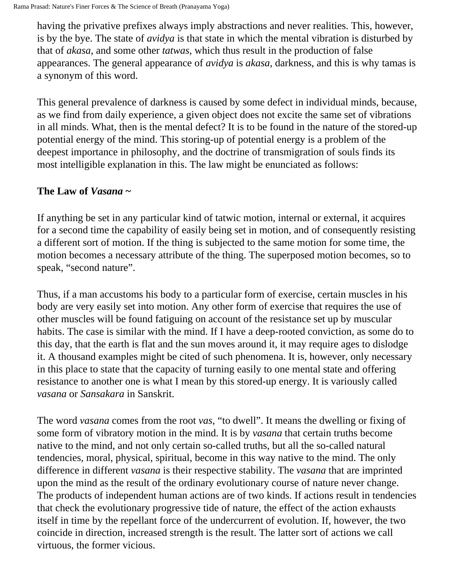having the privative prefixes always imply abstractions and never realities. This, however, is by the bye. The state of *avidya* is that state in which the mental vibration is disturbed by that of *akasa*, and some other *tatwas*, which thus result in the production of false appearances. The general appearance of *avidya* is *akasa*, darkness, and this is why tamas is a synonym of this word.

This general prevalence of darkness is caused by some defect in individual minds, because, as we find from daily experience, a given object does not excite the same set of vibrations in all minds. What, then is the mental defect? It is to be found in the nature of the stored-up potential energy of the mind. This storing-up of potential energy is a problem of the deepest importance in philosophy, and the doctrine of transmigration of souls finds its most intelligible explanation in this. The law might be enunciated as follows:

#### **The Law of** *Vasana* **~**

If anything be set in any particular kind of tatwic motion, internal or external, it acquires for a second time the capability of easily being set in motion, and of consequently resisting a different sort of motion. If the thing is subjected to the same motion for some time, the motion becomes a necessary attribute of the thing. The superposed motion becomes, so to speak, "second nature".

Thus, if a man accustoms his body to a particular form of exercise, certain muscles in his body are very easily set into motion. Any other form of exercise that requires the use of other muscles will be found fatiguing on account of the resistance set up by muscular habits. The case is similar with the mind. If I have a deep-rooted conviction, as some do to this day, that the earth is flat and the sun moves around it, it may require ages to dislodge it. A thousand examples might be cited of such phenomena. It is, however, only necessary in this place to state that the capacity of turning easily to one mental state and offering resistance to another one is what I mean by this stored-up energy. It is variously called *vasana* or *Sansakara* in Sanskrit.

The word *vasana* comes from the root *vas*, "to dwell". It means the dwelling or fixing of some form of vibratory motion in the mind. It is by *vasana* that certain truths become native to the mind, and not only certain so-called truths, but all the so-called natural tendencies, moral, physical, spiritual, become in this way native to the mind. The only difference in different *vasana* is their respective stability. The *vasana* that are imprinted upon the mind as the result of the ordinary evolutionary course of nature never change. The products of independent human actions are of two kinds. If actions result in tendencies that check the evolutionary progressive tide of nature, the effect of the action exhausts itself in time by the repellant force of the undercurrent of evolution. If, however, the two coincide in direction, increased strength is the result. The latter sort of actions we call virtuous, the former vicious.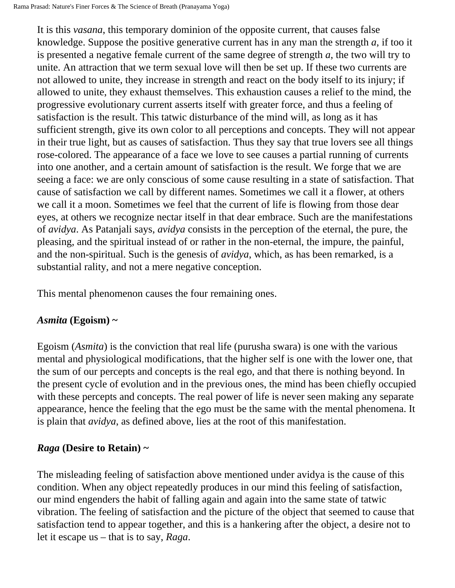It is this *vasana*, this temporary dominion of the opposite current, that causes false knowledge. Suppose the positive generative current has in any man the strength *a*, if too it is presented a negative female current of the same degree of strength *a*, the two will try to unite. An attraction that we term sexual love will then be set up. If these two currents are not allowed to unite, they increase in strength and react on the body itself to its injury; if allowed to unite, they exhaust themselves. This exhaustion causes a relief to the mind, the progressive evolutionary current asserts itself with greater force, and thus a feeling of satisfaction is the result. This tatwic disturbance of the mind will, as long as it has sufficient strength, give its own color to all perceptions and concepts. They will not appear in their true light, but as causes of satisfaction. Thus they say that true lovers see all things rose-colored. The appearance of a face we love to see causes a partial running of currents into one another, and a certain amount of satisfaction is the result. We forge that we are seeing a face: we are only conscious of some cause resulting in a state of satisfaction. That cause of satisfaction we call by different names. Sometimes we call it a flower, at others we call it a moon. Sometimes we feel that the current of life is flowing from those dear eyes, at others we recognize nectar itself in that dear embrace. Such are the manifestations of *avidya*. As Patanjali says, *avidya* consists in the perception of the eternal, the pure, the pleasing, and the spiritual instead of or rather in the non-eternal, the impure, the painful, and the non-spiritual. Such is the genesis of *avidya*, which, as has been remarked, is a substantial rality, and not a mere negative conception.

This mental phenomenon causes the four remaining ones.

### *Asmita* **(Egoism) ~**

Egoism (*Asmita*) is the conviction that real life (purusha swara) is one with the various mental and physiological modifications, that the higher self is one with the lower one, that the sum of our percepts and concepts is the real ego, and that there is nothing beyond. In the present cycle of evolution and in the previous ones, the mind has been chiefly occupied with these percepts and concepts. The real power of life is never seen making any separate appearance, hence the feeling that the ego must be the same with the mental phenomena. It is plain that *avidya*, as defined above, lies at the root of this manifestation.

### *Raga* **(Desire to Retain) ~**

The misleading feeling of satisfaction above mentioned under avidya is the cause of this condition. When any object repeatedly produces in our mind this feeling of satisfaction, our mind engenders the habit of falling again and again into the same state of tatwic vibration. The feeling of satisfaction and the picture of the object that seemed to cause that satisfaction tend to appear together, and this is a hankering after the object, a desire not to let it escape us – that is to say, *Raga*.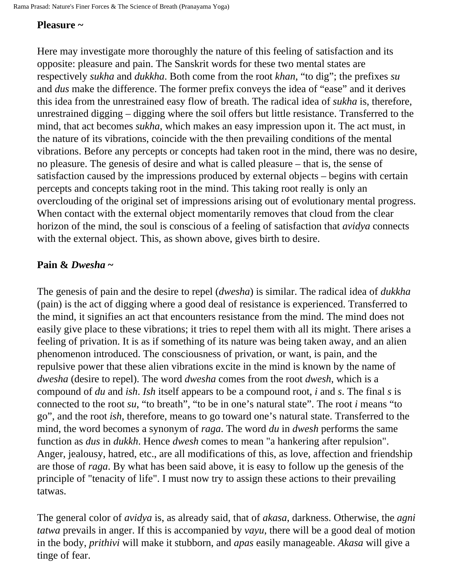#### **Pleasure ~**

Here may investigate more thoroughly the nature of this feeling of satisfaction and its opposite: pleasure and pain. The Sanskrit words for these two mental states are respectively *sukha* and *dukkha*. Both come from the root *khan*, "to dig"; the prefixes *su* and *dus* make the difference. The former prefix conveys the idea of "ease" and it derives this idea from the unrestrained easy flow of breath. The radical idea of *sukha* is, therefore, unrestrained digging – digging where the soil offers but little resistance. Transferred to the mind, that act becomes *sukha*, which makes an easy impression upon it. The act must, in the nature of its vibrations, coincide with the then prevailing conditions of the mental vibrations. Before any percepts or concepts had taken root in the mind, there was no desire, no pleasure. The genesis of desire and what is called pleasure – that is, the sense of satisfaction caused by the impressions produced by external objects – begins with certain percepts and concepts taking root in the mind. This taking root really is only an overclouding of the original set of impressions arising out of evolutionary mental progress. When contact with the external object momentarily removes that cloud from the clear horizon of the mind, the soul is conscious of a feeling of satisfaction that *avidya* connects with the external object. This, as shown above, gives birth to desire.

#### **Pain &** *Dwesha* **~**

The genesis of pain and the desire to repel (*dwesha*) is similar. The radical idea of *dukkha* (pain) is the act of digging where a good deal of resistance is experienced. Transferred to the mind, it signifies an act that encounters resistance from the mind. The mind does not easily give place to these vibrations; it tries to repel them with all its might. There arises a feeling of privation. It is as if something of its nature was being taken away, and an alien phenomenon introduced. The consciousness of privation, or want, is pain, and the repulsive power that these alien vibrations excite in the mind is known by the name of *dwesha* (desire to repel). The word *dwesha* comes from the root *dwesh*, which is a compound of *du* and *ish*. *Ish* itself appears to be a compound root, *i* and *s*. The final *s* is connected to the root *su*, "to breath", "to be in one's natural state". The root *i* means "to go", and the root *ish*, therefore, means to go toward one's natural state. Transferred to the mind, the word becomes a synonym of *raga*. The word *du* in *dwesh* performs the same function as *dus* in *dukkh*. Hence *dwesh* comes to mean "a hankering after repulsion". Anger, jealousy, hatred, etc., are all modifications of this, as love, affection and friendship are those of *raga*. By what has been said above, it is easy to follow up the genesis of the principle of "tenacity of life". I must now try to assign these actions to their prevailing tatwas.

The general color of *avidya* is, as already said, that of *akasa*, darkness. Otherwise, the *agni tatwa* prevails in anger. If this is accompanied by *vayu*, there will be a good deal of motion in the body, *prithivi* will make it stubborn, and *apas* easily manageable. *Akasa* will give a tinge of fear.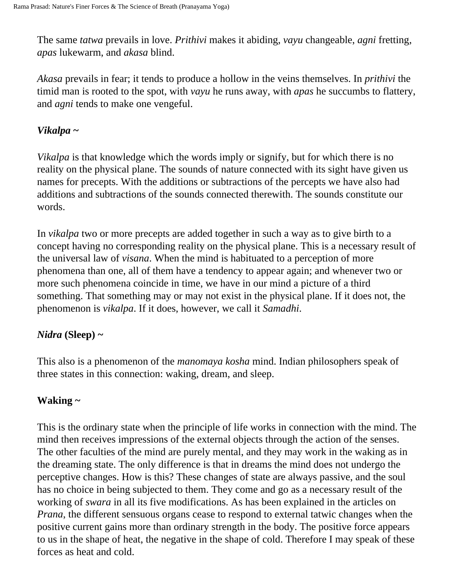The same *tatwa* prevails in love. *Prithivi* makes it abiding, *vayu* changeable, *agni* fretting, *apas* lukewarm, and *akasa* blind.

*Akasa* prevails in fear; it tends to produce a hollow in the veins themselves. In *prithivi* the timid man is rooted to the spot, with *vayu* he runs away, with *apas* he succumbs to flattery, and *agni* tends to make one vengeful.

#### *Vikalpa* **~**

*Vikalpa* is that knowledge which the words imply or signify, but for which there is no reality on the physical plane. The sounds of nature connected with its sight have given us names for precepts. With the additions or subtractions of the percepts we have also had additions and subtractions of the sounds connected therewith. The sounds constitute our words.

In *vikalpa* two or more precepts are added together in such a way as to give birth to a concept having no corresponding reality on the physical plane. This is a necessary result of the universal law of *visana*. When the mind is habituated to a perception of more phenomena than one, all of them have a tendency to appear again; and whenever two or more such phenomena coincide in time, we have in our mind a picture of a third something. That something may or may not exist in the physical plane. If it does not, the phenomenon is *vikalpa*. If it does, however, we call it *Samadhi*.

#### *Nidra* **(Sleep) ~**

This also is a phenomenon of the *manomaya kosha* mind. Indian philosophers speak of three states in this connection: waking, dream, and sleep.

#### **Waking ~**

This is the ordinary state when the principle of life works in connection with the mind. The mind then receives impressions of the external objects through the action of the senses. The other faculties of the mind are purely mental, and they may work in the waking as in the dreaming state. The only difference is that in dreams the mind does not undergo the perceptive changes. How is this? These changes of state are always passive, and the soul has no choice in being subjected to them. They come and go as a necessary result of the working of *swara* in all its five modifications. As has been explained in the articles on *Prana*, the different sensuous organs cease to respond to external tatwic changes when the positive current gains more than ordinary strength in the body. The positive force appears to us in the shape of heat, the negative in the shape of cold. Therefore I may speak of these forces as heat and cold.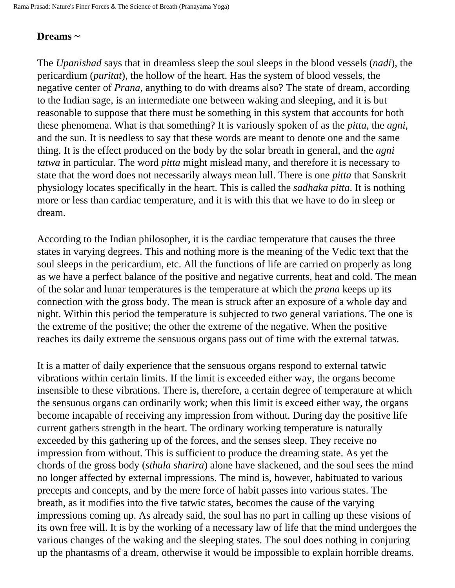#### **Dreams ~**

The *Upanishad* says that in dreamless sleep the soul sleeps in the blood vessels (*nadi*), the pericardium (*puritat*), the hollow of the heart. Has the system of blood vessels, the negative center of *Prana*, anything to do with dreams also? The state of dream, according to the Indian sage, is an intermediate one between waking and sleeping, and it is but reasonable to suppose that there must be something in this system that accounts for both these phenomena. What is that something? It is variously spoken of as the *pitta*, the *agni*, and the sun. It is needless to say that these words are meant to denote one and the same thing. It is the effect produced on the body by the solar breath in general, and the *agni tatwa* in particular. The word *pitta* might mislead many, and therefore it is necessary to state that the word does not necessarily always mean lull. There is one *pitta* that Sanskrit physiology locates specifically in the heart. This is called the *sadhaka pitta*. It is nothing more or less than cardiac temperature, and it is with this that we have to do in sleep or dream.

According to the Indian philosopher, it is the cardiac temperature that causes the three states in varying degrees. This and nothing more is the meaning of the Vedic text that the soul sleeps in the pericardium, etc. All the functions of life are carried on properly as long as we have a perfect balance of the positive and negative currents, heat and cold. The mean of the solar and lunar temperatures is the temperature at which the *prana* keeps up its connection with the gross body. The mean is struck after an exposure of a whole day and night. Within this period the temperature is subjected to two general variations. The one is the extreme of the positive; the other the extreme of the negative. When the positive reaches its daily extreme the sensuous organs pass out of time with the external tatwas.

It is a matter of daily experience that the sensuous organs respond to external tatwic vibrations within certain limits. If the limit is exceeded either way, the organs become insensible to these vibrations. There is, therefore, a certain degree of temperature at which the sensuous organs can ordinarily work; when this limit is exceed either way, the organs become incapable of receiving any impression from without. During day the positive life current gathers strength in the heart. The ordinary working temperature is naturally exceeded by this gathering up of the forces, and the senses sleep. They receive no impression from without. This is sufficient to produce the dreaming state. As yet the chords of the gross body (*sthula sharira*) alone have slackened, and the soul sees the mind no longer affected by external impressions. The mind is, however, habituated to various precepts and concepts, and by the mere force of habit passes into various states. The breath, as it modifies into the five tatwic states, becomes the cause of the varying impressions coming up. As already said, the soul has no part in calling up these visions of its own free will. It is by the working of a necessary law of life that the mind undergoes the various changes of the waking and the sleeping states. The soul does nothing in conjuring up the phantasms of a dream, otherwise it would be impossible to explain horrible dreams.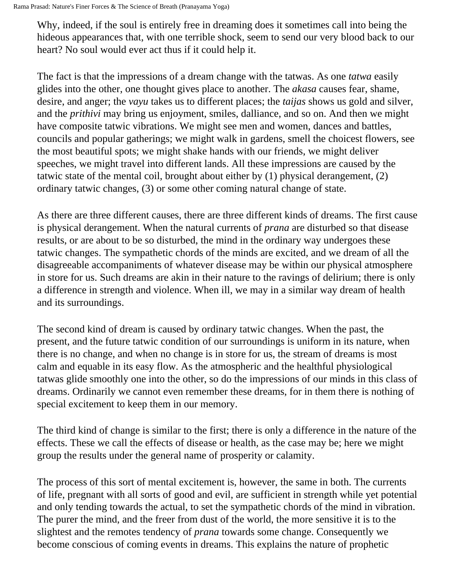Why, indeed, if the soul is entirely free in dreaming does it sometimes call into being the hideous appearances that, with one terrible shock, seem to send our very blood back to our heart? No soul would ever act thus if it could help it.

The fact is that the impressions of a dream change with the tatwas. As one *tatwa* easily glides into the other, one thought gives place to another. The *akasa* causes fear, shame, desire, and anger; the *vayu* takes us to different places; the *taijas* shows us gold and silver, and the *prithivi* may bring us enjoyment, smiles, dalliance, and so on. And then we might have composite tatwic vibrations. We might see men and women, dances and battles, councils and popular gatherings; we might walk in gardens, smell the choicest flowers, see the most beautiful spots; we might shake hands with our friends, we might deliver speeches, we might travel into different lands. All these impressions are caused by the tatwic state of the mental coil, brought about either by (1) physical derangement, (2) ordinary tatwic changes, (3) or some other coming natural change of state.

As there are three different causes, there are three different kinds of dreams. The first cause is physical derangement. When the natural currents of *prana* are disturbed so that disease results, or are about to be so disturbed, the mind in the ordinary way undergoes these tatwic changes. The sympathetic chords of the minds are excited, and we dream of all the disagreeable accompaniments of whatever disease may be within our physical atmosphere in store for us. Such dreams are akin in their nature to the ravings of delirium; there is only a difference in strength and violence. When ill, we may in a similar way dream of health and its surroundings.

The second kind of dream is caused by ordinary tatwic changes. When the past, the present, and the future tatwic condition of our surroundings is uniform in its nature, when there is no change, and when no change is in store for us, the stream of dreams is most calm and equable in its easy flow. As the atmospheric and the healthful physiological tatwas glide smoothly one into the other, so do the impressions of our minds in this class of dreams. Ordinarily we cannot even remember these dreams, for in them there is nothing of special excitement to keep them in our memory.

The third kind of change is similar to the first; there is only a difference in the nature of the effects. These we call the effects of disease or health, as the case may be; here we might group the results under the general name of prosperity or calamity.

The process of this sort of mental excitement is, however, the same in both. The currents of life, pregnant with all sorts of good and evil, are sufficient in strength while yet potential and only tending towards the actual, to set the sympathetic chords of the mind in vibration. The purer the mind, and the freer from dust of the world, the more sensitive it is to the slightest and the remotes tendency of *prana* towards some change. Consequently we become conscious of coming events in dreams. This explains the nature of prophetic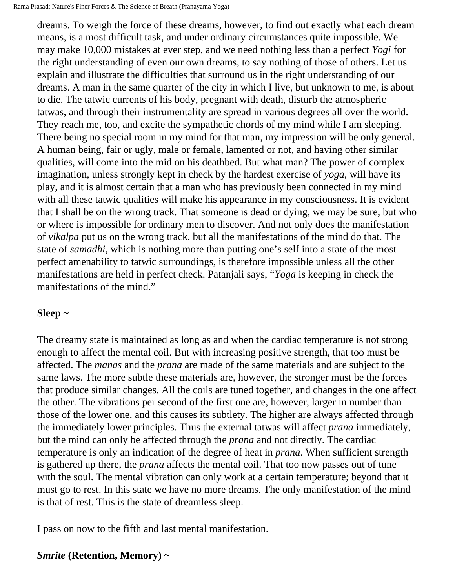dreams. To weigh the force of these dreams, however, to find out exactly what each dream means, is a most difficult task, and under ordinary circumstances quite impossible. We may make 10,000 mistakes at ever step, and we need nothing less than a perfect *Yogi* for the right understanding of even our own dreams, to say nothing of those of others. Let us explain and illustrate the difficulties that surround us in the right understanding of our dreams. A man in the same quarter of the city in which I live, but unknown to me, is about to die. The tatwic currents of his body, pregnant with death, disturb the atmospheric tatwas, and through their instrumentality are spread in various degrees all over the world. They reach me, too, and excite the sympathetic chords of my mind while I am sleeping. There being no special room in my mind for that man, my impression will be only general. A human being, fair or ugly, male or female, lamented or not, and having other similar qualities, will come into the mid on his deathbed. But what man? The power of complex imagination, unless strongly kept in check by the hardest exercise of *yoga*, will have its play, and it is almost certain that a man who has previously been connected in my mind with all these tatwic qualities will make his appearance in my consciousness. It is evident that I shall be on the wrong track. That someone is dead or dying, we may be sure, but who or where is impossible for ordinary men to discover. And not only does the manifestation of *vikalpa* put us on the wrong track, but all the manifestations of the mind do that. The state of *samadhi*, which is nothing more than putting one's self into a state of the most perfect amenability to tatwic surroundings, is therefore impossible unless all the other manifestations are held in perfect check. Patanjali says, "*Yoga* is keeping in check the manifestations of the mind."

#### **Sleep ~**

The dreamy state is maintained as long as and when the cardiac temperature is not strong enough to affect the mental coil. But with increasing positive strength, that too must be affected. The *manas* and the *prana* are made of the same materials and are subject to the same laws. The more subtle these materials are, however, the stronger must be the forces that produce similar changes. All the coils are tuned together, and changes in the one affect the other. The vibrations per second of the first one are, however, larger in number than those of the lower one, and this causes its subtlety. The higher are always affected through the immediately lower principles. Thus the external tatwas will affect *prana* immediately, but the mind can only be affected through the *prana* and not directly. The cardiac temperature is only an indication of the degree of heat in *prana*. When sufficient strength is gathered up there, the *prana* affects the mental coil. That too now passes out of tune with the soul. The mental vibration can only work at a certain temperature; beyond that it must go to rest. In this state we have no more dreams. The only manifestation of the mind is that of rest. This is the state of dreamless sleep.

I pass on now to the fifth and last mental manifestation.

#### *Smrite* **(Retention, Memory) ~**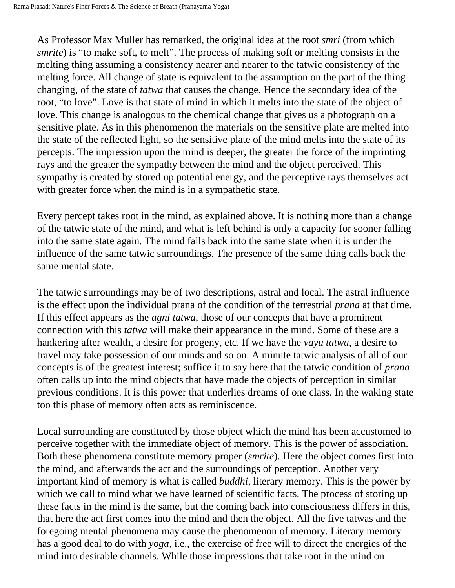As Professor Max Muller has remarked, the original idea at the root *smri* (from which *smrite*) is "to make soft, to melt". The process of making soft or melting consists in the melting thing assuming a consistency nearer and nearer to the tatwic consistency of the melting force. All change of state is equivalent to the assumption on the part of the thing changing, of the state of *tatwa* that causes the change. Hence the secondary idea of the root, "to love". Love is that state of mind in which it melts into the state of the object of love. This change is analogous to the chemical change that gives us a photograph on a sensitive plate. As in this phenomenon the materials on the sensitive plate are melted into the state of the reflected light, so the sensitive plate of the mind melts into the state of its percepts. The impression upon the mind is deeper, the greater the force of the imprinting rays and the greater the sympathy between the mind and the object perceived. This sympathy is created by stored up potential energy, and the perceptive rays themselves act with greater force when the mind is in a sympathetic state.

Every percept takes root in the mind, as explained above. It is nothing more than a change of the tatwic state of the mind, and what is left behind is only a capacity for sooner falling into the same state again. The mind falls back into the same state when it is under the influence of the same tatwic surroundings. The presence of the same thing calls back the same mental state.

The tatwic surroundings may be of two descriptions, astral and local. The astral influence is the effect upon the individual prana of the condition of the terrestrial *prana* at that time. If this effect appears as the *agni tatwa*, those of our concepts that have a prominent connection with this *tatwa* will make their appearance in the mind. Some of these are a hankering after wealth, a desire for progeny, etc. If we have the *vayu tatwa*, a desire to travel may take possession of our minds and so on. A minute tatwic analysis of all of our concepts is of the greatest interest; suffice it to say here that the tatwic condition of *prana* often calls up into the mind objects that have made the objects of perception in similar previous conditions. It is this power that underlies dreams of one class. In the waking state too this phase of memory often acts as reminiscence.

Local surrounding are constituted by those object which the mind has been accustomed to perceive together with the immediate object of memory. This is the power of association. Both these phenomena constitute memory proper (*smrite*). Here the object comes first into the mind, and afterwards the act and the surroundings of perception. Another very important kind of memory is what is called *buddhi*, literary memory. This is the power by which we call to mind what we have learned of scientific facts. The process of storing up these facts in the mind is the same, but the coming back into consciousness differs in this, that here the act first comes into the mind and then the object. All the five tatwas and the foregoing mental phenomena may cause the phenomenon of memory. Literary memory has a good deal to do with *yoga*, i.e., the exercise of free will to direct the energies of the mind into desirable channels. While those impressions that take root in the mind on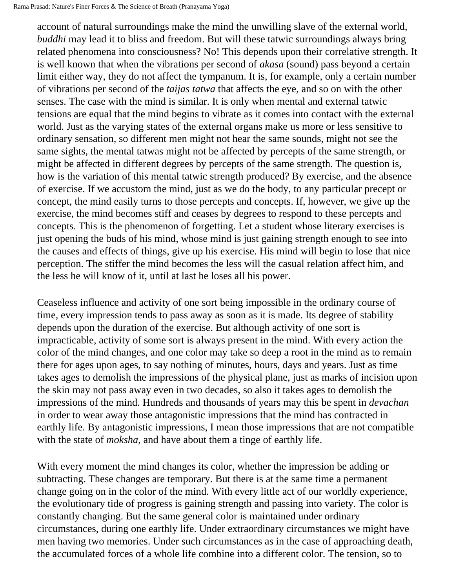account of natural surroundings make the mind the unwilling slave of the external world, *buddhi* may lead it to bliss and freedom. But will these tatwic surroundings always bring related phenomena into consciousness? No! This depends upon their correlative strength. It is well known that when the vibrations per second of *akasa* (sound) pass beyond a certain limit either way, they do not affect the tympanum. It is, for example, only a certain number of vibrations per second of the *taijas tatwa* that affects the eye, and so on with the other senses. The case with the mind is similar. It is only when mental and external tatwic tensions are equal that the mind begins to vibrate as it comes into contact with the external world. Just as the varying states of the external organs make us more or less sensitive to ordinary sensation, so different men might not hear the same sounds, might not see the same sights, the mental tatwas might not be affected by percepts of the same strength, or might be affected in different degrees by percepts of the same strength. The question is, how is the variation of this mental tatwic strength produced? By exercise, and the absence of exercise. If we accustom the mind, just as we do the body, to any particular precept or concept, the mind easily turns to those percepts and concepts. If, however, we give up the exercise, the mind becomes stiff and ceases by degrees to respond to these percepts and concepts. This is the phenomenon of forgetting. Let a student whose literary exercises is just opening the buds of his mind, whose mind is just gaining strength enough to see into the causes and effects of things, give up his exercise. His mind will begin to lose that nice perception. The stiffer the mind becomes the less will the casual relation affect him, and the less he will know of it, until at last he loses all his power.

Ceaseless influence and activity of one sort being impossible in the ordinary course of time, every impression tends to pass away as soon as it is made. Its degree of stability depends upon the duration of the exercise. But although activity of one sort is impracticable, activity of some sort is always present in the mind. With every action the color of the mind changes, and one color may take so deep a root in the mind as to remain there for ages upon ages, to say nothing of minutes, hours, days and years. Just as time takes ages to demolish the impressions of the physical plane, just as marks of incision upon the skin may not pass away even in two decades, so also it takes ages to demolish the impressions of the mind. Hundreds and thousands of years may this be spent in *devachan* in order to wear away those antagonistic impressions that the mind has contracted in earthly life. By antagonistic impressions, I mean those impressions that are not compatible with the state of *moksha*, and have about them a tinge of earthly life.

With every moment the mind changes its color, whether the impression be adding or subtracting. These changes are temporary. But there is at the same time a permanent change going on in the color of the mind. With every little act of our worldly experience, the evolutionary tide of progress is gaining strength and passing into variety. The color is constantly changing. But the same general color is maintained under ordinary circumstances, during one earthly life. Under extraordinary circumstances we might have men having two memories. Under such circumstances as in the case of approaching death, the accumulated forces of a whole life combine into a different color. The tension, so to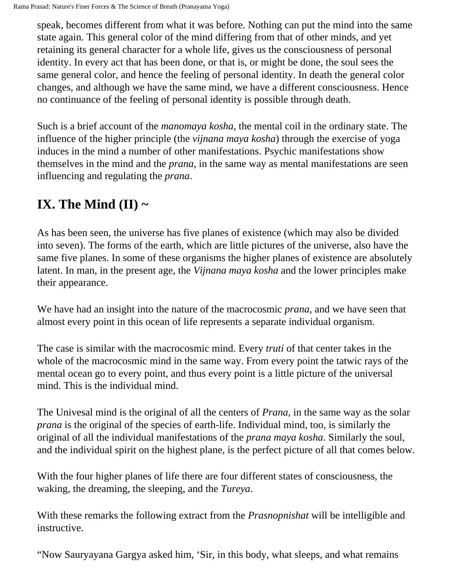speak, becomes different from what it was before. Nothing can put the mind into the same state again. This general color of the mind differing from that of other minds, and yet retaining its general character for a whole life, gives us the consciousness of personal identity. In every act that has been done, or that is, or might be done, the soul sees the same general color, and hence the feeling of personal identity. In death the general color changes, and although we have the same mind, we have a different consciousness. Hence no continuance of the feeling of personal identity is possible through death.

Such is a brief account of the *manomaya kosha*, the mental coil in the ordinary state. The influence of the higher principle (the *vijnana maya kosha*) through the exercise of yoga induces in the mind a number of other manifestations. Psychic manifestations show themselves in the mind and the *prana*, in the same way as mental manifestations are seen influencing and regulating the *prana*.

## **IX. The Mind (II) ~**

As has been seen, the universe has five planes of existence (which may also be divided into seven). The forms of the earth, which are little pictures of the universe, also have the same five planes. In some of these organisms the higher planes of existence are absolutely latent. In man, in the present age, the *Vijnana maya kosha* and the lower principles make their appearance.

We have had an insight into the nature of the macrocosmic *prana*, and we have seen that almost every point in this ocean of life represents a separate individual organism.

The case is similar with the macrocosmic mind. Every *truti* of that center takes in the whole of the macrocosmic mind in the same way. From every point the tatwic rays of the mental ocean go to every point, and thus every point is a little picture of the universal mind. This is the individual mind.

The Univesal mind is the original of all the centers of *Prana*, in the same way as the solar *prana* is the original of the species of earth-life. Individual mind, too, is similarly the original of all the individual manifestations of the *prana maya kosha*. Similarly the soul, and the individual spirit on the highest plane, is the perfect picture of all that comes below.

With the four higher planes of life there are four different states of consciousness, the waking, the dreaming, the sleeping, and the *Tureya*.

With these remarks the following extract from the *Prasnopnishat* will be intelligible and instructive.

"Now Sauryayana Gargya asked him, 'Sir, in this body, what sleeps, and what remains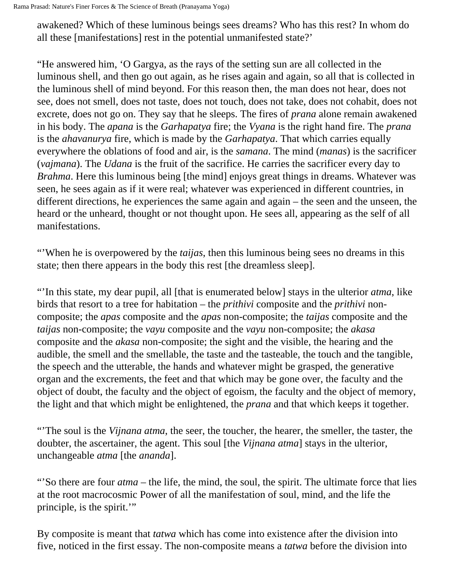awakened? Which of these luminous beings sees dreams? Who has this rest? In whom do all these [manifestations] rest in the potential unmanifested state?'

"He answered him, 'O Gargya, as the rays of the setting sun are all collected in the luminous shell, and then go out again, as he rises again and again, so all that is collected in the luminous shell of mind beyond. For this reason then, the man does not hear, does not see, does not smell, does not taste, does not touch, does not take, does not cohabit, does not excrete, does not go on. They say that he sleeps. The fires of *prana* alone remain awakened in his body. The *apana* is the *Garhapatya* fire; the *Vyana* is the right hand fire. The *prana* is the *ahavanurya* fire, which is made by the *Garhapatya*. That which carries equally everywhere the oblations of food and air, is the *samana*. The mind (*manas*) is the sacrificer (*vajmana*). The *Udana* is the fruit of the sacrifice. He carries the sacrificer every day to *Brahma*. Here this luminous being [the mind] enjoys great things in dreams. Whatever was seen, he sees again as if it were real; whatever was experienced in different countries, in different directions, he experiences the same again and again – the seen and the unseen, the heard or the unheard, thought or not thought upon. He sees all, appearing as the self of all manifestations.

"'When he is overpowered by the *taijas*, then this luminous being sees no dreams in this state; then there appears in the body this rest [the dreamless sleep].

"'In this state, my dear pupil, all [that is enumerated below] stays in the ulterior *atma*, like birds that resort to a tree for habitation – the *prithivi* composite and the *prithivi* noncomposite; the *apas* composite and the *apas* non-composite; the *taijas* composite and the *taijas* non-composite; the *vayu* composite and the *vayu* non-composite; the *akasa* composite and the *akasa* non-composite; the sight and the visible, the hearing and the audible, the smell and the smellable, the taste and the tasteable, the touch and the tangible, the speech and the utterable, the hands and whatever might be grasped, the generative organ and the excrements, the feet and that which may be gone over, the faculty and the object of doubt, the faculty and the object of egoism, the faculty and the object of memory, the light and that which might be enlightened, the *prana* and that which keeps it together.

"'The soul is the *Vijnana atma*, the seer, the toucher, the hearer, the smeller, the taster, the doubter, the ascertainer, the agent. This soul [the *Vijnana atma*] stays in the ulterior, unchangeable *atma* [the *ananda*].

"'So there are four *atma* – the life, the mind, the soul, the spirit. The ultimate force that lies at the root macrocosmic Power of all the manifestation of soul, mind, and the life the principle, is the spirit.'"

By composite is meant that *tatwa* which has come into existence after the division into five, noticed in the first essay. The non-composite means a *tatwa* before the division into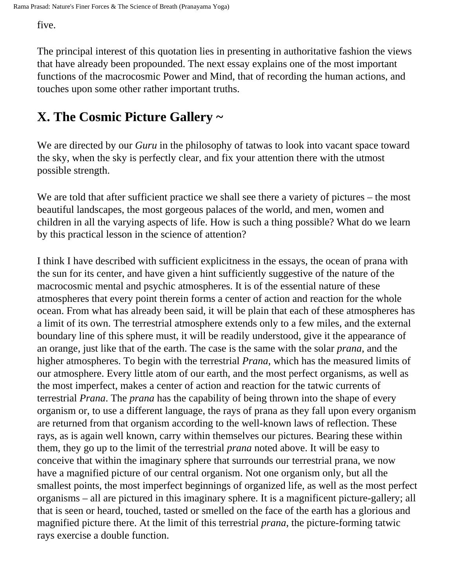five.

The principal interest of this quotation lies in presenting in authoritative fashion the views that have already been propounded. The next essay explains one of the most important functions of the macrocosmic Power and Mind, that of recording the human actions, and touches upon some other rather important truths.

## **X. The Cosmic Picture Gallery ~**

We are directed by our *Guru* in the philosophy of tatwas to look into vacant space toward the sky, when the sky is perfectly clear, and fix your attention there with the utmost possible strength.

We are told that after sufficient practice we shall see there a variety of pictures – the most beautiful landscapes, the most gorgeous palaces of the world, and men, women and children in all the varying aspects of life. How is such a thing possible? What do we learn by this practical lesson in the science of attention?

I think I have described with sufficient explicitness in the essays, the ocean of prana with the sun for its center, and have given a hint sufficiently suggestive of the nature of the macrocosmic mental and psychic atmospheres. It is of the essential nature of these atmospheres that every point therein forms a center of action and reaction for the whole ocean. From what has already been said, it will be plain that each of these atmospheres has a limit of its own. The terrestrial atmosphere extends only to a few miles, and the external boundary line of this sphere must, it will be readily understood, give it the appearance of an orange, just like that of the earth. The case is the same with the solar *prana*, and the higher atmospheres. To begin with the terrestrial *Prana*, which has the measured limits of our atmosphere. Every little atom of our earth, and the most perfect organisms, as well as the most imperfect, makes a center of action and reaction for the tatwic currents of terrestrial *Prana*. The *prana* has the capability of being thrown into the shape of every organism or, to use a different language, the rays of prana as they fall upon every organism are returned from that organism according to the well-known laws of reflection. These rays, as is again well known, carry within themselves our pictures. Bearing these within them, they go up to the limit of the terrestrial *prana* noted above. It will be easy to conceive that within the imaginary sphere that surrounds our terrestrial prana, we now have a magnified picture of our central organism. Not one organism only, but all the smallest points, the most imperfect beginnings of organized life, as well as the most perfect organisms – all are pictured in this imaginary sphere. It is a magnificent picture-gallery; all that is seen or heard, touched, tasted or smelled on the face of the earth has a glorious and magnified picture there. At the limit of this terrestrial *prana*, the picture-forming tatwic rays exercise a double function.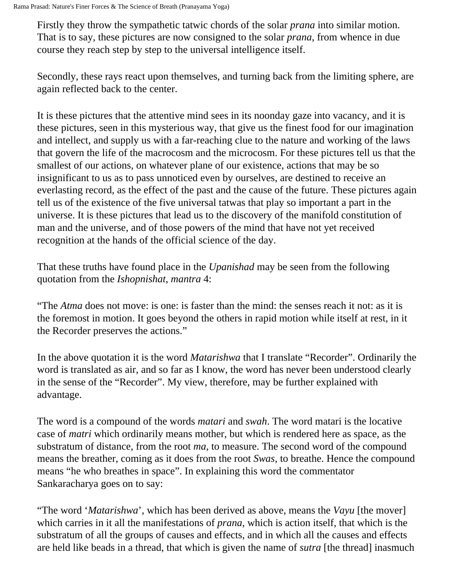Firstly they throw the sympathetic tatwic chords of the solar *prana* into similar motion. That is to say, these pictures are now consigned to the solar *prana*, from whence in due course they reach step by step to the universal intelligence itself.

Secondly, these rays react upon themselves, and turning back from the limiting sphere, are again reflected back to the center.

It is these pictures that the attentive mind sees in its noonday gaze into vacancy, and it is these pictures, seen in this mysterious way, that give us the finest food for our imagination and intellect, and supply us with a far-reaching clue to the nature and working of the laws that govern the life of the macrocosm and the microcosm. For these pictures tell us that the smallest of our actions, on whatever plane of our existence, actions that may be so insignificant to us as to pass unnoticed even by ourselves, are destined to receive an everlasting record, as the effect of the past and the cause of the future. These pictures again tell us of the existence of the five universal tatwas that play so important a part in the universe. It is these pictures that lead us to the discovery of the manifold constitution of man and the universe, and of those powers of the mind that have not yet received recognition at the hands of the official science of the day.

That these truths have found place in the *Upanishad* may be seen from the following quotation from the *Ishopnishat*, *mantra* 4:

"The *Atma* does not move: is one: is faster than the mind: the senses reach it not: as it is the foremost in motion. It goes beyond the others in rapid motion while itself at rest, in it the Recorder preserves the actions."

In the above quotation it is the word *Matarishwa* that I translate "Recorder". Ordinarily the word is translated as air, and so far as I know, the word has never been understood clearly in the sense of the "Recorder". My view, therefore, may be further explained with advantage.

The word is a compound of the words *matari* and *swah*. The word matari is the locative case of *matri* which ordinarily means mother, but which is rendered here as space, as the substratum of distance, from the root *ma*, to measure. The second word of the compound means the breather, coming as it does from the root *Swas*, to breathe. Hence the compound means "he who breathes in space". In explaining this word the commentator Sankaracharya goes on to say:

"The word '*Matarishwa*', which has been derived as above, means the *Vayu* [the mover] which carries in it all the manifestations of *prana*, which is action itself, that which is the substratum of all the groups of causes and effects, and in which all the causes and effects are held like beads in a thread, that which is given the name of *sutra* [the thread] inasmuch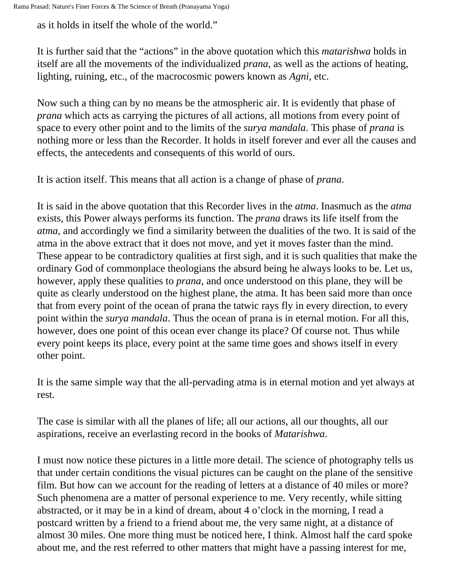Rama Prasad: Nature's Finer Forces & The Science of Breath (Pranayama Yoga)

as it holds in itself the whole of the world."

It is further said that the "actions" in the above quotation which this *matarishwa* holds in itself are all the movements of the individualized *prana*, as well as the actions of heating, lighting, ruining, etc., of the macrocosmic powers known as *Agni*, etc.

Now such a thing can by no means be the atmospheric air. It is evidently that phase of *prana* which acts as carrying the pictures of all actions, all motions from every point of space to every other point and to the limits of the *surya mandala*. This phase of *prana* is nothing more or less than the Recorder. It holds in itself forever and ever all the causes and effects, the antecedents and consequents of this world of ours.

It is action itself. This means that all action is a change of phase of *prana*.

It is said in the above quotation that this Recorder lives in the *atma*. Inasmuch as the *atma* exists, this Power always performs its function. The *prana* draws its life itself from the *atma*, and accordingly we find a similarity between the dualities of the two. It is said of the atma in the above extract that it does not move, and yet it moves faster than the mind. These appear to be contradictory qualities at first sigh, and it is such qualities that make the ordinary God of commonplace theologians the absurd being he always looks to be. Let us, however, apply these qualities to *prana*, and once understood on this plane, they will be quite as clearly understood on the highest plane, the atma. It has been said more than once that from every point of the ocean of prana the tatwic rays fly in every direction, to every point within the *surya mandala*. Thus the ocean of prana is in eternal motion. For all this, however, does one point of this ocean ever change its place? Of course not. Thus while every point keeps its place, every point at the same time goes and shows itself in every other point.

It is the same simple way that the all-pervading atma is in eternal motion and yet always at rest.

The case is similar with all the planes of life; all our actions, all our thoughts, all our aspirations, receive an everlasting record in the books of *Matarishwa*.

I must now notice these pictures in a little more detail. The science of photography tells us that under certain conditions the visual pictures can be caught on the plane of the sensitive film. But how can we account for the reading of letters at a distance of 40 miles or more? Such phenomena are a matter of personal experience to me. Very recently, while sitting abstracted, or it may be in a kind of dream, about 4 o'clock in the morning, I read a postcard written by a friend to a friend about me, the very same night, at a distance of almost 30 miles. One more thing must be noticed here, I think. Almost half the card spoke about me, and the rest referred to other matters that might have a passing interest for me,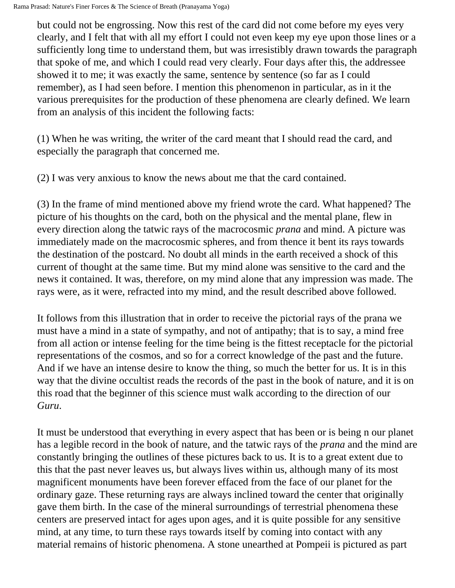but could not be engrossing. Now this rest of the card did not come before my eyes very clearly, and I felt that with all my effort I could not even keep my eye upon those lines or a sufficiently long time to understand them, but was irresistibly drawn towards the paragraph that spoke of me, and which I could read very clearly. Four days after this, the addressee showed it to me; it was exactly the same, sentence by sentence (so far as I could remember), as I had seen before. I mention this phenomenon in particular, as in it the various prerequisites for the production of these phenomena are clearly defined. We learn from an analysis of this incident the following facts:

(1) When he was writing, the writer of the card meant that I should read the card, and especially the paragraph that concerned me.

(2) I was very anxious to know the news about me that the card contained.

(3) In the frame of mind mentioned above my friend wrote the card. What happened? The picture of his thoughts on the card, both on the physical and the mental plane, flew in every direction along the tatwic rays of the macrocosmic *prana* and mind. A picture was immediately made on the macrocosmic spheres, and from thence it bent its rays towards the destination of the postcard. No doubt all minds in the earth received a shock of this current of thought at the same time. But my mind alone was sensitive to the card and the news it contained. It was, therefore, on my mind alone that any impression was made. The rays were, as it were, refracted into my mind, and the result described above followed.

It follows from this illustration that in order to receive the pictorial rays of the prana we must have a mind in a state of sympathy, and not of antipathy; that is to say, a mind free from all action or intense feeling for the time being is the fittest receptacle for the pictorial representations of the cosmos, and so for a correct knowledge of the past and the future. And if we have an intense desire to know the thing, so much the better for us. It is in this way that the divine occultist reads the records of the past in the book of nature, and it is on this road that the beginner of this science must walk according to the direction of our *Guru*.

It must be understood that everything in every aspect that has been or is being n our planet has a legible record in the book of nature, and the tatwic rays of the *prana* and the mind are constantly bringing the outlines of these pictures back to us. It is to a great extent due to this that the past never leaves us, but always lives within us, although many of its most magnificent monuments have been forever effaced from the face of our planet for the ordinary gaze. These returning rays are always inclined toward the center that originally gave them birth. In the case of the mineral surroundings of terrestrial phenomena these centers are preserved intact for ages upon ages, and it is quite possible for any sensitive mind, at any time, to turn these rays towards itself by coming into contact with any material remains of historic phenomena. A stone unearthed at Pompeii is pictured as part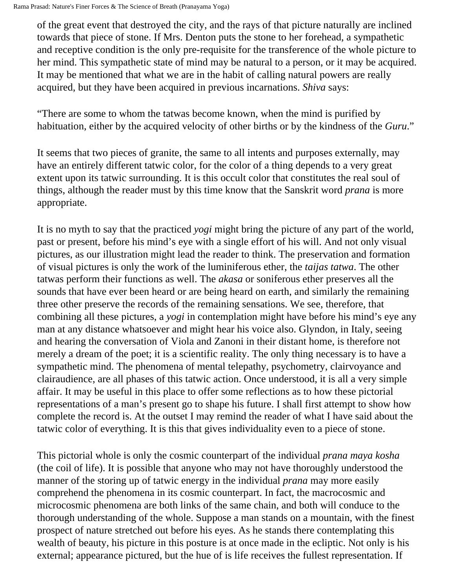of the great event that destroyed the city, and the rays of that picture naturally are inclined towards that piece of stone. If Mrs. Denton puts the stone to her forehead, a sympathetic and receptive condition is the only pre-requisite for the transference of the whole picture to her mind. This sympathetic state of mind may be natural to a person, or it may be acquired. It may be mentioned that what we are in the habit of calling natural powers are really acquired, but they have been acquired in previous incarnations. *Shiva* says:

"There are some to whom the tatwas become known, when the mind is purified by habituation, either by the acquired velocity of other births or by the kindness of the *Guru*."

It seems that two pieces of granite, the same to all intents and purposes externally, may have an entirely different tatwic color, for the color of a thing depends to a very great extent upon its tatwic surrounding. It is this occult color that constitutes the real soul of things, although the reader must by this time know that the Sanskrit word *prana* is more appropriate.

It is no myth to say that the practiced *yogi* might bring the picture of any part of the world, past or present, before his mind's eye with a single effort of his will. And not only visual pictures, as our illustration might lead the reader to think. The preservation and formation of visual pictures is only the work of the luminiferous ether, the *taijas tatwa*. The other tatwas perform their functions as well. The *akasa* or soniferous ether preserves all the sounds that have ever been heard or are being heard on earth, and similarly the remaining three other preserve the records of the remaining sensations. We see, therefore, that combining all these pictures, a *yogi* in contemplation might have before his mind's eye any man at any distance whatsoever and might hear his voice also. Glyndon, in Italy, seeing and hearing the conversation of Viola and Zanoni in their distant home, is therefore not merely a dream of the poet; it is a scientific reality. The only thing necessary is to have a sympathetic mind. The phenomena of mental telepathy, psychometry, clairvoyance and clairaudience, are all phases of this tatwic action. Once understood, it is all a very simple affair. It may be useful in this place to offer some reflections as to how these pictorial representations of a man's present go to shape his future. I shall first attempt to show how complete the record is. At the outset I may remind the reader of what I have said about the tatwic color of everything. It is this that gives individuality even to a piece of stone.

This pictorial whole is only the cosmic counterpart of the individual *prana maya kosha* (the coil of life). It is possible that anyone who may not have thoroughly understood the manner of the storing up of tatwic energy in the individual *prana* may more easily comprehend the phenomena in its cosmic counterpart. In fact, the macrocosmic and microcosmic phenomena are both links of the same chain, and both will conduce to the thorough understanding of the whole. Suppose a man stands on a mountain, with the finest prospect of nature stretched out before his eyes. As he stands there contemplating this wealth of beauty, his picture in this posture is at once made in the ecliptic. Not only is his external; appearance pictured, but the hue of is life receives the fullest representation. If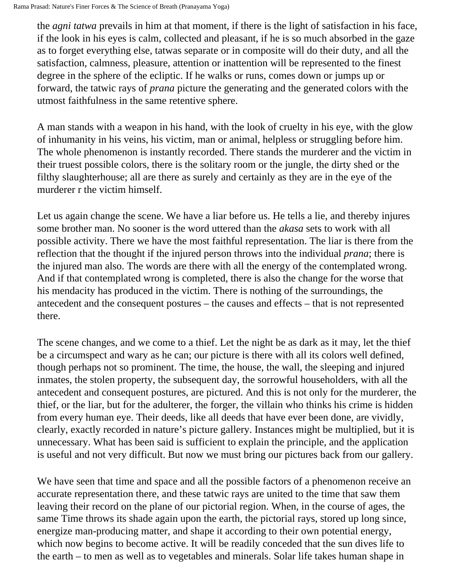the *agni tatwa* prevails in him at that moment, if there is the light of satisfaction in his face, if the look in his eyes is calm, collected and pleasant, if he is so much absorbed in the gaze as to forget everything else, tatwas separate or in composite will do their duty, and all the satisfaction, calmness, pleasure, attention or inattention will be represented to the finest degree in the sphere of the ecliptic. If he walks or runs, comes down or jumps up or forward, the tatwic rays of *prana* picture the generating and the generated colors with the utmost faithfulness in the same retentive sphere.

A man stands with a weapon in his hand, with the look of cruelty in his eye, with the glow of inhumanity in his veins, his victim, man or animal, helpless or struggling before him. The whole phenomenon is instantly recorded. There stands the murderer and the victim in their truest possible colors, there is the solitary room or the jungle, the dirty shed or the filthy slaughterhouse; all are there as surely and certainly as they are in the eye of the murderer r the victim himself.

Let us again change the scene. We have a liar before us. He tells a lie, and thereby injures some brother man. No sooner is the word uttered than the *akasa* sets to work with all possible activity. There we have the most faithful representation. The liar is there from the reflection that the thought if the injured person throws into the individual *prana*; there is the injured man also. The words are there with all the energy of the contemplated wrong. And if that contemplated wrong is completed, there is also the change for the worse that his mendacity has produced in the victim. There is nothing of the surroundings, the antecedent and the consequent postures – the causes and effects – that is not represented there.

The scene changes, and we come to a thief. Let the night be as dark as it may, let the thief be a circumspect and wary as he can; our picture is there with all its colors well defined, though perhaps not so prominent. The time, the house, the wall, the sleeping and injured inmates, the stolen property, the subsequent day, the sorrowful householders, with all the antecedent and consequent postures, are pictured. And this is not only for the murderer, the thief, or the liar, but for the adulterer, the forger, the villain who thinks his crime is hidden from every human eye. Their deeds, like all deeds that have ever been done, are vividly, clearly, exactly recorded in nature's picture gallery. Instances might be multiplied, but it is unnecessary. What has been said is sufficient to explain the principle, and the application is useful and not very difficult. But now we must bring our pictures back from our gallery.

We have seen that time and space and all the possible factors of a phenomenon receive an accurate representation there, and these tatwic rays are united to the time that saw them leaving their record on the plane of our pictorial region. When, in the course of ages, the same Time throws its shade again upon the earth, the pictorial rays, stored up long since, energize man-producing matter, and shape it according to their own potential energy, which now begins to become active. It will be readily conceded that the sun dives life to the earth – to men as well as to vegetables and minerals. Solar life takes human shape in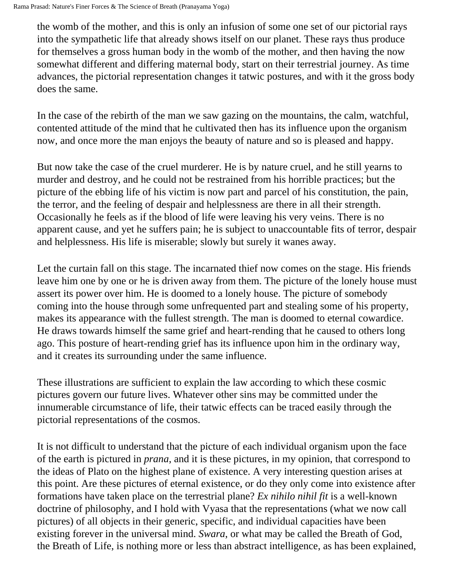the womb of the mother, and this is only an infusion of some one set of our pictorial rays into the sympathetic life that already shows itself on our planet. These rays thus produce for themselves a gross human body in the womb of the mother, and then having the now somewhat different and differing maternal body, start on their terrestrial journey. As time advances, the pictorial representation changes it tatwic postures, and with it the gross body does the same.

In the case of the rebirth of the man we saw gazing on the mountains, the calm, watchful, contented attitude of the mind that he cultivated then has its influence upon the organism now, and once more the man enjoys the beauty of nature and so is pleased and happy.

But now take the case of the cruel murderer. He is by nature cruel, and he still yearns to murder and destroy, and he could not be restrained from his horrible practices; but the picture of the ebbing life of his victim is now part and parcel of his constitution, the pain, the terror, and the feeling of despair and helplessness are there in all their strength. Occasionally he feels as if the blood of life were leaving his very veins. There is no apparent cause, and yet he suffers pain; he is subject to unaccountable fits of terror, despair and helplessness. His life is miserable; slowly but surely it wanes away.

Let the curtain fall on this stage. The incarnated thief now comes on the stage. His friends leave him one by one or he is driven away from them. The picture of the lonely house must assert its power over him. He is doomed to a lonely house. The picture of somebody coming into the house through some unfrequented part and stealing some of his property, makes its appearance with the fullest strength. The man is doomed to eternal cowardice. He draws towards himself the same grief and heart-rending that he caused to others long ago. This posture of heart-rending grief has its influence upon him in the ordinary way, and it creates its surrounding under the same influence.

These illustrations are sufficient to explain the law according to which these cosmic pictures govern our future lives. Whatever other sins may be committed under the innumerable circumstance of life, their tatwic effects can be traced easily through the pictorial representations of the cosmos.

It is not difficult to understand that the picture of each individual organism upon the face of the earth is pictured in *prana*, and it is these pictures, in my opinion, that correspond to the ideas of Plato on the highest plane of existence. A very interesting question arises at this point. Are these pictures of eternal existence, or do they only come into existence after formations have taken place on the terrestrial plane? *Ex nihilo nihil fit* is a well-known doctrine of philosophy, and I hold with Vyasa that the representations (what we now call pictures) of all objects in their generic, specific, and individual capacities have been existing forever in the universal mind. *Swara*, or what may be called the Breath of God, the Breath of Life, is nothing more or less than abstract intelligence, as has been explained,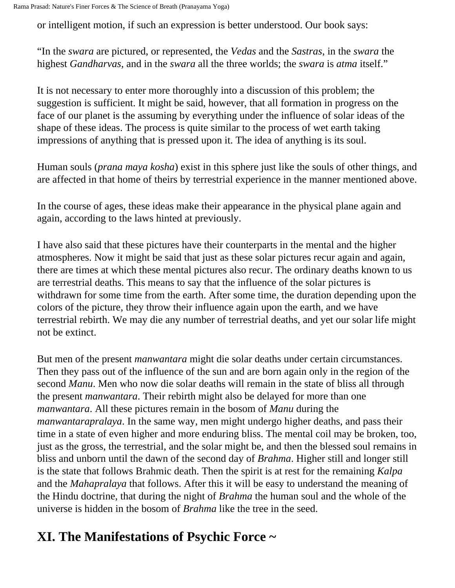or intelligent motion, if such an expression is better understood. Our book says:

"In the *swara* are pictured, or represented, the *Vedas* and the *Sastras*, in the *swara* the highest *Gandharvas*, and in the *swara* all the three worlds; the *swara* is *atma* itself."

It is not necessary to enter more thoroughly into a discussion of this problem; the suggestion is sufficient. It might be said, however, that all formation in progress on the face of our planet is the assuming by everything under the influence of solar ideas of the shape of these ideas. The process is quite similar to the process of wet earth taking impressions of anything that is pressed upon it. The idea of anything is its soul.

Human souls (*prana maya kosha*) exist in this sphere just like the souls of other things, and are affected in that home of theirs by terrestrial experience in the manner mentioned above.

In the course of ages, these ideas make their appearance in the physical plane again and again, according to the laws hinted at previously.

I have also said that these pictures have their counterparts in the mental and the higher atmospheres. Now it might be said that just as these solar pictures recur again and again, there are times at which these mental pictures also recur. The ordinary deaths known to us are terrestrial deaths. This means to say that the influence of the solar pictures is withdrawn for some time from the earth. After some time, the duration depending upon the colors of the picture, they throw their influence again upon the earth, and we have terrestrial rebirth. We may die any number of terrestrial deaths, and yet our solar life might not be extinct.

But men of the present *manwantara* might die solar deaths under certain circumstances. Then they pass out of the influence of the sun and are born again only in the region of the second *Manu*. Men who now die solar deaths will remain in the state of bliss all through the present *manwantara*. Their rebirth might also be delayed for more than one *manwantara*. All these pictures remain in the bosom of *Manu* during the *manwantarapralaya*. In the same way, men might undergo higher deaths, and pass their time in a state of even higher and more enduring bliss. The mental coil may be broken, too, just as the gross, the terrestrial, and the solar might be, and then the blessed soul remains in bliss and unborn until the dawn of the second day of *Brahma*. Higher still and longer still is the state that follows Brahmic death. Then the spirit is at rest for the remaining *Kalpa* and the *Mahapralaya* that follows. After this it will be easy to understand the meaning of the Hindu doctrine, that during the night of *Brahma* the human soul and the whole of the universe is hidden in the bosom of *Brahma* like the tree in the seed.

## **XI. The Manifestations of Psychic Force ~**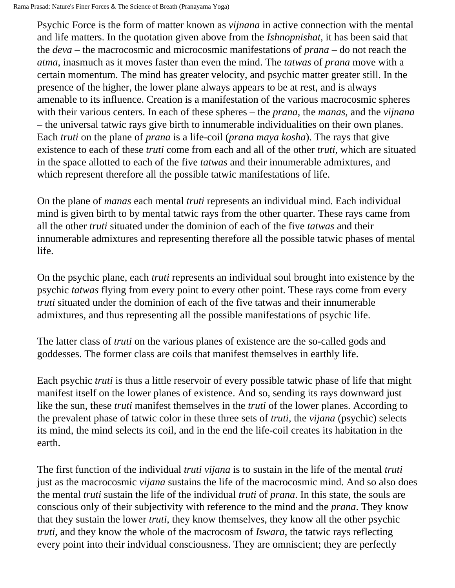Psychic Force is the form of matter known as *vijnana* in active connection with the mental and life matters. In the quotation given above from the *Ishnopnishat*, it has been said that the *deva* – the macrocosmic and microcosmic manifestations of *prana* – do not reach the *atma*, inasmuch as it moves faster than even the mind. The *tatwas* of *prana* move with a certain momentum. The mind has greater velocity, and psychic matter greater still. In the presence of the higher, the lower plane always appears to be at rest, and is always amenable to its influence. Creation is a manifestation of the various macrocosmic spheres with their various centers. In each of these spheres – the *prana*, the *manas*, and the *vijnana* – the universal tatwic rays give birth to innumerable individualities on their own planes. Each *truti* on the plane of *prana* is a life-coil (*prana maya kosha*). The rays that give existence to each of these *truti* come from each and all of the other *truti*, which are situated in the space allotted to each of the five *tatwas* and their innumerable admixtures, and which represent therefore all the possible tatwic manifestations of life.

On the plane of *manas* each mental *truti* represents an individual mind. Each individual mind is given birth to by mental tatwic rays from the other quarter. These rays came from all the other *truti* situated under the dominion of each of the five *tatwas* and their innumerable admixtures and representing therefore all the possible tatwic phases of mental life.

On the psychic plane, each *truti* represents an individual soul brought into existence by the psychic *tatwas* flying from every point to every other point. These rays come from every *truti* situated under the dominion of each of the five tatwas and their innumerable admixtures, and thus representing all the possible manifestations of psychic life.

The latter class of *truti* on the various planes of existence are the so-called gods and goddesses. The former class are coils that manifest themselves in earthly life.

Each psychic *truti* is thus a little reservoir of every possible tatwic phase of life that might manifest itself on the lower planes of existence. And so, sending its rays downward just like the sun, these *truti* manifest themselves in the *truti* of the lower planes. According to the prevalent phase of tatwic color in these three sets of *truti*, the *vijana* (psychic) selects its mind, the mind selects its coil, and in the end the life-coil creates its habitation in the earth.

The first function of the individual *truti vijana* is to sustain in the life of the mental *truti* just as the macrocosmic *vijana* sustains the life of the macrocosmic mind. And so also does the mental *truti* sustain the life of the individual *truti* of *prana*. In this state, the souls are conscious only of their subjectivity with reference to the mind and the *prana*. They know that they sustain the lower *truti*, they know themselves, they know all the other psychic *truti*, and they know the whole of the macrocosm of *Iswara*, the tatwic rays reflecting every point into their indvidual consciousness. They are omniscient; they are perfectly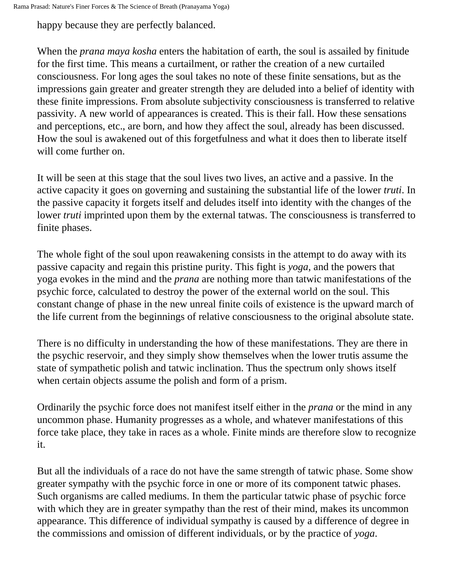happy because they are perfectly balanced.

When the *prana maya kosha* enters the habitation of earth, the soul is assailed by finitude for the first time. This means a curtailment, or rather the creation of a new curtailed consciousness. For long ages the soul takes no note of these finite sensations, but as the impressions gain greater and greater strength they are deluded into a belief of identity with these finite impressions. From absolute subjectivity consciousness is transferred to relative passivity. A new world of appearances is created. This is their fall. How these sensations and perceptions, etc., are born, and how they affect the soul, already has been discussed. How the soul is awakened out of this forgetfulness and what it does then to liberate itself will come further on.

It will be seen at this stage that the soul lives two lives, an active and a passive. In the active capacity it goes on governing and sustaining the substantial life of the lower *truti*. In the passive capacity it forgets itself and deludes itself into identity with the changes of the lower *truti* imprinted upon them by the external tatwas. The consciousness is transferred to finite phases.

The whole fight of the soul upon reawakening consists in the attempt to do away with its passive capacity and regain this pristine purity. This fight is *yoga*, and the powers that yoga evokes in the mind and the *prana* are nothing more than tatwic manifestations of the psychic force, calculated to destroy the power of the external world on the soul. This constant change of phase in the new unreal finite coils of existence is the upward march of the life current from the beginnings of relative consciousness to the original absolute state.

There is no difficulty in understanding the how of these manifestations. They are there in the psychic reservoir, and they simply show themselves when the lower trutis assume the state of sympathetic polish and tatwic inclination. Thus the spectrum only shows itself when certain objects assume the polish and form of a prism.

Ordinarily the psychic force does not manifest itself either in the *prana* or the mind in any uncommon phase. Humanity progresses as a whole, and whatever manifestations of this force take place, they take in races as a whole. Finite minds are therefore slow to recognize it.

But all the individuals of a race do not have the same strength of tatwic phase. Some show greater sympathy with the psychic force in one or more of its component tatwic phases. Such organisms are called mediums. In them the particular tatwic phase of psychic force with which they are in greater sympathy than the rest of their mind, makes its uncommon appearance. This difference of individual sympathy is caused by a difference of degree in the commissions and omission of different individuals, or by the practice of *yoga*.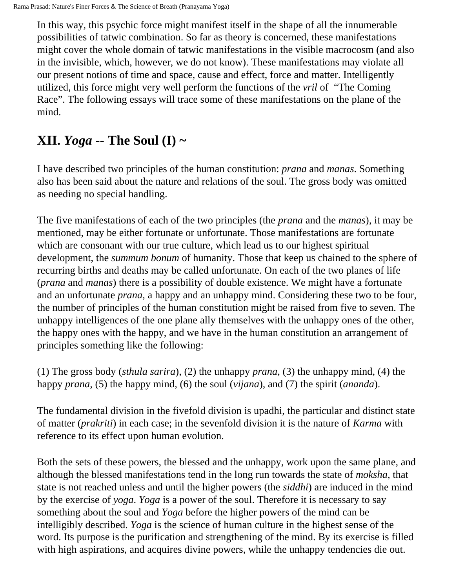In this way, this psychic force might manifest itself in the shape of all the innumerable possibilities of tatwic combination. So far as theory is concerned, these manifestations might cover the whole domain of tatwic manifestations in the visible macrocosm (and also in the invisible, which, however, we do not know). These manifestations may violate all our present notions of time and space, cause and effect, force and matter. Intelligently utilized, this force might very well perform the functions of the *vril* of "The Coming Race". The following essays will trace some of these manifestations on the plane of the mind.

## **XII.** *Yoga* **-- The Soul (I) ~**

I have described two principles of the human constitution: *prana* and *manas*. Something also has been said about the nature and relations of the soul. The gross body was omitted as needing no special handling.

The five manifestations of each of the two principles (the *prana* and the *manas*), it may be mentioned, may be either fortunate or unfortunate. Those manifestations are fortunate which are consonant with our true culture, which lead us to our highest spiritual development, the *summum bonum* of humanity. Those that keep us chained to the sphere of recurring births and deaths may be called unfortunate. On each of the two planes of life (*prana* and *manas*) there is a possibility of double existence. We might have a fortunate and an unfortunate *prana*, a happy and an unhappy mind. Considering these two to be four, the number of principles of the human constitution might be raised from five to seven. The unhappy intelligences of the one plane ally themselves with the unhappy ones of the other, the happy ones with the happy, and we have in the human constitution an arrangement of principles something like the following:

(1) The gross body (*sthula sarira*), (2) the unhappy *prana*, (3) the unhappy mind, (4) the happy *prana*, (5) the happy mind, (6) the soul (*vijana*), and (7) the spirit (*ananda*).

The fundamental division in the fivefold division is upadhi, the particular and distinct state of matter (*prakriti*) in each case; in the sevenfold division it is the nature of *Karma* with reference to its effect upon human evolution.

Both the sets of these powers, the blessed and the unhappy, work upon the same plane, and although the blessed manifestations tend in the long run towards the state of *moksha*, that state is not reached unless and until the higher powers (the *siddhi*) are induced in the mind by the exercise of *yoga*. *Yoga* is a power of the soul. Therefore it is necessary to say something about the soul and *Yoga* before the higher powers of the mind can be intelligibly described. *Yoga* is the science of human culture in the highest sense of the word. Its purpose is the purification and strengthening of the mind. By its exercise is filled with high aspirations, and acquires divine powers, while the unhappy tendencies die out.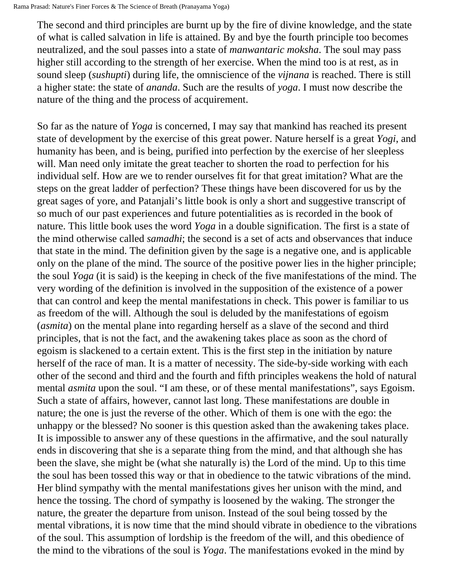The second and third principles are burnt up by the fire of divine knowledge, and the state of what is called salvation in life is attained. By and bye the fourth principle too becomes neutralized, and the soul passes into a state of *manwantaric moksha*. The soul may pass higher still according to the strength of her exercise. When the mind too is at rest, as in sound sleep (*sushupti*) during life, the omniscience of the *vijnana* is reached. There is still a higher state: the state of *ananda*. Such are the results of *yoga*. I must now describe the nature of the thing and the process of acquirement.

So far as the nature of *Yoga* is concerned, I may say that mankind has reached its present state of development by the exercise of this great power. Nature herself is a great *Yogi*, and humanity has been, and is being, purified into perfection by the exercise of her sleepless will. Man need only imitate the great teacher to shorten the road to perfection for his individual self. How are we to render ourselves fit for that great imitation? What are the steps on the great ladder of perfection? These things have been discovered for us by the great sages of yore, and Patanjali's little book is only a short and suggestive transcript of so much of our past experiences and future potentialities as is recorded in the book of nature. This little book uses the word *Yoga* in a double signification. The first is a state of the mind otherwise called *samadhi*; the second is a set of acts and observances that induce that state in the mind. The definition given by the sage is a negative one, and is applicable only on the plane of the mind. The source of the positive power lies in the higher principle; the soul *Yoga* (it is said) is the keeping in check of the five manifestations of the mind. The very wording of the definition is involved in the supposition of the existence of a power that can control and keep the mental manifestations in check. This power is familiar to us as freedom of the will. Although the soul is deluded by the manifestations of egoism (*asmita*) on the mental plane into regarding herself as a slave of the second and third principles, that is not the fact, and the awakening takes place as soon as the chord of egoism is slackened to a certain extent. This is the first step in the initiation by nature herself of the race of man. It is a matter of necessity. The side-by-side working with each other of the second and third and the fourth and fifth principles weakens the hold of natural mental *asmita* upon the soul. "I am these, or of these mental manifestations", says Egoism. Such a state of affairs, however, cannot last long. These manifestations are double in nature; the one is just the reverse of the other. Which of them is one with the ego: the unhappy or the blessed? No sooner is this question asked than the awakening takes place. It is impossible to answer any of these questions in the affirmative, and the soul naturally ends in discovering that she is a separate thing from the mind, and that although she has been the slave, she might be (what she naturally is) the Lord of the mind. Up to this time the soul has been tossed this way or that in obedience to the tatwic vibrations of the mind. Her blind sympathy with the mental manifestations gives her unison with the mind, and hence the tossing. The chord of sympathy is loosened by the waking. The stronger the nature, the greater the departure from unison. Instead of the soul being tossed by the mental vibrations, it is now time that the mind should vibrate in obedience to the vibrations of the soul. This assumption of lordship is the freedom of the will, and this obedience of the mind to the vibrations of the soul is *Yoga*. The manifestations evoked in the mind by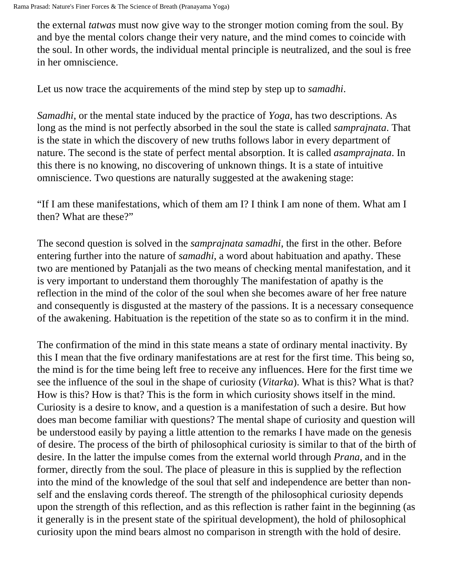the external *tatwas* must now give way to the stronger motion coming from the soul. By and bye the mental colors change their very nature, and the mind comes to coincide with the soul. In other words, the individual mental principle is neutralized, and the soul is free in her omniscience.

Let us now trace the acquirements of the mind step by step up to *samadhi*.

*Samadhi*, or the mental state induced by the practice of *Yoga*, has two descriptions. As long as the mind is not perfectly absorbed in the soul the state is called *samprajnata*. That is the state in which the discovery of new truths follows labor in every department of nature. The second is the state of perfect mental absorption. It is called *asamprajnata*. In this there is no knowing, no discovering of unknown things. It is a state of intuitive omniscience. Two questions are naturally suggested at the awakening stage:

"If I am these manifestations, which of them am I? I think I am none of them. What am I then? What are these?"

The second question is solved in the *samprajnata samadhi*, the first in the other. Before entering further into the nature of *samadhi*, a word about habituation and apathy. These two are mentioned by Patanjali as the two means of checking mental manifestation, and it is very important to understand them thoroughly The manifestation of apathy is the reflection in the mind of the color of the soul when she becomes aware of her free nature and consequently is disgusted at the mastery of the passions. It is a necessary consequence of the awakening. Habituation is the repetition of the state so as to confirm it in the mind.

The confirmation of the mind in this state means a state of ordinary mental inactivity. By this I mean that the five ordinary manifestations are at rest for the first time. This being so, the mind is for the time being left free to receive any influences. Here for the first time we see the influence of the soul in the shape of curiosity (*Vitarka*). What is this? What is that? How is this? How is that? This is the form in which curiosity shows itself in the mind. Curiosity is a desire to know, and a question is a manifestation of such a desire. But how does man become familiar with questions? The mental shape of curiosity and question will be understood easily by paying a little attention to the remarks I have made on the genesis of desire. The process of the birth of philosophical curiosity is similar to that of the birth of desire. In the latter the impulse comes from the external world through *Prana*, and in the former, directly from the soul. The place of pleasure in this is supplied by the reflection into the mind of the knowledge of the soul that self and independence are better than nonself and the enslaving cords thereof. The strength of the philosophical curiosity depends upon the strength of this reflection, and as this reflection is rather faint in the beginning (as it generally is in the present state of the spiritual development), the hold of philosophical curiosity upon the mind bears almost no comparison in strength with the hold of desire.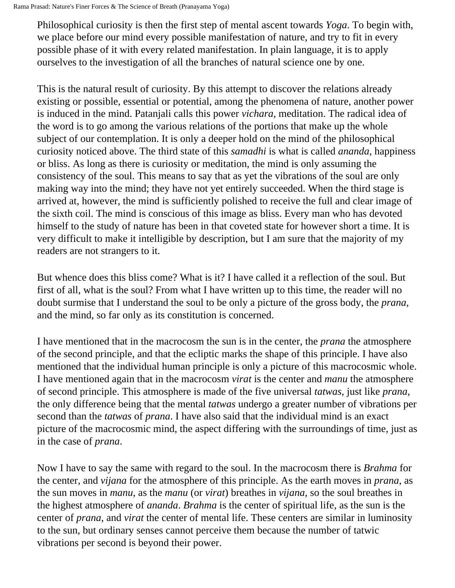Philosophical curiosity is then the first step of mental ascent towards *Yoga*. To begin with, we place before our mind every possible manifestation of nature, and try to fit in every possible phase of it with every related manifestation. In plain language, it is to apply ourselves to the investigation of all the branches of natural science one by one.

This is the natural result of curiosity. By this attempt to discover the relations already existing or possible, essential or potential, among the phenomena of nature, another power is induced in the mind. Patanjali calls this power *vichara*, meditation. The radical idea of the word is to go among the various relations of the portions that make up the whole subject of our contemplation. It is only a deeper hold on the mind of the philosophical curiosity noticed above. The third state of this *samadhi* is what is called *ananda*, happiness or bliss. As long as there is curiosity or meditation, the mind is only assuming the consistency of the soul. This means to say that as yet the vibrations of the soul are only making way into the mind; they have not yet entirely succeeded. When the third stage is arrived at, however, the mind is sufficiently polished to receive the full and clear image of the sixth coil. The mind is conscious of this image as bliss. Every man who has devoted himself to the study of nature has been in that coveted state for however short a time. It is very difficult to make it intelligible by description, but I am sure that the majority of my readers are not strangers to it.

But whence does this bliss come? What is it? I have called it a reflection of the soul. But first of all, what is the soul? From what I have written up to this time, the reader will no doubt surmise that I understand the soul to be only a picture of the gross body, the *prana*, and the mind, so far only as its constitution is concerned.

I have mentioned that in the macrocosm the sun is in the center, the *prana* the atmosphere of the second principle, and that the ecliptic marks the shape of this principle. I have also mentioned that the individual human principle is only a picture of this macrocosmic whole. I have mentioned again that in the macrocosm *virat* is the center and *manu* the atmosphere of second principle. This atmosphere is made of the five universal *tatwas*, just like *prana*, the only difference being that the mental *tatwas* undergo a greater number of vibrations per second than the *tatwas* of *prana*. I have also said that the individual mind is an exact picture of the macrocosmic mind, the aspect differing with the surroundings of time, just as in the case of *prana*.

Now I have to say the same with regard to the soul. In the macrocosm there is *Brahma* for the center, and *vijana* for the atmosphere of this principle. As the earth moves in *prana*, as the sun moves in *manu*, as the *manu* (or *virat*) breathes in *vijana*, so the soul breathes in the highest atmosphere of *ananda*. *Brahma* is the center of spiritual life, as the sun is the center of *prana*, and *virat* the center of mental life. These centers are similar in luminosity to the sun, but ordinary senses cannot perceive them because the number of tatwic vibrations per second is beyond their power.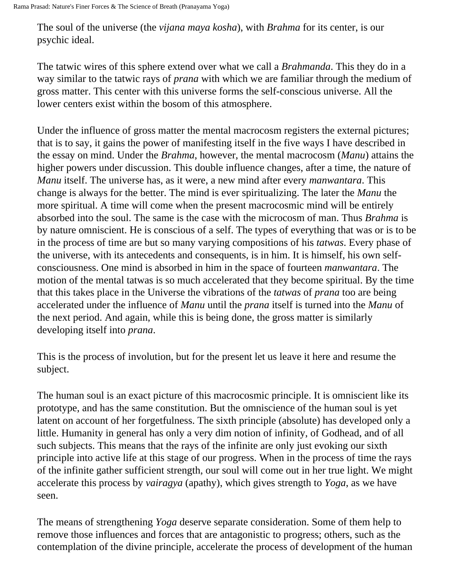Rama Prasad: Nature's Finer Forces & The Science of Breath (Pranayama Yoga)

The soul of the universe (the *vijana maya kosha*), with *Brahma* for its center, is our psychic ideal.

The tatwic wires of this sphere extend over what we call a *Brahmanda*. This they do in a way similar to the tatwic rays of *prana* with which we are familiar through the medium of gross matter. This center with this universe forms the self-conscious universe. All the lower centers exist within the bosom of this atmosphere.

Under the influence of gross matter the mental macrocosm registers the external pictures; that is to say, it gains the power of manifesting itself in the five ways I have described in the essay on mind. Under the *Brahma*, however, the mental macrocosm (*Manu*) attains the higher powers under discussion. This double influence changes, after a time, the nature of *Manu* itself. The universe has, as it were, a new mind after every *manwantara*. This change is always for the better. The mind is ever spiritualizing. The later the *Manu* the more spiritual. A time will come when the present macrocosmic mind will be entirely absorbed into the soul. The same is the case with the microcosm of man. Thus *Brahma* is by nature omniscient. He is conscious of a self. The types of everything that was or is to be in the process of time are but so many varying compositions of his *tatwas*. Every phase of the universe, with its antecedents and consequents, is in him. It is himself, his own selfconsciousness. One mind is absorbed in him in the space of fourteen *manwantara*. The motion of the mental tatwas is so much accelerated that they become spiritual. By the time that this takes place in the Universe the vibrations of the *tatwas* of *prana* too are being accelerated under the influence of *Manu* until the *prana* itself is turned into the *Manu* of the next period. And again, while this is being done, the gross matter is similarly developing itself into *prana*.

This is the process of involution, but for the present let us leave it here and resume the subject.

The human soul is an exact picture of this macrocosmic principle. It is omniscient like its prototype, and has the same constitution. But the omniscience of the human soul is yet latent on account of her forgetfulness. The sixth principle (absolute) has developed only a little. Humanity in general has only a very dim notion of infinity, of Godhead, and of all such subjects. This means that the rays of the infinite are only just evoking our sixth principle into active life at this stage of our progress. When in the process of time the rays of the infinite gather sufficient strength, our soul will come out in her true light. We might accelerate this process by *vairagya* (apathy), which gives strength to *Yoga*, as we have seen.

The means of strengthening *Yoga* deserve separate consideration. Some of them help to remove those influences and forces that are antagonistic to progress; others, such as the contemplation of the divine principle, accelerate the process of development of the human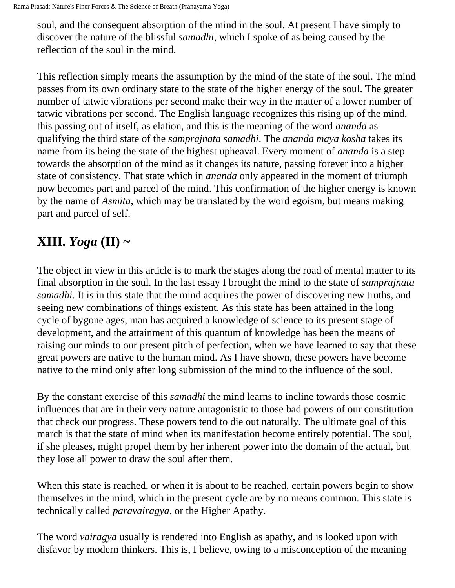soul, and the consequent absorption of the mind in the soul. At present I have simply to discover the nature of the blissful *samadhi*, which I spoke of as being caused by the reflection of the soul in the mind.

This reflection simply means the assumption by the mind of the state of the soul. The mind passes from its own ordinary state to the state of the higher energy of the soul. The greater number of tatwic vibrations per second make their way in the matter of a lower number of tatwic vibrations per second. The English language recognizes this rising up of the mind, this passing out of itself, as elation, and this is the meaning of the word *ananda* as qualifying the third state of the *samprajnata samadhi*. The *ananda maya kosha* takes its name from its being the state of the highest upheaval. Every moment of *ananda* is a step towards the absorption of the mind as it changes its nature, passing forever into a higher state of consistency. That state which in *ananda* only appeared in the moment of triumph now becomes part and parcel of the mind. This confirmation of the higher energy is known by the name of *Asmita*, which may be translated by the word egoism, but means making part and parcel of self.

# **XIII.** *Yoga* **(II) ~**

The object in view in this article is to mark the stages along the road of mental matter to its final absorption in the soul. In the last essay I brought the mind to the state of *samprajnata samadhi*. It is in this state that the mind acquires the power of discovering new truths, and seeing new combinations of things existent. As this state has been attained in the long cycle of bygone ages, man has acquired a knowledge of science to its present stage of development, and the attainment of this quantum of knowledge has been the means of raising our minds to our present pitch of perfection, when we have learned to say that these great powers are native to the human mind. As I have shown, these powers have become native to the mind only after long submission of the mind to the influence of the soul.

By the constant exercise of this *samadhi* the mind learns to incline towards those cosmic influences that are in their very nature antagonistic to those bad powers of our constitution that check our progress. These powers tend to die out naturally. The ultimate goal of this march is that the state of mind when its manifestation become entirely potential. The soul, if she pleases, might propel them by her inherent power into the domain of the actual, but they lose all power to draw the soul after them.

When this state is reached, or when it is about to be reached, certain powers begin to show themselves in the mind, which in the present cycle are by no means common. This state is technically called *paravairagya*, or the Higher Apathy.

The word *vairagya* usually is rendered into English as apathy, and is looked upon with disfavor by modern thinkers. This is, I believe, owing to a misconception of the meaning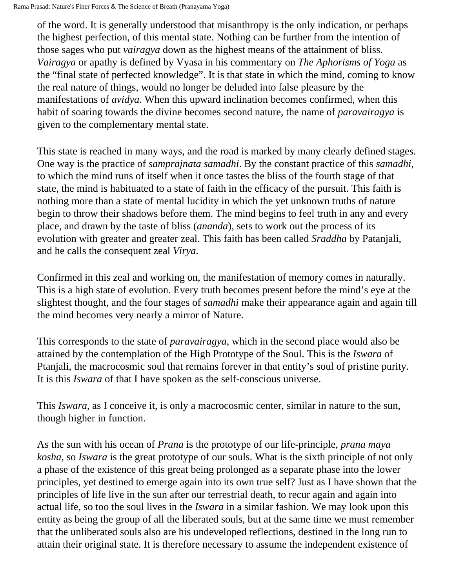of the word. It is generally understood that misanthropy is the only indication, or perhaps the highest perfection, of this mental state. Nothing can be further from the intention of those sages who put *vairagya* down as the highest means of the attainment of bliss. *Vairagya* or apathy is defined by Vyasa in his commentary on *The Aphorisms of Yoga* as the "final state of perfected knowledge". It is that state in which the mind, coming to know the real nature of things, would no longer be deluded into false pleasure by the manifestations of *avidya*. When this upward inclination becomes confirmed, when this habit of soaring towards the divine becomes second nature, the name of *paravairagya* is given to the complementary mental state.

This state is reached in many ways, and the road is marked by many clearly defined stages. One way is the practice of *samprajnata samadhi*. By the constant practice of this *samadhi*, to which the mind runs of itself when it once tastes the bliss of the fourth stage of that state, the mind is habituated to a state of faith in the efficacy of the pursuit. This faith is nothing more than a state of mental lucidity in which the yet unknown truths of nature begin to throw their shadows before them. The mind begins to feel truth in any and every place, and drawn by the taste of bliss (*ananda*), sets to work out the process of its evolution with greater and greater zeal. This faith has been called *Sraddha* by Patanjali, and he calls the consequent zeal *Virya*.

Confirmed in this zeal and working on, the manifestation of memory comes in naturally. This is a high state of evolution. Every truth becomes present before the mind's eye at the slightest thought, and the four stages of *samadhi* make their appearance again and again till the mind becomes very nearly a mirror of Nature.

This corresponds to the state of *paravairagya*, which in the second place would also be attained by the contemplation of the High Prototype of the Soul. This is the *Iswara* of Ptanjali, the macrocosmic soul that remains forever in that entity's soul of pristine purity. It is this *Iswara* of that I have spoken as the self-conscious universe.

This *Iswara*, as I conceive it, is only a macrocosmic center, similar in nature to the sun, though higher in function.

As the sun with his ocean of *Prana* is the prototype of our life-principle, *prana maya kosha*, so *Iswara* is the great prototype of our souls. What is the sixth principle of not only a phase of the existence of this great being prolonged as a separate phase into the lower principles, yet destined to emerge again into its own true self? Just as I have shown that the principles of life live in the sun after our terrestrial death, to recur again and again into actual life, so too the soul lives in the *Iswara* in a similar fashion. We may look upon this entity as being the group of all the liberated souls, but at the same time we must remember that the unliberated souls also are his undeveloped reflections, destined in the long run to attain their original state. It is therefore necessary to assume the independent existence of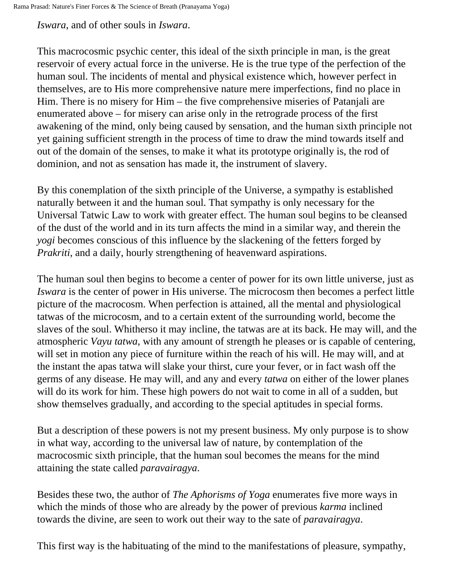Rama Prasad: Nature's Finer Forces & The Science of Breath (Pranayama Yoga)

*Iswara*, and of other souls in *Iswara*.

This macrocosmic psychic center, this ideal of the sixth principle in man, is the great reservoir of every actual force in the universe. He is the true type of the perfection of the human soul. The incidents of mental and physical existence which, however perfect in themselves, are to His more comprehensive nature mere imperfections, find no place in Him. There is no misery for Him – the five comprehensive miseries of Patanjali are enumerated above – for misery can arise only in the retrograde process of the first awakening of the mind, only being caused by sensation, and the human sixth principle not yet gaining sufficient strength in the process of time to draw the mind towards itself and out of the domain of the senses, to make it what its prototype originally is, the rod of dominion, and not as sensation has made it, the instrument of slavery.

By this conemplation of the sixth principle of the Universe, a sympathy is established naturally between it and the human soul. That sympathy is only necessary for the Universal Tatwic Law to work with greater effect. The human soul begins to be cleansed of the dust of the world and in its turn affects the mind in a similar way, and therein the *yogi* becomes conscious of this influence by the slackening of the fetters forged by *Prakriti*, and a daily, hourly strengthening of heavenward aspirations.

The human soul then begins to become a center of power for its own little universe, just as *Iswara* is the center of power in His universe. The microcosm then becomes a perfect little picture of the macrocosm. When perfection is attained, all the mental and physiological tatwas of the microcosm, and to a certain extent of the surrounding world, become the slaves of the soul. Whitherso it may incline, the tatwas are at its back. He may will, and the atmospheric *Vayu tatwa*, with any amount of strength he pleases or is capable of centering, will set in motion any piece of furniture within the reach of his will. He may will, and at the instant the apas tatwa will slake your thirst, cure your fever, or in fact wash off the germs of any disease. He may will, and any and every *tatwa* on either of the lower planes will do its work for him. These high powers do not wait to come in all of a sudden, but show themselves gradually, and according to the special aptitudes in special forms.

But a description of these powers is not my present business. My only purpose is to show in what way, according to the universal law of nature, by contemplation of the macrocosmic sixth principle, that the human soul becomes the means for the mind attaining the state called *paravairagya*.

Besides these two, the author of *The Aphorisms of Yoga* enumerates five more ways in which the minds of those who are already by the power of previous *karma* inclined towards the divine, are seen to work out their way to the sate of *paravairagya*.

This first way is the habituating of the mind to the manifestations of pleasure, sympathy,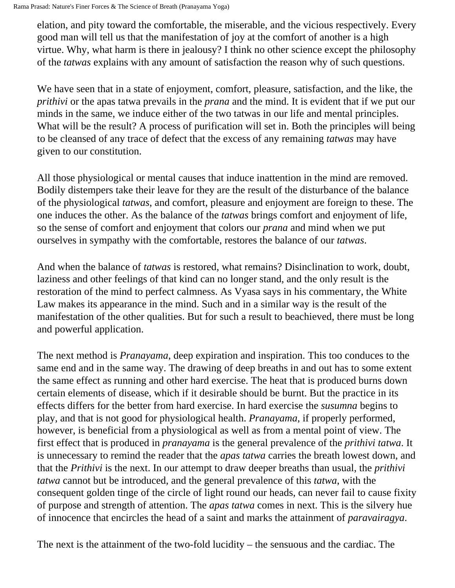elation, and pity toward the comfortable, the miserable, and the vicious respectively. Every good man will tell us that the manifestation of joy at the comfort of another is a high virtue. Why, what harm is there in jealousy? I think no other science except the philosophy of the *tatwas* explains with any amount of satisfaction the reason why of such questions.

We have seen that in a state of enjoyment, comfort, pleasure, satisfaction, and the like, the *prithivi* or the apas tatwa prevails in the *prana* and the mind. It is evident that if we put our minds in the same, we induce either of the two tatwas in our life and mental principles. What will be the result? A process of purification will set in. Both the principles will being to be cleansed of any trace of defect that the excess of any remaining *tatwas* may have given to our constitution.

All those physiological or mental causes that induce inattention in the mind are removed. Bodily distempers take their leave for they are the result of the disturbance of the balance of the physiological *tatwas*, and comfort, pleasure and enjoyment are foreign to these. The one induces the other. As the balance of the *tatwas* brings comfort and enjoyment of life, so the sense of comfort and enjoyment that colors our *prana* and mind when we put ourselves in sympathy with the comfortable, restores the balance of our *tatwas*.

And when the balance of *tatwas* is restored, what remains? Disinclination to work, doubt, laziness and other feelings of that kind can no longer stand, and the only result is the restoration of the mind to perfect calmness. As Vyasa says in his commentary, the White Law makes its appearance in the mind. Such and in a similar way is the result of the manifestation of the other qualities. But for such a result to beachieved, there must be long and powerful application.

The next method is *Pranayama*, deep expiration and inspiration. This too conduces to the same end and in the same way. The drawing of deep breaths in and out has to some extent the same effect as running and other hard exercise. The heat that is produced burns down certain elements of disease, which if it desirable should be burnt. But the practice in its effects differs for the better from hard exercise. In hard exercise the *susumna* begins to play, and that is not good for physiological health. *Pranayama*, if properly performed, however, is beneficial from a physiological as well as from a mental point of view. The first effect that is produced in *pranayama* is the general prevalence of the *prithivi tatwa*. It is unnecessary to remind the reader that the *apas tatwa* carries the breath lowest down, and that the *Prithivi* is the next. In our attempt to draw deeper breaths than usual, the *prithivi tatwa* cannot but be introduced, and the general prevalence of this *tatwa*, with the consequent golden tinge of the circle of light round our heads, can never fail to cause fixity of purpose and strength of attention. The *apas tatwa* comes in next. This is the silvery hue of innocence that encircles the head of a saint and marks the attainment of *paravairagya*.

The next is the attainment of the two-fold lucidity – the sensuous and the cardiac. The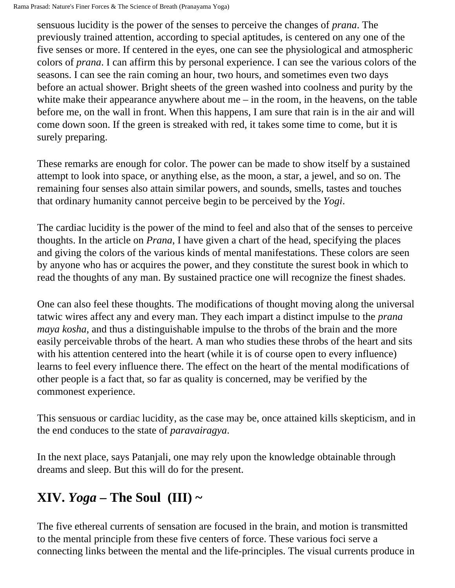sensuous lucidity is the power of the senses to perceive the changes of *prana*. The previously trained attention, according to special aptitudes, is centered on any one of the five senses or more. If centered in the eyes, one can see the physiological and atmospheric colors of *prana*. I can affirm this by personal experience. I can see the various colors of the seasons. I can see the rain coming an hour, two hours, and sometimes even two days before an actual shower. Bright sheets of the green washed into coolness and purity by the white make their appearance anywhere about me  $-$  in the room, in the heavens, on the table before me, on the wall in front. When this happens, I am sure that rain is in the air and will come down soon. If the green is streaked with red, it takes some time to come, but it is surely preparing.

These remarks are enough for color. The power can be made to show itself by a sustained attempt to look into space, or anything else, as the moon, a star, a jewel, and so on. The remaining four senses also attain similar powers, and sounds, smells, tastes and touches that ordinary humanity cannot perceive begin to be perceived by the *Yogi*.

The cardiac lucidity is the power of the mind to feel and also that of the senses to perceive thoughts. In the article on *Prana*, I have given a chart of the head, specifying the places and giving the colors of the various kinds of mental manifestations. These colors are seen by anyone who has or acquires the power, and they constitute the surest book in which to read the thoughts of any man. By sustained practice one will recognize the finest shades.

One can also feel these thoughts. The modifications of thought moving along the universal tatwic wires affect any and every man. They each impart a distinct impulse to the *prana maya kosha*, and thus a distinguishable impulse to the throbs of the brain and the more easily perceivable throbs of the heart. A man who studies these throbs of the heart and sits with his attention centered into the heart (while it is of course open to every influence) learns to feel every influence there. The effect on the heart of the mental modifications of other people is a fact that, so far as quality is concerned, may be verified by the commonest experience.

This sensuous or cardiac lucidity, as the case may be, once attained kills skepticism, and in the end conduces to the state of *paravairagya*.

In the next place, says Patanjali, one may rely upon the knowledge obtainable through dreams and sleep. But this will do for the present.

## **XIV.**  $Yoga - The Soul$  (III) ~

The five ethereal currents of sensation are focused in the brain, and motion is transmitted to the mental principle from these five centers of force. These various foci serve a connecting links between the mental and the life-principles. The visual currents produce in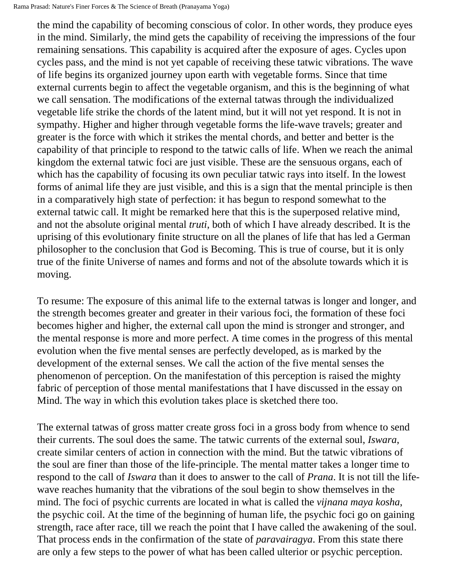the mind the capability of becoming conscious of color. In other words, they produce eyes in the mind. Similarly, the mind gets the capability of receiving the impressions of the four remaining sensations. This capability is acquired after the exposure of ages. Cycles upon cycles pass, and the mind is not yet capable of receiving these tatwic vibrations. The wave of life begins its organized journey upon earth with vegetable forms. Since that time external currents begin to affect the vegetable organism, and this is the beginning of what we call sensation. The modifications of the external tatwas through the individualized vegetable life strike the chords of the latent mind, but it will not yet respond. It is not in sympathy. Higher and higher through vegetable forms the life-wave travels; greater and greater is the force with which it strikes the mental chords, and better and better is the capability of that principle to respond to the tatwic calls of life. When we reach the animal kingdom the external tatwic foci are just visible. These are the sensuous organs, each of which has the capability of focusing its own peculiar tatwic rays into itself. In the lowest forms of animal life they are just visible, and this is a sign that the mental principle is then in a comparatively high state of perfection: it has begun to respond somewhat to the external tatwic call. It might be remarked here that this is the superposed relative mind, and not the absolute original mental *truti*, both of which I have already described. It is the uprising of this evolutionary finite structure on all the planes of life that has led a German philosopher to the conclusion that God is Becoming. This is true of course, but it is only true of the finite Universe of names and forms and not of the absolute towards which it is moving.

To resume: The exposure of this animal life to the external tatwas is longer and longer, and the strength becomes greater and greater in their various foci, the formation of these foci becomes higher and higher, the external call upon the mind is stronger and stronger, and the mental response is more and more perfect. A time comes in the progress of this mental evolution when the five mental senses are perfectly developed, as is marked by the development of the external senses. We call the action of the five mental senses the phenomenon of perception. On the manifestation of this perception is raised the mighty fabric of perception of those mental manifestations that I have discussed in the essay on Mind. The way in which this evolution takes place is sketched there too.

The external tatwas of gross matter create gross foci in a gross body from whence to send their currents. The soul does the same. The tatwic currents of the external soul, *Iswara*, create similar centers of action in connection with the mind. But the tatwic vibrations of the soul are finer than those of the life-principle. The mental matter takes a longer time to respond to the call of *Iswara* than it does to answer to the call of *Prana*. It is not till the lifewave reaches humanity that the vibrations of the soul begin to show themselves in the mind. The foci of psychic currents are located in what is called the *vijnana maya kosha*, the psychic coil. At the time of the beginning of human life, the psychic foci go on gaining strength, race after race, till we reach the point that I have called the awakening of the soul. That process ends in the confirmation of the state of *paravairagya*. From this state there are only a few steps to the power of what has been called ulterior or psychic perception.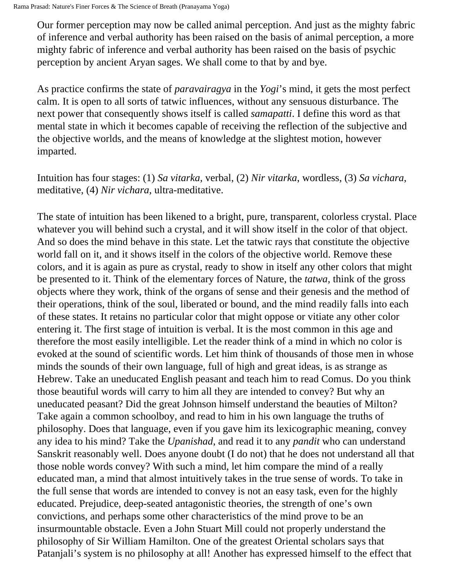Our former perception may now be called animal perception. And just as the mighty fabric of inference and verbal authority has been raised on the basis of animal perception, a more mighty fabric of inference and verbal authority has been raised on the basis of psychic perception by ancient Aryan sages. We shall come to that by and bye.

As practice confirms the state of *paravairagya* in the *Yogi*'s mind, it gets the most perfect calm. It is open to all sorts of tatwic influences, without any sensuous disturbance. The next power that consequently shows itself is called *samapatti*. I define this word as that mental state in which it becomes capable of receiving the reflection of the subjective and the objective worlds, and the means of knowledge at the slightest motion, however imparted.

Intuition has four stages: (1) *Sa vitarka*, verbal, (2) *Nir vitarka*, wordless, (3) *Sa vichara*, meditative, (4) *Nir vichara*, ultra-meditative.

The state of intuition has been likened to a bright, pure, transparent, colorless crystal. Place whatever you will behind such a crystal, and it will show itself in the color of that object. And so does the mind behave in this state. Let the tatwic rays that constitute the objective world fall on it, and it shows itself in the colors of the objective world. Remove these colors, and it is again as pure as crystal, ready to show in itself any other colors that might be presented to it. Think of the elementary forces of Nature, the *tatwa*, think of the gross objects where they work, think of the organs of sense and their genesis and the method of their operations, think of the soul, liberated or bound, and the mind readily falls into each of these states. It retains no particular color that might oppose or vitiate any other color entering it. The first stage of intuition is verbal. It is the most common in this age and therefore the most easily intelligible. Let the reader think of a mind in which no color is evoked at the sound of scientific words. Let him think of thousands of those men in whose minds the sounds of their own language, full of high and great ideas, is as strange as Hebrew. Take an uneducated English peasant and teach him to read Comus. Do you think those beautiful words will carry to him all they are intended to convey? But why an uneducated peasant? Did the great Johnson himself understand the beauties of Milton? Take again a common schoolboy, and read to him in his own language the truths of philosophy. Does that language, even if you gave him its lexicographic meaning, convey any idea to his mind? Take the *Upanishad*, and read it to any *pandit* who can understand Sanskrit reasonably well. Does anyone doubt (I do not) that he does not understand all that those noble words convey? With such a mind, let him compare the mind of a really educated man, a mind that almost intuitively takes in the true sense of words. To take in the full sense that words are intended to convey is not an easy task, even for the highly educated. Prejudice, deep-seated antagonistic theories, the strength of one's own convictions, and perhaps some other characteristics of the mind prove to be an insurmountable obstacle. Even a John Stuart Mill could not properly understand the philosophy of Sir William Hamilton. One of the greatest Oriental scholars says that Patanjali's system is no philosophy at all! Another has expressed himself to the effect that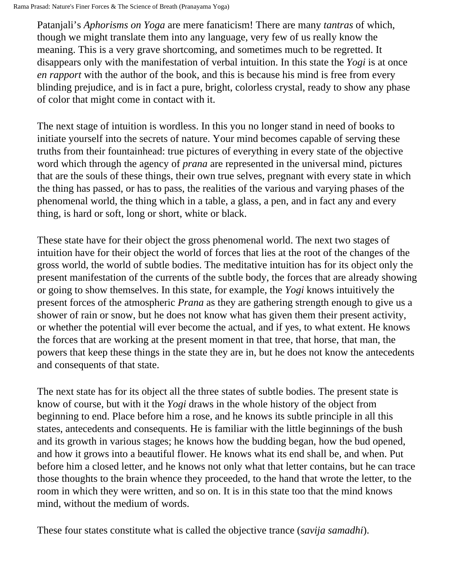Patanjali's *Aphorisms on Yoga* are mere fanaticism! There are many *tantras* of which, though we might translate them into any language, very few of us really know the meaning. This is a very grave shortcoming, and sometimes much to be regretted. It disappears only with the manifestation of verbal intuition. In this state the *Yogi* is at once *en rapport* with the author of the book, and this is because his mind is free from every blinding prejudice, and is in fact a pure, bright, colorless crystal, ready to show any phase of color that might come in contact with it.

The next stage of intuition is wordless. In this you no longer stand in need of books to initiate yourself into the secrets of nature. Your mind becomes capable of serving these truths from their fountainhead: true pictures of everything in every state of the objective word which through the agency of *prana* are represented in the universal mind, pictures that are the souls of these things, their own true selves, pregnant with every state in which the thing has passed, or has to pass, the realities of the various and varying phases of the phenomenal world, the thing which in a table, a glass, a pen, and in fact any and every thing, is hard or soft, long or short, white or black.

These state have for their object the gross phenomenal world. The next two stages of intuition have for their object the world of forces that lies at the root of the changes of the gross world, the world of subtle bodies. The meditative intuition has for its object only the present manifestation of the currents of the subtle body, the forces that are already showing or going to show themselves. In this state, for example, the *Yogi* knows intuitively the present forces of the atmospheric *Prana* as they are gathering strength enough to give us a shower of rain or snow, but he does not know what has given them their present activity, or whether the potential will ever become the actual, and if yes, to what extent. He knows the forces that are working at the present moment in that tree, that horse, that man, the powers that keep these things in the state they are in, but he does not know the antecedents and consequents of that state.

The next state has for its object all the three states of subtle bodies. The present state is know of course, but with it the *Yogi* draws in the whole history of the object from beginning to end. Place before him a rose, and he knows its subtle principle in all this states, antecedents and consequents. He is familiar with the little beginnings of the bush and its growth in various stages; he knows how the budding began, how the bud opened, and how it grows into a beautiful flower. He knows what its end shall be, and when. Put before him a closed letter, and he knows not only what that letter contains, but he can trace those thoughts to the brain whence they proceeded, to the hand that wrote the letter, to the room in which they were written, and so on. It is in this state too that the mind knows mind, without the medium of words.

These four states constitute what is called the objective trance (*savija samadhi*).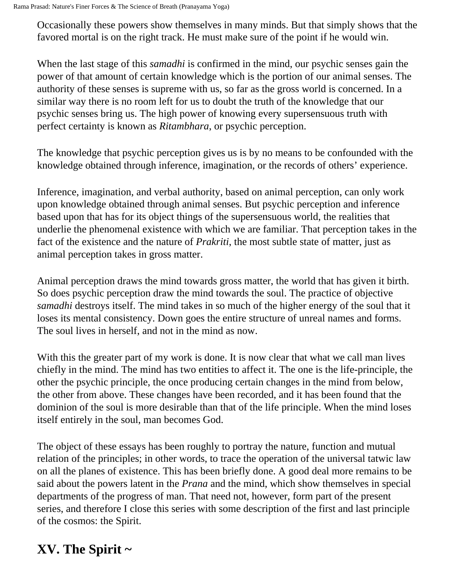Occasionally these powers show themselves in many minds. But that simply shows that the favored mortal is on the right track. He must make sure of the point if he would win.

When the last stage of this *samadhi* is confirmed in the mind, our psychic senses gain the power of that amount of certain knowledge which is the portion of our animal senses. The authority of these senses is supreme with us, so far as the gross world is concerned. In a similar way there is no room left for us to doubt the truth of the knowledge that our psychic senses bring us. The high power of knowing every supersensuous truth with perfect certainty is known as *Ritambhara*, or psychic perception.

The knowledge that psychic perception gives us is by no means to be confounded with the knowledge obtained through inference, imagination, or the records of others' experience.

Inference, imagination, and verbal authority, based on animal perception, can only work upon knowledge obtained through animal senses. But psychic perception and inference based upon that has for its object things of the supersensuous world, the realities that underlie the phenomenal existence with which we are familiar. That perception takes in the fact of the existence and the nature of *Prakriti*, the most subtle state of matter, just as animal perception takes in gross matter.

Animal perception draws the mind towards gross matter, the world that has given it birth. So does psychic perception draw the mind towards the soul. The practice of objective *samadhi* destroys itself. The mind takes in so much of the higher energy of the soul that it loses its mental consistency. Down goes the entire structure of unreal names and forms. The soul lives in herself, and not in the mind as now.

With this the greater part of my work is done. It is now clear that what we call man lives chiefly in the mind. The mind has two entities to affect it. The one is the life-principle, the other the psychic principle, the once producing certain changes in the mind from below, the other from above. These changes have been recorded, and it has been found that the dominion of the soul is more desirable than that of the life principle. When the mind loses itself entirely in the soul, man becomes God.

The object of these essays has been roughly to portray the nature, function and mutual relation of the principles; in other words, to trace the operation of the universal tatwic law on all the planes of existence. This has been briefly done. A good deal more remains to be said about the powers latent in the *Prana* and the mind, which show themselves in special departments of the progress of man. That need not, however, form part of the present series, and therefore I close this series with some description of the first and last principle of the cosmos: the Spirit.

## **XV. The Spirit ~**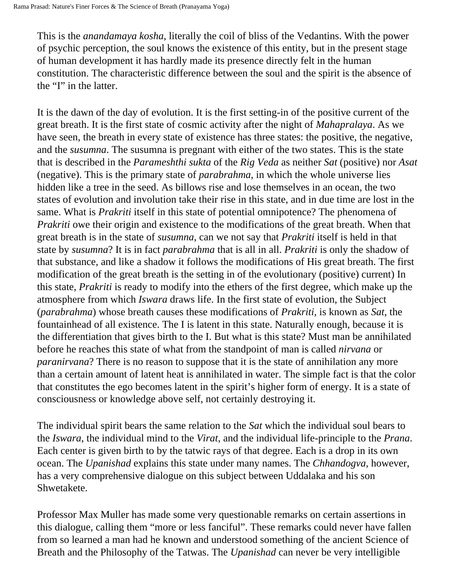This is the *anandamaya kosha*, literally the coil of bliss of the Vedantins. With the power of psychic perception, the soul knows the existence of this entity, but in the present stage of human development it has hardly made its presence directly felt in the human constitution. The characteristic difference between the soul and the spirit is the absence of the "I" in the latter.

It is the dawn of the day of evolution. It is the first setting-in of the positive current of the great breath. It is the first state of cosmic activity after the night of *Mahapralaya*. As we have seen, the breath in every state of existence has three states: the positive, the negative, and the *susumna*. The susumna is pregnant with either of the two states. This is the state that is described in the *Parameshthi sukta* of the *Rig Veda* as neither *Sat* (positive) nor *Asat* (negative). This is the primary state of *parabrahma*, in which the whole universe lies hidden like a tree in the seed. As billows rise and lose themselves in an ocean, the two states of evolution and involution take their rise in this state, and in due time are lost in the same. What is *Prakriti* itself in this state of potential omnipotence? The phenomena of *Prakriti* owe their origin and existence to the modifications of the great breath. When that great breath is in the state of *susumna*, can we not say that *Prakriti* itself is held in that state by *susumna*? It is in fact *parabrahma* that is all in all. *Prakriti* is only the shadow of that substance, and like a shadow it follows the modifications of His great breath. The first modification of the great breath is the setting in of the evolutionary (positive) current) In this state, *Prakriti* is ready to modify into the ethers of the first degree, which make up the atmosphere from which *Iswara* draws life. In the first state of evolution, the Subject (*parabrahma*) whose breath causes these modifications of *Prakriti*, is known as *Sat*, the fountainhead of all existence. The I is latent in this state. Naturally enough, because it is the differentiation that gives birth to the I. But what is this state? Must man be annihilated before he reaches this state of what from the standpoint of man is called *nirvana* or *paranirvana*? There is no reason to suppose that it is the state of annihilation any more than a certain amount of latent heat is annihilated in water. The simple fact is that the color that constitutes the ego becomes latent in the spirit's higher form of energy. It is a state of consciousness or knowledge above self, not certainly destroying it.

The individual spirit bears the same relation to the *Sat* which the individual soul bears to the *Iswara*, the individual mind to the *Virat*, and the individual life-principle to the *Prana*. Each center is given birth to by the tatwic rays of that degree. Each is a drop in its own ocean. The *Upanishad* explains this state under many names. The *Chhandogva,* however, has a very comprehensive dialogue on this subject between Uddalaka and his son Shwetakete.

Professor Max Muller has made some very questionable remarks on certain assertions in this dialogue, calling them "more or less fanciful". These remarks could never have fallen from so learned a man had he known and understood something of the ancient Science of Breath and the Philosophy of the Tatwas. The *Upanishad* can never be very intelligible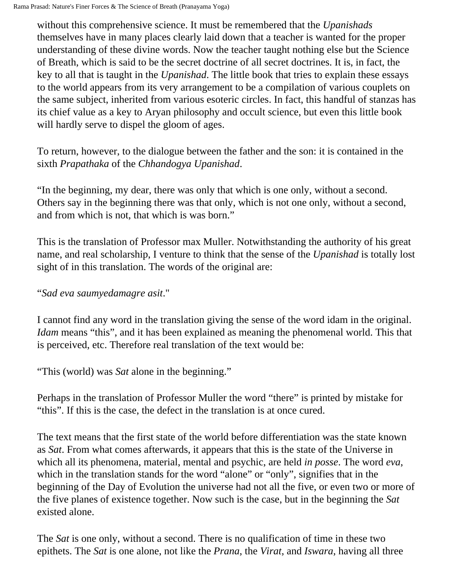without this comprehensive science. It must be remembered that the *Upanishads* themselves have in many places clearly laid down that a teacher is wanted for the proper understanding of these divine words. Now the teacher taught nothing else but the Science of Breath, which is said to be the secret doctrine of all secret doctrines. It is, in fact, the key to all that is taught in the *Upanishad*. The little book that tries to explain these essays to the world appears from its very arrangement to be a compilation of various couplets on the same subject, inherited from various esoteric circles. In fact, this handful of stanzas has its chief value as a key to Aryan philosophy and occult science, but even this little book will hardly serve to dispel the gloom of ages.

To return, however, to the dialogue between the father and the son: it is contained in the sixth *Prapathaka* of the *Chhandogya Upanishad*.

"In the beginning, my dear, there was only that which is one only, without a second. Others say in the beginning there was that only, which is not one only, without a second, and from which is not, that which is was born."

This is the translation of Professor max Muller. Notwithstanding the authority of his great name, and real scholarship, I venture to think that the sense of the *Upanishad* is totally lost sight of in this translation. The words of the original are:

"*Sad eva saumyedamagre asit*."

I cannot find any word in the translation giving the sense of the word idam in the original. *Idam* means "this", and it has been explained as meaning the phenomenal world. This that is perceived, etc. Therefore real translation of the text would be:

"This (world) was *Sat* alone in the beginning."

Perhaps in the translation of Professor Muller the word "there" is printed by mistake for "this". If this is the case, the defect in the translation is at once cured.

The text means that the first state of the world before differentiation was the state known as *Sat*. From what comes afterwards, it appears that this is the state of the Universe in which all its phenomena, material, mental and psychic, are held *in posse*. The word *eva*, which in the translation stands for the word "alone" or "only", signifies that in the beginning of the Day of Evolution the universe had not all the five, or even two or more of the five planes of existence together. Now such is the case, but in the beginning the *Sat* existed alone.

The *Sat* is one only, without a second. There is no qualification of time in these two epithets. The *Sat* is one alone, not like the *Prana*, the *Virat*, and *Iswara*, having all three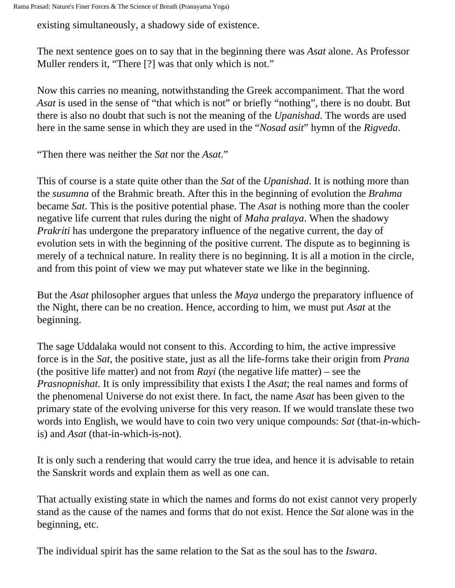Rama Prasad: Nature's Finer Forces & The Science of Breath (Pranayama Yoga)

existing simultaneously, a shadowy side of existence.

The next sentence goes on to say that in the beginning there was *Asat* alone. As Professor Muller renders it, "There [?] was that only which is not."

Now this carries no meaning, notwithstanding the Greek accompaniment. That the word *Asat* is used in the sense of "that which is not" or briefly "nothing", there is no doubt. But there is also no doubt that such is not the meaning of the *Upanishad*. The words are used here in the same sense in which they are used in the "*Nosad asit*" hymn of the *Rigveda*.

"Then there was neither the *Sat* nor the *Asat*."

This of course is a state quite other than the *Sat* of the *Upanishad*. It is nothing more than the *susumna* of the Brahmic breath. After this in the beginning of evolution the *Brahma*  became *Sat*. This is the positive potential phase. The *Asat* is nothing more than the cooler negative life current that rules during the night of *Maha pralaya*. When the shadowy *Prakriti* has undergone the preparatory influence of the negative current, the day of evolution sets in with the beginning of the positive current. The dispute as to beginning is merely of a technical nature. In reality there is no beginning. It is all a motion in the circle, and from this point of view we may put whatever state we like in the beginning.

But the *Asat* philosopher argues that unless the *Maya* undergo the preparatory influence of the Night, there can be no creation. Hence, according to him, we must put *Asat* at the beginning.

The sage Uddalaka would not consent to this. According to him, the active impressive force is in the *Sat*, the positive state, just as all the life-forms take their origin from *Prana* (the positive life matter) and not from *Rayi* (the negative life matter) – see the *Prasnopnishat*. It is only impressibility that exists I the *Asat*; the real names and forms of the phenomenal Universe do not exist there. In fact, the name *Asat* has been given to the primary state of the evolving universe for this very reason. If we would translate these two words into English, we would have to coin two very unique compounds: *Sat* (that-in-whichis) and *Asat* (that-in-which-is-not).

It is only such a rendering that would carry the true idea, and hence it is advisable to retain the Sanskrit words and explain them as well as one can.

That actually existing state in which the names and forms do not exist cannot very properly stand as the cause of the names and forms that do not exist. Hence the *Sat* alone was in the beginning, etc.

The individual spirit has the same relation to the Sat as the soul has to the *Iswara*.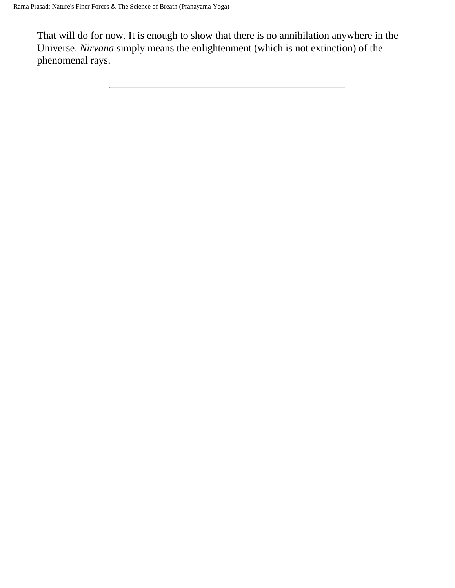That will do for now. It is enough to show that there is no annihilation anywhere in the Universe. *Nirvana* simply means the enlightenment (which is not extinction) of the phenomenal rays.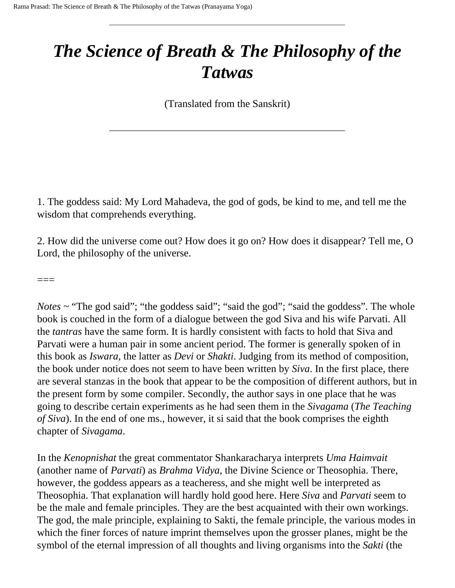$---$ 

# *The Science of Breath & The Philosophy of the Tatwas*

(Translated from the Sanskrit)

1. The goddess said: My Lord Mahadeva, the god of gods, be kind to me, and tell me the wisdom that comprehends everything.

2. How did the universe come out? How does it go on? How does it disappear? Tell me, O Lord, the philosophy of the universe.

*Notes* ~ "The god said"; "the goddess said"; "said the god"; "said the goddess". The whole book is couched in the form of a dialogue between the god Siva and his wife Parvati. All the *tantras* have the same form. It is hardly consistent with facts to hold that Siva and Parvati were a human pair in some ancient period. The former is generally spoken of in this book as *Iswara*, the latter as *Devi* or *Shakti*. Judging from its method of composition, the book under notice does not seem to have been written by *Siva*. In the first place, there are several stanzas in the book that appear to be the composition of different authors, but in the present form by some compiler. Secondly, the author says in one place that he was going to describe certain experiments as he had seen them in the *Sivagama* (*The Teaching of Siva*). In the end of one ms., however, it si said that the book comprises the eighth chapter of *Sivagama*.

In the *Kenopnishat* the great commentator Shankaracharya interprets *Uma Haimvait* (another name of *Parvati*) as *Brahma Vidya*, the Divine Science or Theosophia. There, however, the goddess appears as a teacheress, and she might well be interpreted as Theosophia. That explanation will hardly hold good here. Here *Siva* and *Parvati* seem to be the male and female principles. They are the best acquainted with their own workings. The god, the male principle, explaining to Sakti, the female principle, the various modes in which the finer forces of nature imprint themselves upon the grosser planes, might be the symbol of the eternal impression of all thoughts and living organisms into the *Sakti* (the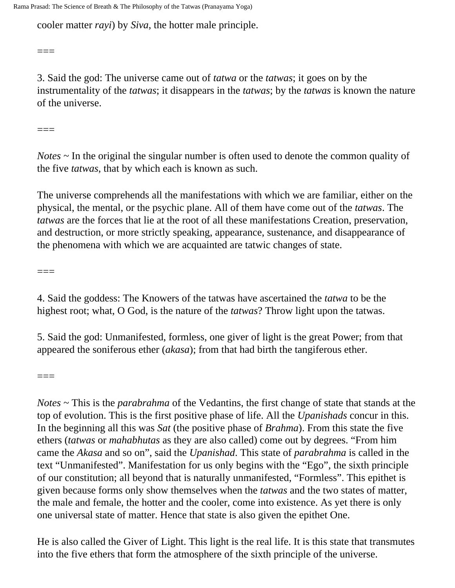Rama Prasad: The Science of Breath & The Philosophy of the Tatwas (Pranayama Yoga)

cooler matter *rayi*) by *Siva*, the hotter male principle.

 $=$ 

3. Said the god: The universe came out of *tatwa* or the *tatwas*; it goes on by the instrumentality of the *tatwas*; it disappears in the *tatwas*; by the *tatwas* is known the nature of the universe.

 $===$ 

*Notes ~* In the original the singular number is often used to denote the common quality of the five *tatwas*, that by which each is known as such.

The universe comprehends all the manifestations with which we are familiar, either on the physical, the mental, or the psychic plane. All of them have come out of the *tatwas*. The *tatwas* are the forces that lie at the root of all these manifestations Creation, preservation, and destruction, or more strictly speaking, appearance, sustenance, and disappearance of the phenomena with which we are acquainted are tatwic changes of state.

 $===$ 

4. Said the goddess: The Knowers of the tatwas have ascertained the *tatwa* to be the highest root; what, O God, is the nature of the *tatwas*? Throw light upon the tatwas.

5. Said the god: Unmanifested, formless, one giver of light is the great Power; from that appeared the soniferous ether (*akasa*); from that had birth the tangiferous ether.

 $---$ 

*Notes ~* This is the *parabrahma* of the Vedantins, the first change of state that stands at the top of evolution. This is the first positive phase of life. All the *Upanishads* concur in this. In the beginning all this was *Sat* (the positive phase of *Brahma*). From this state the five ethers (*tatwas* or *mahabhutas* as they are also called) come out by degrees. "From him came the *Akasa* and so on", said the *Upanishad*. This state of *parabrahma* is called in the text "Unmanifested". Manifestation for us only begins with the "Ego", the sixth principle of our constitution; all beyond that is naturally unmanifested, "Formless". This epithet is given because forms only show themselves when the *tatwas* and the two states of matter, the male and female, the hotter and the cooler, come into existence. As yet there is only one universal state of matter. Hence that state is also given the epithet One.

He is also called the Giver of Light. This light is the real life. It is this state that transmutes into the five ethers that form the atmosphere of the sixth principle of the universe.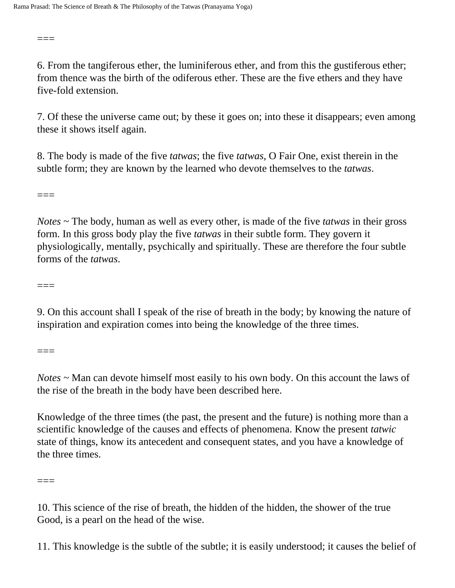===

6. From the tangiferous ether, the luminiferous ether, and from this the gustiferous ether; from thence was the birth of the odiferous ether. These are the five ethers and they have five-fold extension.

7. Of these the universe came out; by these it goes on; into these it disappears; even among these it shows itself again.

8. The body is made of the five *tatwas*; the five *tatwas*, O Fair One, exist therein in the subtle form; they are known by the learned who devote themselves to the *tatwas*.

 $===$ 

*Notes ~* The body, human as well as every other, is made of the five *tatwas* in their gross form. In this gross body play the five *tatwas* in their subtle form. They govern it physiologically, mentally, psychically and spiritually. These are therefore the four subtle forms of the *tatwas*.

 $==$ 

9. On this account shall I speak of the rise of breath in the body; by knowing the nature of inspiration and expiration comes into being the knowledge of the three times.

 $=$ 

*Notes ~* Man can devote himself most easily to his own body. On this account the laws of the rise of the breath in the body have been described here.

Knowledge of the three times (the past, the present and the future) is nothing more than a scientific knowledge of the causes and effects of phenomena. Know the present *tatwic* state of things, know its antecedent and consequent states, and you have a knowledge of the three times.

 $===$ 

10. This science of the rise of breath, the hidden of the hidden, the shower of the true Good, is a pearl on the head of the wise.

11. This knowledge is the subtle of the subtle; it is easily understood; it causes the belief of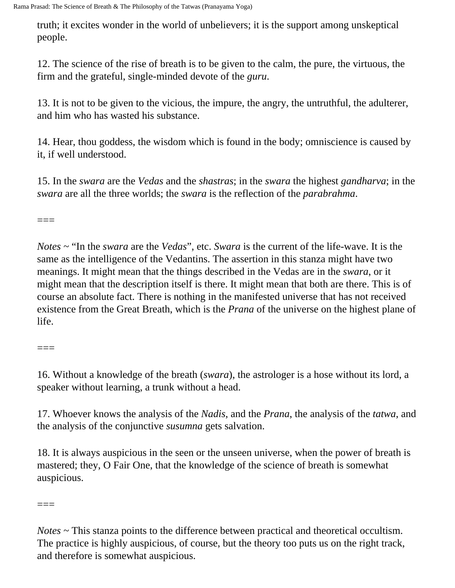truth; it excites wonder in the world of unbelievers; it is the support among unskeptical people.

12. The science of the rise of breath is to be given to the calm, the pure, the virtuous, the firm and the grateful, single-minded devote of the *guru*.

13. It is not to be given to the vicious, the impure, the angry, the untruthful, the adulterer, and him who has wasted his substance.

14. Hear, thou goddess, the wisdom which is found in the body; omniscience is caused by it, if well understood.

15. In the *swara* are the *Vedas* and the *shastras*; in the *swara* the highest *gandharva*; in the *swara* are all the three worlds; the *swara* is the reflection of the *parabrahma*.

 $==$ 

*Notes ~* "In the *swara* are the *Vedas*", etc. *Swara* is the current of the life-wave. It is the same as the intelligence of the Vedantins. The assertion in this stanza might have two meanings. It might mean that the things described in the Vedas are in the *swara*, or it might mean that the description itself is there. It might mean that both are there. This is of course an absolute fact. There is nothing in the manifested universe that has not received existence from the Great Breath, which is the *Prana* of the universe on the highest plane of life.

 $==$ 

16. Without a knowledge of the breath (*swara*), the astrologer is a hose without its lord, a speaker without learning, a trunk without a head.

17. Whoever knows the analysis of the *Nadis*, and the *Prana*, the analysis of the *tatwa*, and the analysis of the conjunctive *susumna* gets salvation.

18. It is always auspicious in the seen or the unseen universe, when the power of breath is mastered; they, O Fair One, that the knowledge of the science of breath is somewhat auspicious.

 $==$ 

*Notes* ~ This stanza points to the difference between practical and theoretical occultism. The practice is highly auspicious, of course, but the theory too puts us on the right track, and therefore is somewhat auspicious.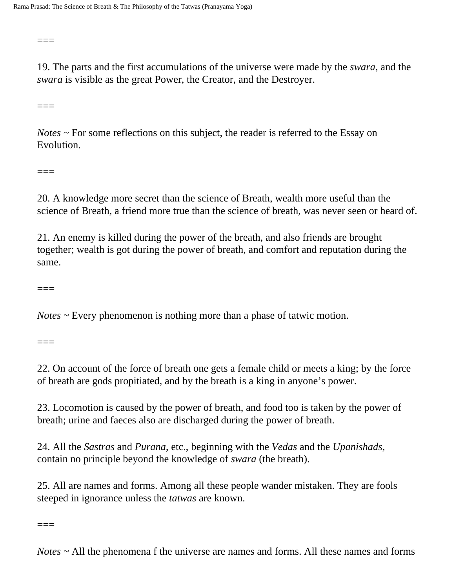$===$ 

19. The parts and the first accumulations of the universe were made by the *swara*, and the *swara* is visible as the great Power, the Creator, and the Destroyer.

 $==$ 

*Notes ~* For some reflections on this subject, the reader is referred to the Essay on Evolution.

 $=$ 

20. A knowledge more secret than the science of Breath, wealth more useful than the science of Breath, a friend more true than the science of breath, was never seen or heard of.

21. An enemy is killed during the power of the breath, and also friends are brought together; wealth is got during the power of breath, and comfort and reputation during the same.

 $=$ 

*Notes ~* Every phenomenon is nothing more than a phase of tatwic motion.

 $=$ 

22. On account of the force of breath one gets a female child or meets a king; by the force of breath are gods propitiated, and by the breath is a king in anyone's power.

23. Locomotion is caused by the power of breath, and food too is taken by the power of breath; urine and faeces also are discharged during the power of breath.

24. All the *Sastras* and *Purana*, etc., beginning with the *Vedas* and the *Upanishads*, contain no principle beyond the knowledge of *swara* (the breath).

25. All are names and forms. Among all these people wander mistaken. They are fools steeped in ignorance unless the *tatwas* are known.

 $===$ 

*Notes ~* All the phenomena f the universe are names and forms. All these names and forms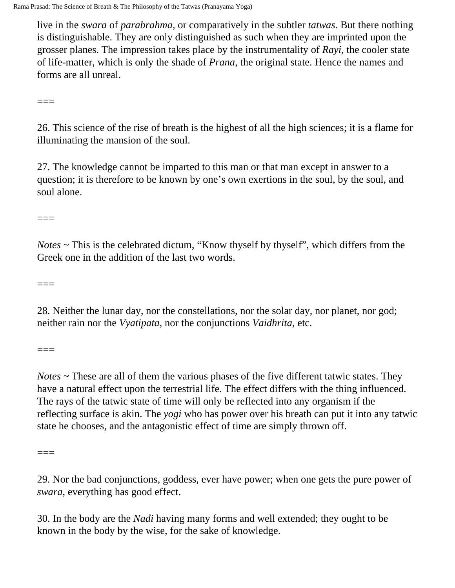Rama Prasad: The Science of Breath & The Philosophy of the Tatwas (Pranayama Yoga)

live in the *swara* of *parabrahma*, or comparatively in the subtler *tatwas*. But there nothing is distinguishable. They are only distinguished as such when they are imprinted upon the grosser planes. The impression takes place by the instrumentality of *Rayi*, the cooler state of life-matter, which is only the shade of *Prana*, the original state. Hence the names and forms are all unreal.

 $==$ 

26. This science of the rise of breath is the highest of all the high sciences; it is a flame for illuminating the mansion of the soul.

27. The knowledge cannot be imparted to this man or that man except in answer to a question; it is therefore to be known by one's own exertions in the soul, by the soul, and soul alone.

 $===$ 

*Notes* ~ This is the celebrated dictum, "Know thyself by thyself", which differs from the Greek one in the addition of the last two words.

 $===$ 

28. Neither the lunar day, nor the constellations, nor the solar day, nor planet, nor god; neither rain nor the *Vyatipata*, nor the conjunctions *Vaidhrita*, etc.

 $===$ 

*Notes ~* These are all of them the various phases of the five different tatwic states. They have a natural effect upon the terrestrial life. The effect differs with the thing influenced. The rays of the tatwic state of time will only be reflected into any organism if the reflecting surface is akin. The *yogi* who has power over his breath can put it into any tatwic state he chooses, and the antagonistic effect of time are simply thrown off.

 $==$ 

29. Nor the bad conjunctions, goddess, ever have power; when one gets the pure power of *swara*, everything has good effect.

30. In the body are the *Nadi* having many forms and well extended; they ought to be known in the body by the wise, for the sake of knowledge.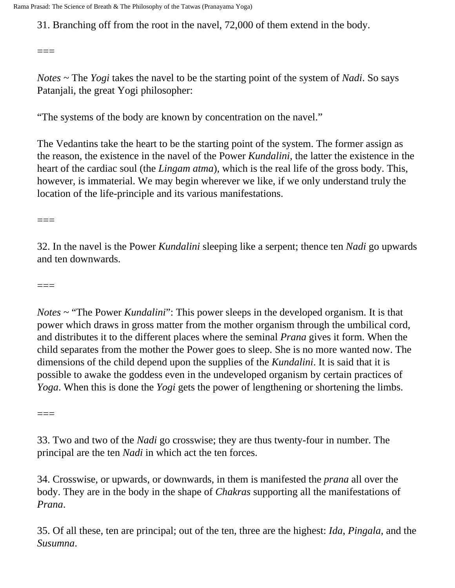Rama Prasad: The Science of Breath & The Philosophy of the Tatwas (Pranayama Yoga)

31. Branching off from the root in the navel, 72,000 of them extend in the body.

 $=$ 

*Notes ~* The *Yogi* takes the navel to be the starting point of the system of *Nadi*. So says Patanjali, the great Yogi philosopher:

"The systems of the body are known by concentration on the navel."

The Vedantins take the heart to be the starting point of the system. The former assign as the reason, the existence in the navel of the Power *Kundalini*, the latter the existence in the heart of the cardiac soul (the *Lingam atma*), which is the real life of the gross body. This, however, is immaterial. We may begin wherever we like, if we only understand truly the location of the life-principle and its various manifestations.

 $==$ 

 $==$ 

32. In the navel is the Power *Kundalini* sleeping like a serpent; thence ten *Nadi* go upwards and ten downwards.

*Notes ~* "The Power *Kundalini*": This power sleeps in the developed organism. It is that power which draws in gross matter from the mother organism through the umbilical cord, and distributes it to the different places where the seminal *Prana* gives it form. When the child separates from the mother the Power goes to sleep. She is no more wanted now. The dimensions of the child depend upon the supplies of the *Kundalini*. It is said that it is possible to awake the goddess even in the undeveloped organism by certain practices of *Yoga*. When this is done the *Yogi* gets the power of lengthening or shortening the limbs.

 $==$ 

33. Two and two of the *Nadi* go crosswise; they are thus twenty-four in number. The principal are the ten *Nadi* in which act the ten forces.

34. Crosswise, or upwards, or downwards, in them is manifested the *prana* all over the body. They are in the body in the shape of *Chakras* supporting all the manifestations of *Prana*.

35. Of all these, ten are principal; out of the ten, three are the highest: *Ida*, *Pingala*, and the *Susumna*.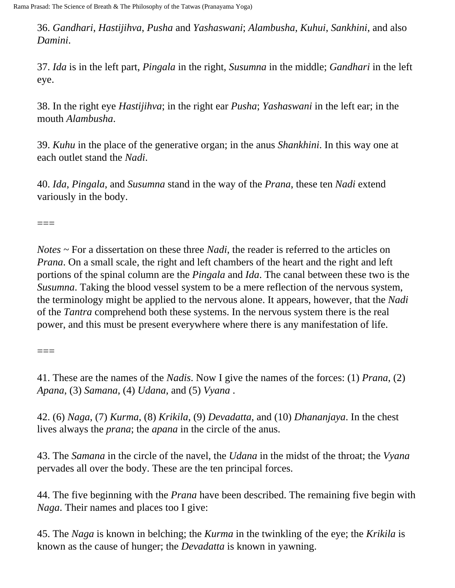36. *Gandhari*, *Hastijihva*, *Pusha* and *Yashaswani*; *Alambusha*, *Kuhui*, *Sankhini*, and also *Damini*.

37. *Ida* is in the left part, *Pingala* in the right, *Susumna* in the middle; *Gandhari* in the left eye.

38. In the right eye *Hastijihva*; in the right ear *Pusha*; *Yashaswani* in the left ear; in the mouth *Alambusha*.

39. *Kuhu* in the place of the generative organ; in the anus *Shankhini*. In this way one at each outlet stand the *Nadi*.

40. *Ida*, *Pingala*, and *Susumna* stand in the way of the *Prana*, these ten *Nadi* extend variously in the body.

 $==$ 

*Notes ~* For a dissertation on these three *Nadi*, the reader is referred to the articles on *Prana*. On a small scale, the right and left chambers of the heart and the right and left portions of the spinal column are the *Pingala* and *Ida*. The canal between these two is the *Susumna*. Taking the blood vessel system to be a mere reflection of the nervous system, the terminology might be applied to the nervous alone. It appears, however, that the *Nadi* of the *Tantra* comprehend both these systems. In the nervous system there is the real power, and this must be present everywhere where there is any manifestation of life.

 $=$ 

41. These are the names of the *Nadis*. Now I give the names of the forces: (1) *Prana*, (2) *Apana*, (3) *Samana*, (4) *Udana*, and (5) *Vyana* .

42. (6) *Naga*, (7) *Kurma*, (8) *Krikila*, (9) *Devadatta*, and (10) *Dhananjaya*. In the chest lives always the *prana*; the *apana* in the circle of the anus.

43. The *Samana* in the circle of the navel, the *Udana* in the midst of the throat; the *Vyana* pervades all over the body. These are the ten principal forces.

44. The five beginning with the *Prana* have been described. The remaining five begin with *Naga*. Their names and places too I give:

45. The *Naga* is known in belching; the *Kurma* in the twinkling of the eye; the *Krikila* is known as the cause of hunger; the *Devadatta* is known in yawning.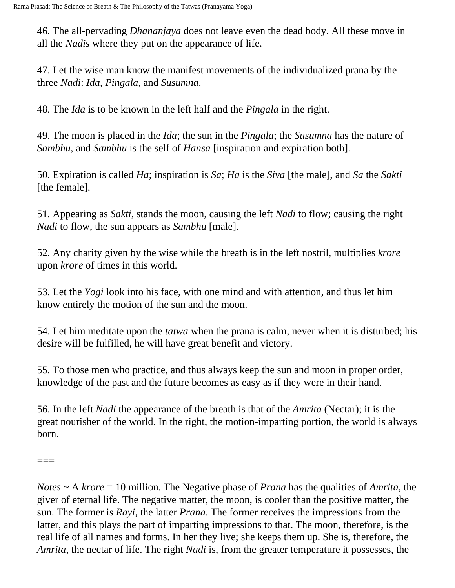46. The all-pervading *Dhananjaya* does not leave even the dead body. All these move in all the *Nadis* where they put on the appearance of life.

47. Let the wise man know the manifest movements of the individualized prana by the three *Nadi*: *Ida*, *Pingala*, and *Susumna*.

48. The *Ida* is to be known in the left half and the *Pingala* in the right.

49. The moon is placed in the *Ida*; the sun in the *Pingala*; the *Susumna* has the nature of *Sambhu*, and *Sambhu* is the self of *Hansa* [inspiration and expiration both].

50. Expiration is called *Ha*; inspiration is *Sa*; *Ha* is the *Siva* [the male], and *Sa* the *Sakti* [the female].

51. Appearing as *Sakti*, stands the moon, causing the left *Nadi* to flow; causing the right *Nadi* to flow, the sun appears as *Sambhu* [male].

52. Any charity given by the wise while the breath is in the left nostril, multiplies *krore* upon *krore* of times in this world.

53. Let the *Yogi* look into his face, with one mind and with attention, and thus let him know entirely the motion of the sun and the moon.

54. Let him meditate upon the *tatwa* when the prana is calm, never when it is disturbed; his desire will be fulfilled, he will have great benefit and victory.

55. To those men who practice, and thus always keep the sun and moon in proper order, knowledge of the past and the future becomes as easy as if they were in their hand.

56. In the left *Nadi* the appearance of the breath is that of the *Amrita* (Nectar); it is the great nourisher of the world. In the right, the motion-imparting portion, the world is always born.

 $=$ 

*Notes ~* A *krore* = 10 million. The Negative phase of *Prana* has the qualities of *Amrita*, the giver of eternal life. The negative matter, the moon, is cooler than the positive matter, the sun. The former is *Rayi*, the latter *Prana*. The former receives the impressions from the latter, and this plays the part of imparting impressions to that. The moon, therefore, is the real life of all names and forms. In her they live; she keeps them up. She is, therefore, the *Amrita*, the nectar of life. The right *Nadi* is, from the greater temperature it possesses, the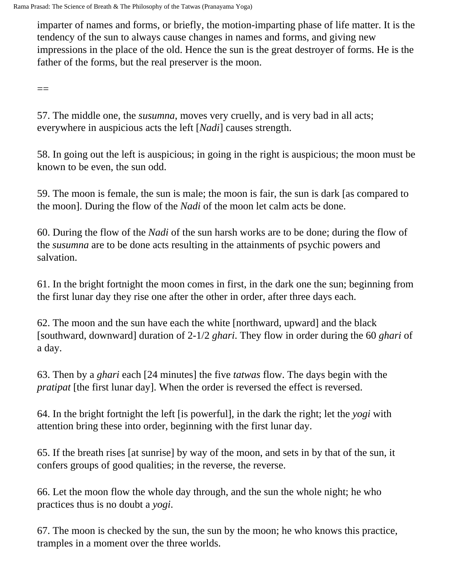imparter of names and forms, or briefly, the motion-imparting phase of life matter. It is the tendency of the sun to always cause changes in names and forms, and giving new impressions in the place of the old. Hence the sun is the great destroyer of forms. He is the father of the forms, but the real preserver is the moon.

 $==$ 

57. The middle one, the *susumna*, moves very cruelly, and is very bad in all acts; everywhere in auspicious acts the left [*Nadi*] causes strength.

58. In going out the left is auspicious; in going in the right is auspicious; the moon must be known to be even, the sun odd.

59. The moon is female, the sun is male; the moon is fair, the sun is dark [as compared to the moon]. During the flow of the *Nadi* of the moon let calm acts be done.

60. During the flow of the *Nadi* of the sun harsh works are to be done; during the flow of the *susumna* are to be done acts resulting in the attainments of psychic powers and salvation.

61. In the bright fortnight the moon comes in first, in the dark one the sun; beginning from the first lunar day they rise one after the other in order, after three days each.

62. The moon and the sun have each the white [northward, upward] and the black [southward, downward] duration of 2-1/2 *ghari*. They flow in order during the 60 *ghari* of a day.

63. Then by a *ghari* each [24 minutes] the five *tatwas* flow. The days begin with the *pratipat* [the first lunar day]. When the order is reversed the effect is reversed.

64. In the bright fortnight the left [is powerful], in the dark the right; let the *yogi* with attention bring these into order, beginning with the first lunar day.

65. If the breath rises [at sunrise] by way of the moon, and sets in by that of the sun, it confers groups of good qualities; in the reverse, the reverse.

66. Let the moon flow the whole day through, and the sun the whole night; he who practices thus is no doubt a *yogi*.

67. The moon is checked by the sun, the sun by the moon; he who knows this practice, tramples in a moment over the three worlds.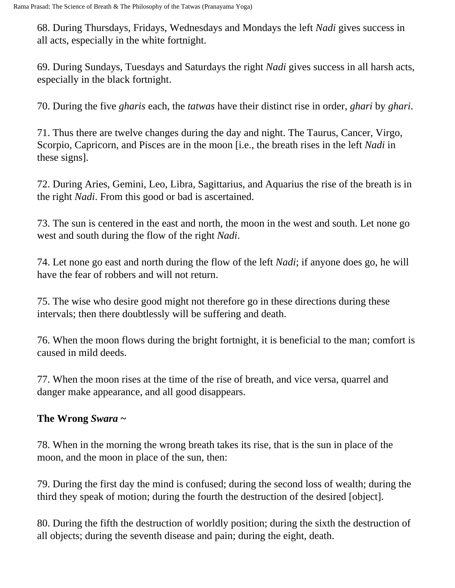68. During Thursdays, Fridays, Wednesdays and Mondays the left *Nadi* gives success in all acts, especially in the white fortnight.

69. During Sundays, Tuesdays and Saturdays the right *Nadi* gives success in all harsh acts, especially in the black fortnight.

70. During the five *gharis* each, the *tatwas* have their distinct rise in order, *ghari* by *ghari*.

71. Thus there are twelve changes during the day and night. The Taurus, Cancer, Virgo, Scorpio, Capricorn, and Pisces are in the moon [i.e., the breath rises in the left *Nadi* in these signs].

72. During Aries, Gemini, Leo, Libra, Sagittarius, and Aquarius the rise of the breath is in the right *Nadi*. From this good or bad is ascertained.

73. The sun is centered in the east and north, the moon in the west and south. Let none go west and south during the flow of the right *Nadi*.

74. Let none go east and north during the flow of the left *Nadi*; if anyone does go, he will have the fear of robbers and will not return.

75. The wise who desire good might not therefore go in these directions during these intervals; then there doubtlessly will be suffering and death.

76. When the moon flows during the bright fortnight, it is beneficial to the man; comfort is caused in mild deeds.

77. When the moon rises at the time of the rise of breath, and vice versa, quarrel and danger make appearance, and all good disappears.

### **The Wrong** *Swara* **~**

78. When in the morning the wrong breath takes its rise, that is the sun in place of the moon, and the moon in place of the sun, then:

79. During the first day the mind is confused; during the second loss of wealth; during the third they speak of motion; during the fourth the destruction of the desired [object].

80. During the fifth the destruction of worldly position; during the sixth the destruction of all objects; during the seventh disease and pain; during the eight, death.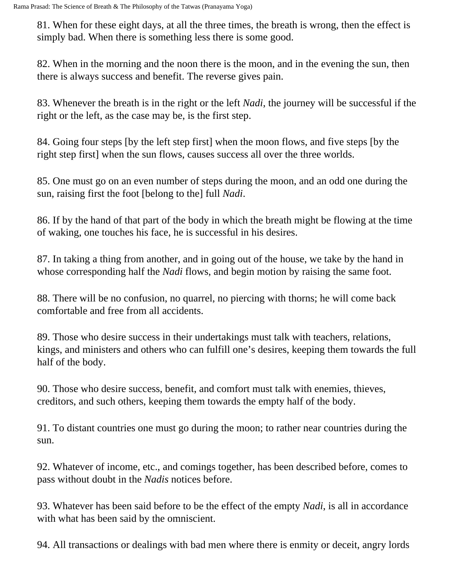81. When for these eight days, at all the three times, the breath is wrong, then the effect is simply bad. When there is something less there is some good.

82. When in the morning and the noon there is the moon, and in the evening the sun, then there is always success and benefit. The reverse gives pain.

83. Whenever the breath is in the right or the left *Nadi*, the journey will be successful if the right or the left, as the case may be, is the first step.

84. Going four steps [by the left step first] when the moon flows, and five steps [by the right step first] when the sun flows, causes success all over the three worlds.

85. One must go on an even number of steps during the moon, and an odd one during the sun, raising first the foot [belong to the] full *Nadi*.

86. If by the hand of that part of the body in which the breath might be flowing at the time of waking, one touches his face, he is successful in his desires.

87. In taking a thing from another, and in going out of the house, we take by the hand in whose corresponding half the *Nadi* flows, and begin motion by raising the same foot.

88. There will be no confusion, no quarrel, no piercing with thorns; he will come back comfortable and free from all accidents.

89. Those who desire success in their undertakings must talk with teachers, relations, kings, and ministers and others who can fulfill one's desires, keeping them towards the full half of the body.

90. Those who desire success, benefit, and comfort must talk with enemies, thieves, creditors, and such others, keeping them towards the empty half of the body.

91. To distant countries one must go during the moon; to rather near countries during the sun.

92. Whatever of income, etc., and comings together, has been described before, comes to pass without doubt in the *Nadis* notices before.

93. Whatever has been said before to be the effect of the empty *Nadi*, is all in accordance with what has been said by the omniscient.

94. All transactions or dealings with bad men where there is enmity or deceit, angry lords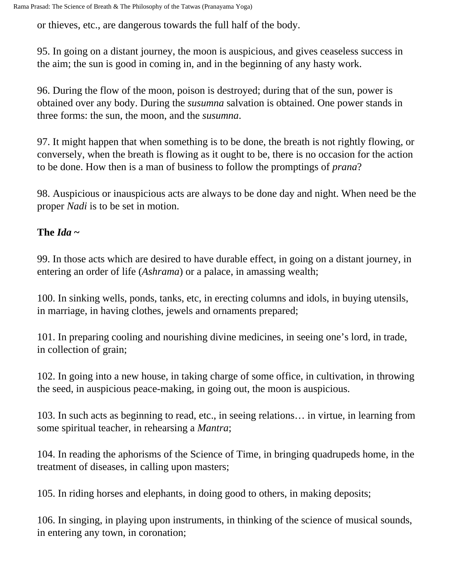or thieves, etc., are dangerous towards the full half of the body.

95. In going on a distant journey, the moon is auspicious, and gives ceaseless success in the aim; the sun is good in coming in, and in the beginning of any hasty work.

96. During the flow of the moon, poison is destroyed; during that of the sun, power is obtained over any body. During the *susumna* salvation is obtained. One power stands in three forms: the sun, the moon, and the *susumna*.

97. It might happen that when something is to be done, the breath is not rightly flowing, or conversely, when the breath is flowing as it ought to be, there is no occasion for the action to be done. How then is a man of business to follow the promptings of *prana*?

98. Auspicious or inauspicious acts are always to be done day and night. When need be the proper *Nadi* is to be set in motion.

### The  $Ida \sim$

99. In those acts which are desired to have durable effect, in going on a distant journey, in entering an order of life (*Ashrama*) or a palace, in amassing wealth;

100. In sinking wells, ponds, tanks, etc, in erecting columns and idols, in buying utensils, in marriage, in having clothes, jewels and ornaments prepared;

101. In preparing cooling and nourishing divine medicines, in seeing one's lord, in trade, in collection of grain;

102. In going into a new house, in taking charge of some office, in cultivation, in throwing the seed, in auspicious peace-making, in going out, the moon is auspicious.

103. In such acts as beginning to read, etc., in seeing relations… in virtue, in learning from some spiritual teacher, in rehearsing a *Mantra*;

104. In reading the aphorisms of the Science of Time, in bringing quadrupeds home, in the treatment of diseases, in calling upon masters;

105. In riding horses and elephants, in doing good to others, in making deposits;

106. In singing, in playing upon instruments, in thinking of the science of musical sounds, in entering any town, in coronation;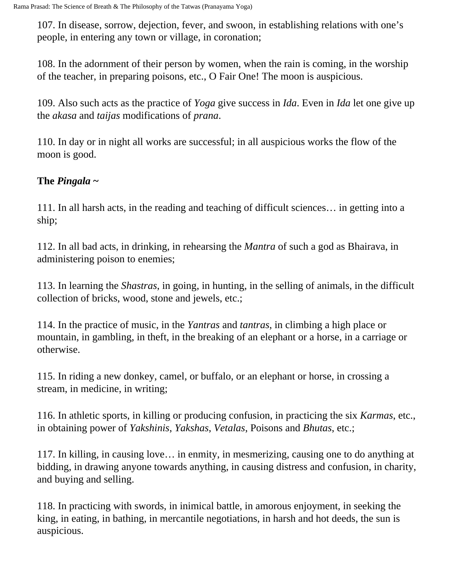107. In disease, sorrow, dejection, fever, and swoon, in establishing relations with one's people, in entering any town or village, in coronation;

108. In the adornment of their person by women, when the rain is coming, in the worship of the teacher, in preparing poisons, etc., O Fair One! The moon is auspicious.

109. Also such acts as the practice of *Yoga* give success in *Ida*. Even in *Ida* let one give up the *akasa* and *taijas* modifications of *prana*.

110. In day or in night all works are successful; in all auspicious works the flow of the moon is good.

### **The** *Pingala* **~**

111. In all harsh acts, in the reading and teaching of difficult sciences… in getting into a ship;

112. In all bad acts, in drinking, in rehearsing the *Mantra* of such a god as Bhairava, in administering poison to enemies;

113. In learning the *Shastras*, in going, in hunting, in the selling of animals, in the difficult collection of bricks, wood, stone and jewels, etc.;

114. In the practice of music, in the *Yantras* and *tantras*, in climbing a high place or mountain, in gambling, in theft, in the breaking of an elephant or a horse, in a carriage or otherwise.

115. In riding a new donkey, camel, or buffalo, or an elephant or horse, in crossing a stream, in medicine, in writing;

116. In athletic sports, in killing or producing confusion, in practicing the six *Karmas*, etc., in obtaining power of *Yakshinis*, *Yakshas*, *Vetalas*, Poisons and *Bhutas*, etc.;

117. In killing, in causing love… in enmity, in mesmerizing, causing one to do anything at bidding, in drawing anyone towards anything, in causing distress and confusion, in charity, and buying and selling.

118. In practicing with swords, in inimical battle, in amorous enjoyment, in seeking the king, in eating, in bathing, in mercantile negotiations, in harsh and hot deeds, the sun is auspicious.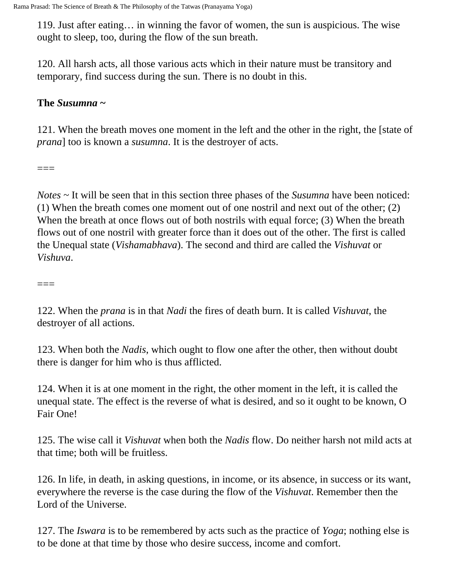119. Just after eating… in winning the favor of women, the sun is auspicious. The wise ought to sleep, too, during the flow of the sun breath.

120. All harsh acts, all those various acts which in their nature must be transitory and temporary, find success during the sun. There is no doubt in this.

#### **The** *Susumna* **~**

121. When the breath moves one moment in the left and the other in the right, the [state of *prana*] too is known a *susumna*. It is the destroyer of acts.

 $==$ 

*Notes ~* It will be seen that in this section three phases of the *Susumna* have been noticed: (1) When the breath comes one moment out of one nostril and next out of the other; (2) When the breath at once flows out of both nostrils with equal force; (3) When the breath flows out of one nostril with greater force than it does out of the other. The first is called the Unequal state (*Vishamabhava*). The second and third are called the *Vishuvat* or *Vishuva*.

 $===$ 

122. When the *prana* is in that *Nadi* the fires of death burn. It is called *Vishuvat*, the destroyer of all actions.

123. When both the *Nadis*, which ought to flow one after the other, then without doubt there is danger for him who is thus afflicted.

124. When it is at one moment in the right, the other moment in the left, it is called the unequal state. The effect is the reverse of what is desired, and so it ought to be known, O Fair One!

125. The wise call it *Vishuvat* when both the *Nadis* flow. Do neither harsh not mild acts at that time; both will be fruitless.

126. In life, in death, in asking questions, in income, or its absence, in success or its want, everywhere the reverse is the case during the flow of the *Vishuvat*. Remember then the Lord of the Universe.

127. The *Iswara* is to be remembered by acts such as the practice of *Yoga*; nothing else is to be done at that time by those who desire success, income and comfort.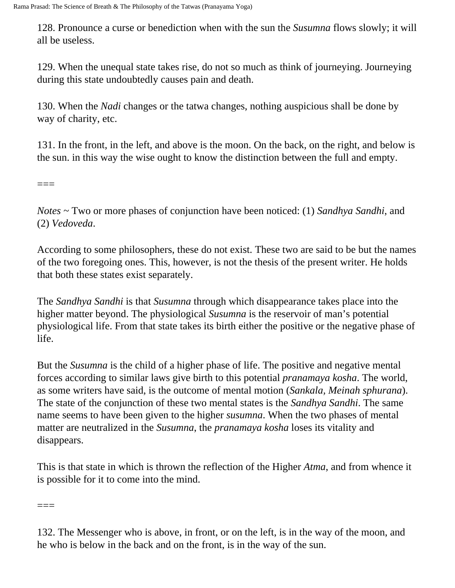128. Pronounce a curse or benediction when with the sun the *Susumna* flows slowly; it will all be useless.

129. When the unequal state takes rise, do not so much as think of journeying. Journeying during this state undoubtedly causes pain and death.

130. When the *Nadi* changes or the tatwa changes, nothing auspicious shall be done by way of charity, etc.

131. In the front, in the left, and above is the moon. On the back, on the right, and below is the sun. in this way the wise ought to know the distinction between the full and empty.

 $=$ 

*Notes ~* Two or more phases of conjunction have been noticed: (1) *Sandhya Sandhi*, and (2) *Vedoveda*.

According to some philosophers, these do not exist. These two are said to be but the names of the two foregoing ones. This, however, is not the thesis of the present writer. He holds that both these states exist separately.

The *Sandhya Sandhi* is that *Susumna* through which disappearance takes place into the higher matter beyond. The physiological *Susumna* is the reservoir of man's potential physiological life. From that state takes its birth either the positive or the negative phase of life.

But the *Susumna* is the child of a higher phase of life. The positive and negative mental forces according to similar laws give birth to this potential *pranamaya kosha*. The world, as some writers have said, is the outcome of mental motion (*Sankala, Meinah sphurana*). The state of the conjunction of these two mental states is the *Sandhya Sandhi*. The same name seems to have been given to the higher *susumna*. When the two phases of mental matter are neutralized in the *Susumna*, the *pranamaya kosha* loses its vitality and disappears.

This is that state in which is thrown the reflection of the Higher *Atma*, and from whence it is possible for it to come into the mind.

 $==$ 

132. The Messenger who is above, in front, or on the left, is in the way of the moon, and he who is below in the back and on the front, is in the way of the sun.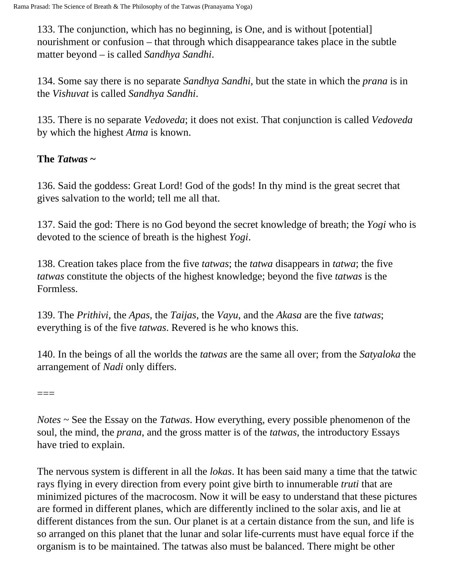133. The conjunction, which has no beginning, is One, and is without [potential] nourishment or confusion – that through which disappearance takes place in the subtle matter beyond – is called *Sandhya Sandhi*.

134. Some say there is no separate *Sandhya Sandhi*, but the state in which the *prana* is in the *Vishuvat* is called *Sandhya Sandhi*.

135. There is no separate *Vedoveda*; it does not exist. That conjunction is called *Vedoveda* by which the highest *Atma* is known.

# **The** *Tatwas* **~**

136. Said the goddess: Great Lord! God of the gods! In thy mind is the great secret that gives salvation to the world; tell me all that.

137. Said the god: There is no God beyond the secret knowledge of breath; the *Yogi* who is devoted to the science of breath is the highest *Yogi*.

138. Creation takes place from the five *tatwas*; the *tatwa* disappears in *tatwa*; the five *tatwas* constitute the objects of the highest knowledge; beyond the five *tatwas* is the Formless.

139. The *Prithivi*, the *Apas*, the *Taijas*, the *Vayu*, and the *Akasa* are the five *tatwas*; everything is of the five *tatwas*. Revered is he who knows this.

140. In the beings of all the worlds the *tatwas* are the same all over; from the *Satyaloka* the arrangement of *Nadi* only differs.

 $==$ 

*Notes ~* See the Essay on the *Tatwas*. How everything, every possible phenomenon of the soul, the mind, the *prana*, and the gross matter is of the *tatwas*, the introductory Essays have tried to explain.

The nervous system is different in all the *lokas*. It has been said many a time that the tatwic rays flying in every direction from every point give birth to innumerable *truti* that are minimized pictures of the macrocosm. Now it will be easy to understand that these pictures are formed in different planes, which are differently inclined to the solar axis, and lie at different distances from the sun. Our planet is at a certain distance from the sun, and life is so arranged on this planet that the lunar and solar life-currents must have equal force if the organism is to be maintained. The tatwas also must be balanced. There might be other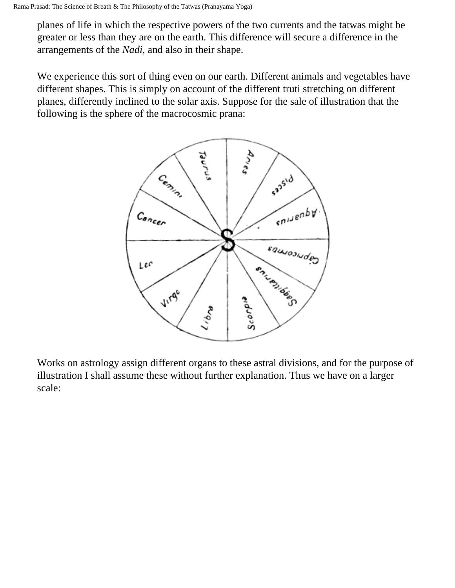planes of life in which the respective powers of the two currents and the tatwas might be greater or less than they are on the earth. This difference will secure a difference in the arrangements of the *Nadi*, and also in their shape.

We experience this sort of thing even on our earth. Different animals and vegetables have different shapes. This is simply on account of the different truti stretching on different planes, differently inclined to the solar axis. Suppose for the sale of illustration that the following is the sphere of the macrocosmic prana:



Works on astrology assign different organs to these astral divisions, and for the purpose of illustration I shall assume these without further explanation. Thus we have on a larger scale: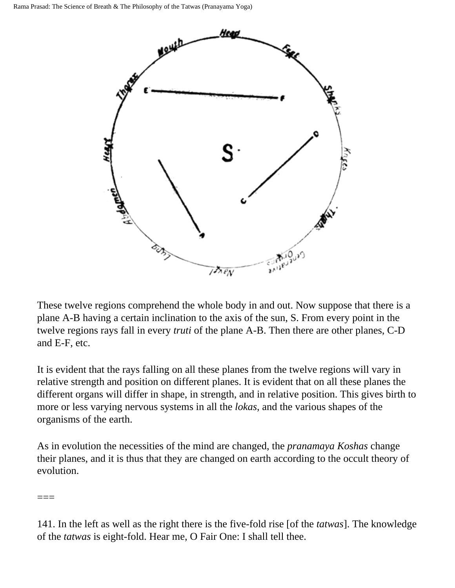

These twelve regions comprehend the whole body in and out. Now suppose that there is a plane A-B having a certain inclination to the axis of the sun, S. From every point in the twelve regions rays fall in every *truti* of the plane A-B. Then there are other planes, C-D and E-F, etc.

It is evident that the rays falling on all these planes from the twelve regions will vary in relative strength and position on different planes. It is evident that on all these planes the different organs will differ in shape, in strength, and in relative position. This gives birth to more or less varying nervous systems in all the *lokas*, and the various shapes of the organisms of the earth.

As in evolution the necessities of the mind are changed, the *pranamaya Koshas* change their planes, and it is thus that they are changed on earth according to the occult theory of evolution.

===

141. In the left as well as the right there is the five-fold rise [of the *tatwas*]. The knowledge of the *tatwas* is eight-fold. Hear me, O Fair One: I shall tell thee.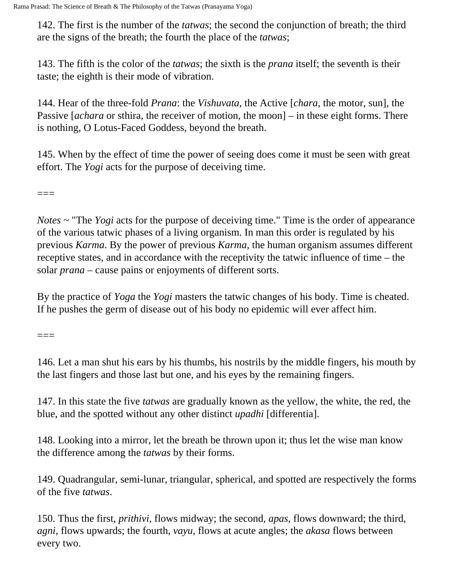142. The first is the number of the *tatwas*; the second the conjunction of breath; the third are the signs of the breath; the fourth the place of the *tatwas*;

143. The fifth is the color of the *tatwas*; the sixth is the *prana* itself; the seventh is their taste; the eighth is their mode of vibration.

144. Hear of the three-fold *Prana*: the *Vishuvata*, the Active [*chara*, the motor, sun], the Passive *[achara* or sthira, the receiver of motion, the moon] – in these eight forms. There is nothing, O Lotus-Faced Goddess, beyond the breath.

145. When by the effect of time the power of seeing does come it must be seen with great effort. The *Yogi* acts for the purpose of deceiving time.

*Notes ~* "The *Yogi* acts for the purpose of deceiving time." Time is the order of appearance of the various tatwic phases of a living organism. In man this order is regulated by his previous *Karma*. By the power of previous *Karma*, the human organism assumes different receptive states, and in accordance with the receptivity the tatwic influence of time – the solar *prana* – cause pains or enjoyments of different sorts.

By the practice of *Yoga* the *Yogi* masters the tatwic changes of his body. Time is cheated. If he pushes the germ of disease out of his body no epidemic will ever affect him.

 $===$ 

 $==$ 

146. Let a man shut his ears by his thumbs, his nostrils by the middle fingers, his mouth by the last fingers and those last but one, and his eyes by the remaining fingers.

147. In this state the five *tatwas* are gradually known as the yellow, the white, the red, the blue, and the spotted without any other distinct *upadhi* [differentia].

148. Looking into a mirror, let the breath be thrown upon it; thus let the wise man know the difference among the *tatwas* by their forms.

149. Quadrangular, semi-lunar, triangular, spherical, and spotted are respectively the forms of the five *tatwas*.

150. Thus the first, *prithivi*, flows midway; the second, *apas*, flows downward; the third, *agni*, flows upwards; the fourth, *vayu*, flows at acute angles; the *akasa* flows between every two.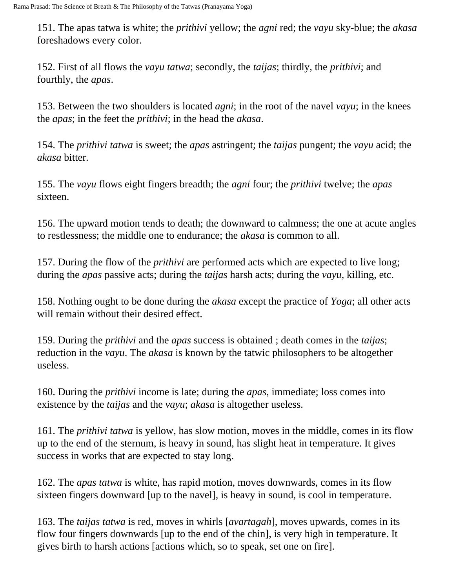151. The apas tatwa is white; the *prithivi* yellow; the *agni* red; the *vayu* sky-blue; the *akasa* foreshadows every color.

152. First of all flows the *vayu tatwa*; secondly, the *taijas*; thirdly, the *prithivi*; and fourthly, the *apas*.

153. Between the two shoulders is located *agni*; in the root of the navel *vayu*; in the knees the *apas*; in the feet the *prithivi*; in the head the *akasa*.

154. The *prithivi tatwa* is sweet; the *apas* astringent; the *taijas* pungent; the *vayu* acid; the *akasa* bitter.

155. The *vayu* flows eight fingers breadth; the *agni* four; the *prithivi* twelve; the *apas* sixteen.

156. The upward motion tends to death; the downward to calmness; the one at acute angles to restlessness; the middle one to endurance; the *akasa* is common to all.

157. During the flow of the *prithivi* are performed acts which are expected to live long; during the *apas* passive acts; during the *taijas* harsh acts; during the *vayu*, killing, etc.

158. Nothing ought to be done during the *akasa* except the practice of *Yoga*; all other acts will remain without their desired effect.

159. During the *prithivi* and the *apas* success is obtained ; death comes in the *taijas*; reduction in the *vayu*. The *akasa* is known by the tatwic philosophers to be altogether useless.

160. During the *prithivi* income is late; during the *apas*, immediate; loss comes into existence by the *taijas* and the *vayu*; *akasa* is altogether useless.

161. The *prithivi tatwa* is yellow, has slow motion, moves in the middle, comes in its flow up to the end of the sternum, is heavy in sound, has slight heat in temperature. It gives success in works that are expected to stay long.

162. The *apas tatwa* is white, has rapid motion, moves downwards, comes in its flow sixteen fingers downward [up to the navel], is heavy in sound, is cool in temperature.

163. The *taijas tatwa* is red, moves in whirls [*avartagah*], moves upwards, comes in its flow four fingers downwards [up to the end of the chin], is very high in temperature. It gives birth to harsh actions [actions which, so to speak, set one on fire].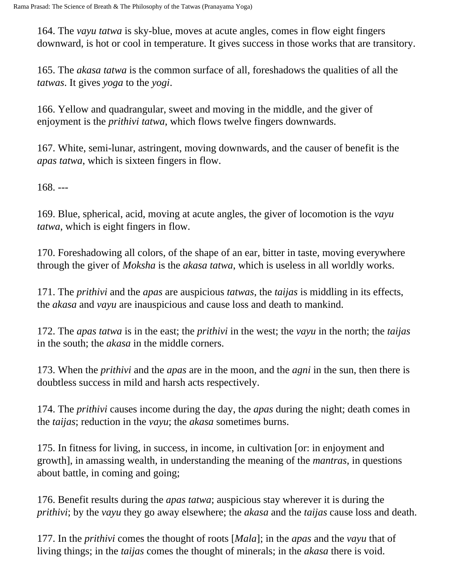164. The *vayu tatwa* is sky-blue, moves at acute angles, comes in flow eight fingers downward, is hot or cool in temperature. It gives success in those works that are transitory.

165. The *akasa tatwa* is the common surface of all, foreshadows the qualities of all the *tatwas*. It gives *yoga* to the *yogi*.

166. Yellow and quadrangular, sweet and moving in the middle, and the giver of enjoyment is the *prithivi tatwa*, which flows twelve fingers downwards.

167. White, semi-lunar, astringent, moving downwards, and the causer of benefit is the *apas tatwa*, which is sixteen fingers in flow.

168. ---

169. Blue, spherical, acid, moving at acute angles, the giver of locomotion is the *vayu tatwa*, which is eight fingers in flow.

170. Foreshadowing all colors, of the shape of an ear, bitter in taste, moving everywhere through the giver of *Moksha* is the *akasa tatwa*, which is useless in all worldly works.

171. The *prithivi* and the *apas* are auspicious *tatwas*, the *taijas* is middling in its effects, the *akasa* and *vayu* are inauspicious and cause loss and death to mankind.

172. The *apas tatwa* is in the east; the *prithivi* in the west; the *vayu* in the north; the *taijas* in the south; the *akasa* in the middle corners.

173. When the *prithivi* and the *apas* are in the moon, and the *agni* in the sun, then there is doubtless success in mild and harsh acts respectively.

174. The *prithivi* causes income during the day, the *apas* during the night; death comes in the *taijas*; reduction in the *vayu*; the *akasa* sometimes burns.

175. In fitness for living, in success, in income, in cultivation [or: in enjoyment and growth], in amassing wealth, in understanding the meaning of the *mantras*, in questions about battle, in coming and going;

176. Benefit results during the *apas tatwa*; auspicious stay wherever it is during the *prithivi*; by the *vayu* they go away elsewhere; the *akasa* and the *taijas* cause loss and death.

177. In the *prithivi* comes the thought of roots [*Mala*]; in the *apas* and the *vayu* that of living things; in the *taijas* comes the thought of minerals; in the *akasa* there is void.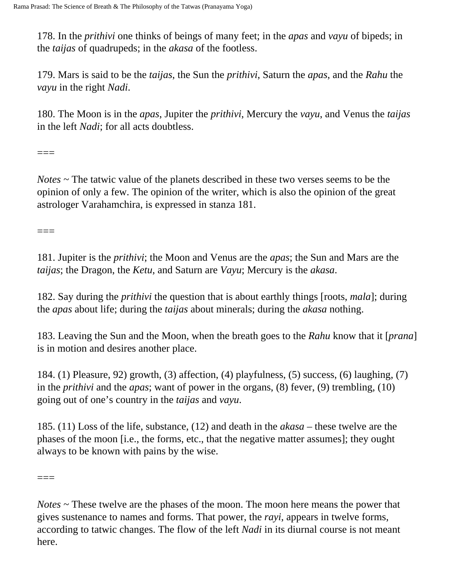178. In the *prithivi* one thinks of beings of many feet; in the *apas* and *vayu* of bipeds; in the *taijas* of quadrupeds; in the *akasa* of the footless.

179. Mars is said to be the *taijas*, the Sun the *prithivi*, Saturn the *apas*, and the *Rahu* the *vayu* in the right *Nadi*.

180. The Moon is in the *apas*, Jupiter the *prithivi*, Mercury the *vayu*, and Venus the *taijas* in the left *Nadi*; for all acts doubtless.

 $=$ 

*Notes ~* The tatwic value of the planets described in these two verses seems to be the opinion of only a few. The opinion of the writer, which is also the opinion of the great astrologer Varahamchira, is expressed in stanza 181.

 $==$ 

 $=$  $=$  $=$  $=$ 

181. Jupiter is the *prithivi*; the Moon and Venus are the *apas*; the Sun and Mars are the *taijas*; the Dragon, the *Ketu*, and Saturn are *Vayu*; Mercury is the *akasa*.

182. Say during the *prithivi* the question that is about earthly things [roots, *mala*]; during the *apas* about life; during the *taijas* about minerals; during the *akasa* nothing.

183. Leaving the Sun and the Moon, when the breath goes to the *Rahu* know that it [*prana*] is in motion and desires another place.

184. (1) Pleasure, 92) growth, (3) affection, (4) playfulness, (5) success, (6) laughing, (7) in the *prithivi* and the *apas*; want of power in the organs, (8) fever, (9) trembling, (10) going out of one's country in the *taijas* and *vayu*.

185. (11) Loss of the life, substance, (12) and death in the *akasa* – these twelve are the phases of the moon [i.e., the forms, etc., that the negative matter assumes]; they ought always to be known with pains by the wise.

*Notes ~* These twelve are the phases of the moon. The moon here means the power that gives sustenance to names and forms. That power, the *rayi*, appears in twelve forms, according to tatwic changes. The flow of the left *Nadi* in its diurnal course is not meant here.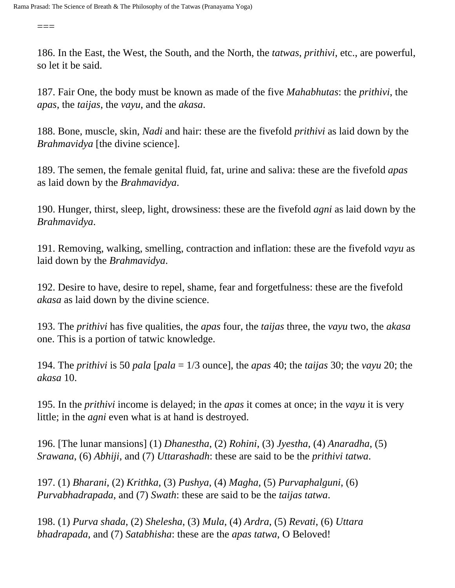$==$ 

186. In the East, the West, the South, and the North, the *tatwas*, *prithivi*, etc., are powerful, so let it be said.

187. Fair One, the body must be known as made of the five *Mahabhutas*: the *prithivi*, the *apas*, the *taijas*, the *vayu*, and the *akasa*.

188. Bone, muscle, skin, *Nadi* and hair: these are the fivefold *prithivi* as laid down by the *Brahmavidya* [the divine science].

189. The semen, the female genital fluid, fat, urine and saliva: these are the fivefold *apas* as laid down by the *Brahmavidya*.

190. Hunger, thirst, sleep, light, drowsiness: these are the fivefold *agni* as laid down by the *Brahmavidya*.

191. Removing, walking, smelling, contraction and inflation: these are the fivefold *vayu* as laid down by the *Brahmavidya*.

192. Desire to have, desire to repel, shame, fear and forgetfulness: these are the fivefold *akasa* as laid down by the divine science.

193. The *prithivi* has five qualities, the *apas* four, the *taijas* three, the *vayu* two, the *akasa* one. This is a portion of tatwic knowledge.

194. The *prithivi* is 50 *pala* [*pala* = 1/3 ounce], the *apas* 40; the *taijas* 30; the *vayu* 20; the *akasa* 10.

195. In the *prithivi* income is delayed; in the *apas* it comes at once; in the *vayu* it is very little; in the *agni* even what is at hand is destroyed.

196. [The lunar mansions] (1) *Dhanestha*, (2) *Rohini*, (3) *Jyestha*, (4) *Anaradha*, (5) *Srawana*, (6) *Abhiji*, and (7) *Uttarashadh*: these are said to be the *prithivi tatwa*.

197. (1) *Bharani*, (2) *Krithka*, (3) *Pushya*, (4) *Magha*, (5) *Purvaphalguni*, (6) *Purvabhadrapada*, and (7) *Swath*: these are said to be the *taijas tatwa*.

198. (1) *Purva shada*, (2) *Shelesha*, (3) *Mula*, (4) *Ardra*, (5) *Revati*, (6) *Uttara bhadrapada*, and (7) *Satabhisha*: these are the *apas tatwa*, O Beloved!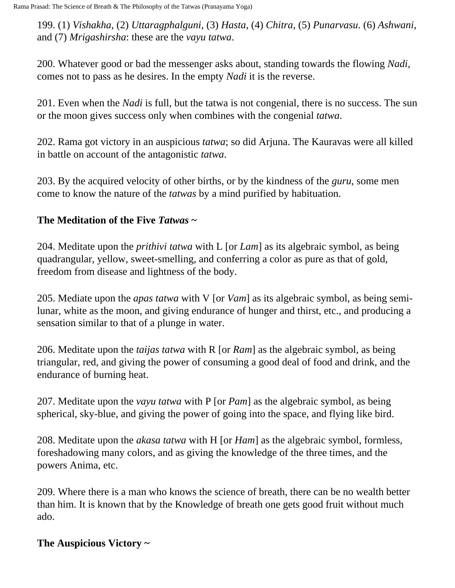199. (1) *Vishakha*, (2) *Uttaragphalguni*, (3) *Hasta*, (4) *Chitra*, (5) *Punarvasu*. (6) *Ashwani*, and (7) *Mrigashirsha*: these are the *vayu tatwa*.

200. Whatever good or bad the messenger asks about, standing towards the flowing *Nadi*, comes not to pass as he desires. In the empty *Nadi* it is the reverse.

201. Even when the *Nadi* is full, but the tatwa is not congenial, there is no success. The sun or the moon gives success only when combines with the congenial *tatwa*.

202. Rama got victory in an auspicious *tatwa*; so did Arjuna. The Kauravas were all killed in battle on account of the antagonistic *tatwa*.

203. By the acquired velocity of other births, or by the kindness of the *guru*, some men come to know the nature of the *tatwas* by a mind purified by habituation.

# **The Meditation of the Five** *Tatwas* **~**

204. Meditate upon the *prithivi tatwa* with L [or *Lam*] as its algebraic symbol, as being quadrangular, yellow, sweet-smelling, and conferring a color as pure as that of gold, freedom from disease and lightness of the body.

205. Mediate upon the *apas tatwa* with V [or *Vam*] as its algebraic symbol, as being semilunar, white as the moon, and giving endurance of hunger and thirst, etc., and producing a sensation similar to that of a plunge in water.

206. Meditate upon the *taijas tatwa* with R [or *Ram*] as the algebraic symbol, as being triangular, red, and giving the power of consuming a good deal of food and drink, and the endurance of burning heat.

207. Meditate upon the *vayu tatwa* with P [or *Pam*] as the algebraic symbol, as being spherical, sky-blue, and giving the power of going into the space, and flying like bird.

208. Meditate upon the *akasa tatwa* with H [or *Ham*] as the algebraic symbol, formless, foreshadowing many colors, and as giving the knowledge of the three times, and the powers Anima, etc.

209. Where there is a man who knows the science of breath, there can be no wealth better than him. It is known that by the Knowledge of breath one gets good fruit without much ado.

# **The Auspicious Victory ~**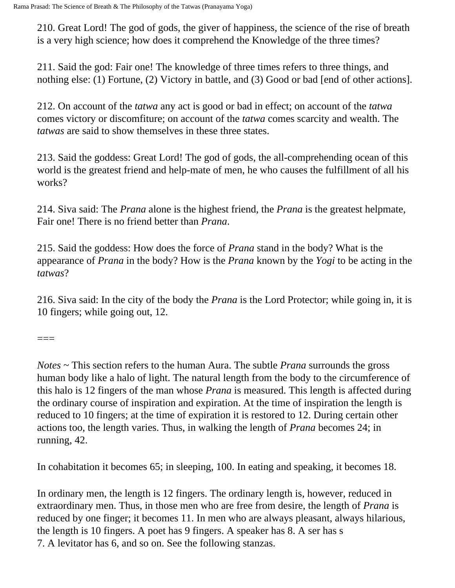210. Great Lord! The god of gods, the giver of happiness, the science of the rise of breath is a very high science; how does it comprehend the Knowledge of the three times?

211. Said the god: Fair one! The knowledge of three times refers to three things, and nothing else: (1) Fortune, (2) Victory in battle, and (3) Good or bad [end of other actions].

212. On account of the *tatwa* any act is good or bad in effect; on account of the *tatwa* comes victory or discomfiture; on account of the *tatwa* comes scarcity and wealth. The *tatwas* are said to show themselves in these three states.

213. Said the goddess: Great Lord! The god of gods, the all-comprehending ocean of this world is the greatest friend and help-mate of men, he who causes the fulfillment of all his works?

214. Siva said: The *Prana* alone is the highest friend, the *Prana* is the greatest helpmate, Fair one! There is no friend better than *Prana*.

215. Said the goddess: How does the force of *Prana* stand in the body? What is the appearance of *Prana* in the body? How is the *Prana* known by the *Yogi* to be acting in the *tatwas*?

216. Siva said: In the city of the body the *Prana* is the Lord Protector; while going in, it is 10 fingers; while going out, 12.

 $===$ 

*Notes ~* This section refers to the human Aura. The subtle *Prana* surrounds the gross human body like a halo of light. The natural length from the body to the circumference of this halo is 12 fingers of the man whose *Prana* is measured. This length is affected during the ordinary course of inspiration and expiration. At the time of inspiration the length is reduced to 10 fingers; at the time of expiration it is restored to 12. During certain other actions too, the length varies. Thus, in walking the length of *Prana* becomes 24; in running, 42.

In cohabitation it becomes 65; in sleeping, 100. In eating and speaking, it becomes 18.

In ordinary men, the length is 12 fingers. The ordinary length is, however, reduced in extraordinary men. Thus, in those men who are free from desire, the length of *Prana* is reduced by one finger; it becomes 11. In men who are always pleasant, always hilarious, the length is 10 fingers. A poet has 9 fingers. A speaker has 8. A ser has s 7. A levitator has 6, and so on. See the following stanzas.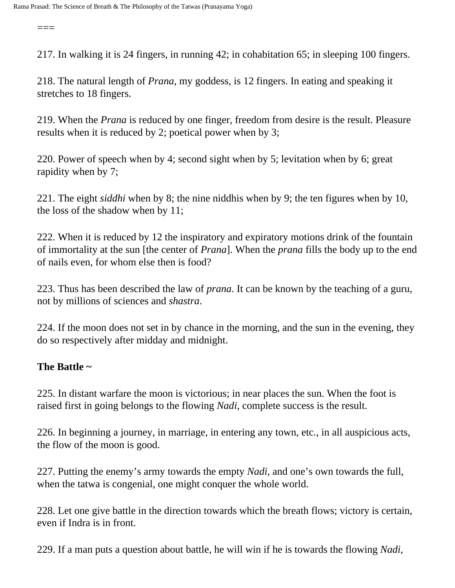$=$ 

217. In walking it is 24 fingers, in running 42; in cohabitation 65; in sleeping 100 fingers.

218. The natural length of *Prana*, my goddess, is 12 fingers. In eating and speaking it stretches to 18 fingers.

219. When the *Prana* is reduced by one finger, freedom from desire is the result. Pleasure results when it is reduced by 2; poetical power when by 3;

220. Power of speech when by 4; second sight when by 5; levitation when by 6; great rapidity when by 7;

221. The eight *siddhi* when by 8; the nine niddhis when by 9; the ten figures when by 10, the loss of the shadow when by 11;

222. When it is reduced by 12 the inspiratory and expiratory motions drink of the fountain of immortality at the sun [the center of *Prana*]. When the *prana* fills the body up to the end of nails even, for whom else then is food?

223. Thus has been described the law of *prana*. It can be known by the teaching of a guru, not by millions of sciences and *shastra*.

224. If the moon does not set in by chance in the morning, and the sun in the evening, they do so respectively after midday and midnight.

# **The Battle ~**

225. In distant warfare the moon is victorious; in near places the sun. When the foot is raised first in going belongs to the flowing *Nadi*, complete success is the result.

226. In beginning a journey, in marriage, in entering any town, etc., in all auspicious acts, the flow of the moon is good.

227. Putting the enemy's army towards the empty *Nadi*, and one's own towards the full, when the tatwa is congenial, one might conquer the whole world.

228. Let one give battle in the direction towards which the breath flows; victory is certain, even if Indra is in front.

229. If a man puts a question about battle, he will win if he is towards the flowing *Nadi*,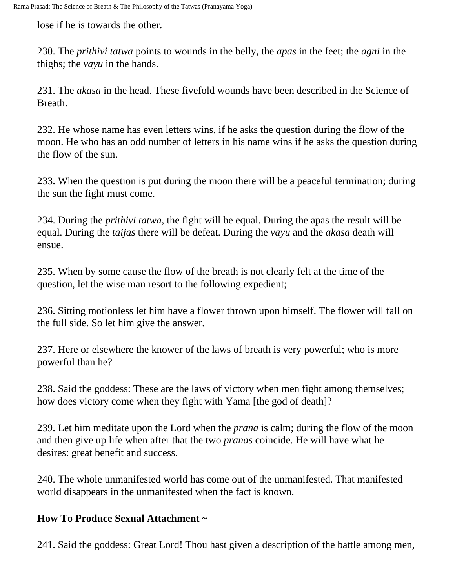lose if he is towards the other.

230. The *prithivi tatwa* points to wounds in the belly, the *apas* in the feet; the *agni* in the thighs; the *vayu* in the hands.

231. The *akasa* in the head. These fivefold wounds have been described in the Science of Breath.

232. He whose name has even letters wins, if he asks the question during the flow of the moon. He who has an odd number of letters in his name wins if he asks the question during the flow of the sun.

233. When the question is put during the moon there will be a peaceful termination; during the sun the fight must come.

234. During the *prithivi tatwa*, the fight will be equal. During the apas the result will be equal. During the *taijas* there will be defeat. During the *vayu* and the *akasa* death will ensue.

235. When by some cause the flow of the breath is not clearly felt at the time of the question, let the wise man resort to the following expedient;

236. Sitting motionless let him have a flower thrown upon himself. The flower will fall on the full side. So let him give the answer.

237. Here or elsewhere the knower of the laws of breath is very powerful; who is more powerful than he?

238. Said the goddess: These are the laws of victory when men fight among themselves; how does victory come when they fight with Yama [the god of death]?

239. Let him meditate upon the Lord when the *prana* is calm; during the flow of the moon and then give up life when after that the two *pranas* coincide. He will have what he desires: great benefit and success.

240. The whole unmanifested world has come out of the unmanifested. That manifested world disappears in the unmanifested when the fact is known.

# **How To Produce Sexual Attachment ~**

241. Said the goddess: Great Lord! Thou hast given a description of the battle among men,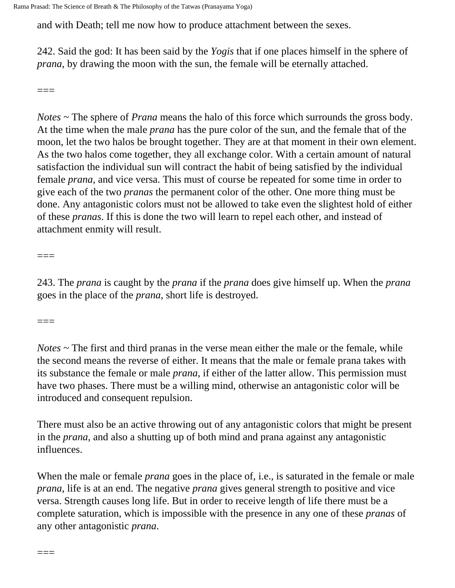Rama Prasad: The Science of Breath & The Philosophy of the Tatwas (Pranayama Yoga)

and with Death; tell me now how to produce attachment between the sexes.

242. Said the god: It has been said by the *Yogis* that if one places himself in the sphere of *prana*, by drawing the moon with the sun, the female will be eternally attached.

 $===$ 

*Notes ~* The sphere of *Prana* means the halo of this force which surrounds the gross body. At the time when the male *prana* has the pure color of the sun, and the female that of the moon, let the two halos be brought together. They are at that moment in their own element. As the two halos come together, they all exchange color. With a certain amount of natural satisfaction the individual sun will contract the habit of being satisfied by the individual female *prana*, and vice versa. This must of course be repeated for some time in order to give each of the two *pranas* the permanent color of the other. One more thing must be done. Any antagonistic colors must not be allowed to take even the slightest hold of either of these *pranas*. If this is done the two will learn to repel each other, and instead of attachment enmity will result.

 $==$ 

243. The *prana* is caught by the *prana* if the *prana* does give himself up. When the *prana* goes in the place of the *prana*, short life is destroyed.

 $=$ 

 $=$  $=$  $=$  $=$ 

*Notes ~* The first and third pranas in the verse mean either the male or the female, while the second means the reverse of either. It means that the male or female prana takes with its substance the female or male *prana*, if either of the latter allow. This permission must have two phases. There must be a willing mind, otherwise an antagonistic color will be introduced and consequent repulsion.

There must also be an active throwing out of any antagonistic colors that might be present in the *prana*, and also a shutting up of both mind and prana against any antagonistic influences.

When the male or female *prana* goes in the place of, i.e., is saturated in the female or male *prana*, life is at an end. The negative *prana* gives general strength to positive and vice versa. Strength causes long life. But in order to receive length of life there must be a complete saturation, which is impossible with the presence in any one of these *pranas* of any other antagonistic *prana*.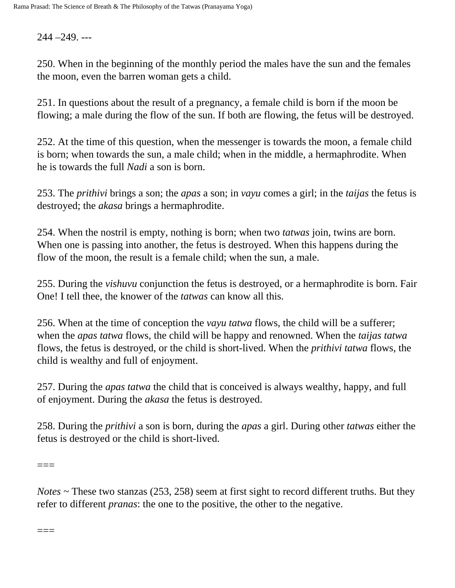244 –249. ---

250. When in the beginning of the monthly period the males have the sun and the females the moon, even the barren woman gets a child.

251. In questions about the result of a pregnancy, a female child is born if the moon be flowing; a male during the flow of the sun. If both are flowing, the fetus will be destroyed.

252. At the time of this question, when the messenger is towards the moon, a female child is born; when towards the sun, a male child; when in the middle, a hermaphrodite. When he is towards the full *Nadi* a son is born.

253. The *prithivi* brings a son; the *apas* a son; in *vayu* comes a girl; in the *taijas* the fetus is destroyed; the *akasa* brings a hermaphrodite.

254. When the nostril is empty, nothing is born; when two *tatwas* join, twins are born. When one is passing into another, the fetus is destroyed. When this happens during the flow of the moon, the result is a female child; when the sun, a male.

255. During the *vishuvu* conjunction the fetus is destroyed, or a hermaphrodite is born. Fair One! I tell thee, the knower of the *tatwas* can know all this.

256. When at the time of conception the *vayu tatwa* flows, the child will be a sufferer; when the *apas tatwa* flows, the child will be happy and renowned. When the *taijas tatwa* flows, the fetus is destroyed, or the child is short-lived. When the *prithivi tatwa* flows, the child is wealthy and full of enjoyment.

257. During the *apas tatwa* the child that is conceived is always wealthy, happy, and full of enjoyment. During the *akasa* the fetus is destroyed.

258. During the *prithivi* a son is born, during the *apas* a girl. During other *tatwas* either the fetus is destroyed or the child is short-lived.

 $=$ 

 $===$ 

*Notes ~* These two stanzas (253, 258) seem at first sight to record different truths. But they refer to different *pranas*: the one to the positive, the other to the negative.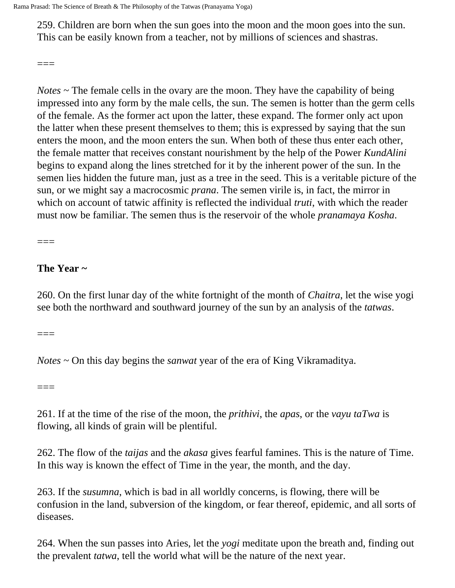Rama Prasad: The Science of Breath & The Philosophy of the Tatwas (Pranayama Yoga)

259. Children are born when the sun goes into the moon and the moon goes into the sun. This can be easily known from a teacher, not by millions of sciences and shastras.

 $==$ 

*Notes* ~ The female cells in the ovary are the moon. They have the capability of being impressed into any form by the male cells, the sun. The semen is hotter than the germ cells of the female. As the former act upon the latter, these expand. The former only act upon the latter when these present themselves to them; this is expressed by saying that the sun enters the moon, and the moon enters the sun. When both of these thus enter each other, the female matter that receives constant nourishment by the help of the Power *KundAlini* begins to expand along the lines stretched for it by the inherent power of the sun. In the semen lies hidden the future man, just as a tree in the seed. This is a veritable picture of the sun, or we might say a macrocosmic *prana*. The semen virile is, in fact, the mirror in which on account of tatwic affinity is reflected the individual *truti*, with which the reader must now be familiar. The semen thus is the reservoir of the whole *pranamaya Kosha*.

 $===$ 

### **The Year ~**

260. On the first lunar day of the white fortnight of the month of *Chaitra*, let the wise yogi see both the northward and southward journey of the sun by an analysis of the *tatwas*.

 $===$ 

*Notes ~* On this day begins the *sanwat* year of the era of King Vikramaditya.

 $=$ 

261. If at the time of the rise of the moon, the *prithivi*, the *apas*, or the *vayu taTwa* is flowing, all kinds of grain will be plentiful.

262. The flow of the *taijas* and the *akasa* gives fearful famines. This is the nature of Time. In this way is known the effect of Time in the year, the month, and the day.

263. If the *susumna*, which is bad in all worldly concerns, is flowing, there will be confusion in the land, subversion of the kingdom, or fear thereof, epidemic, and all sorts of diseases.

264. When the sun passes into Aries, let the *yogi* meditate upon the breath and, finding out the prevalent *tatwa*, tell the world what will be the nature of the next year.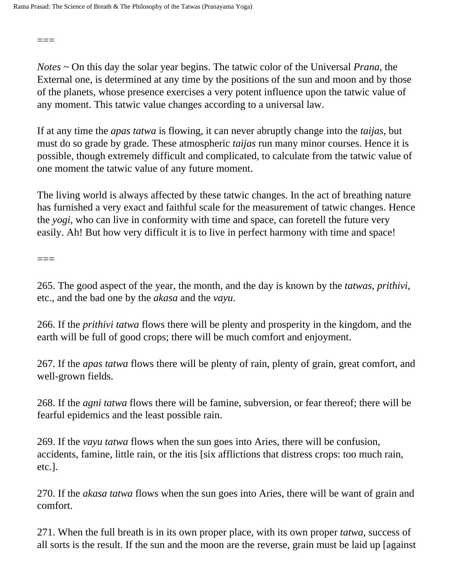$===$ 

*Notes ~* On this day the solar year begins. The tatwic color of the Universal *Prana*, the External one, is determined at any time by the positions of the sun and moon and by those of the planets, whose presence exercises a very potent influence upon the tatwic value of any moment. This tatwic value changes according to a universal law.

If at any time the *apas tatwa* is flowing, it can never abruptly change into the *taijas*, but must do so grade by grade. These atmospheric *taijas* run many minor courses. Hence it is possible, though extremely difficult and complicated, to calculate from the tatwic value of one moment the tatwic value of any future moment.

The living world is always affected by these tatwic changes. In the act of breathing nature has furnished a very exact and faithful scale for the measurement of tatwic changes. Hence the *yogi*, who can live in conformity with time and space, can foretell the future very easily. Ah! But how very difficult it is to live in perfect harmony with time and space!

 $---$ 

265. The good aspect of the year, the month, and the day is known by the *tatwas*, *prithivi*, etc., and the bad one by the *akasa* and the *vayu*.

266. If the *prithivi tatwa* flows there will be plenty and prosperity in the kingdom, and the earth will be full of good crops; there will be much comfort and enjoyment.

267. If the *apas tatwa* flows there will be plenty of rain, plenty of grain, great comfort, and well-grown fields.

268. If the *agni tatwa* flows there will be famine, subversion, or fear thereof; there will be fearful epidemics and the least possible rain.

269. If the *vayu tatwa* flows when the sun goes into Aries, there will be confusion, accidents, famine, little rain, or the itis [six afflictions that distress crops: too much rain, etc.].

270. If the *akasa tatwa* flows when the sun goes into Aries, there will be want of grain and comfort.

271. When the full breath is in its own proper place, with its own proper *tatwa*, success of all sorts is the result. If the sun and the moon are the reverse, grain must be laid up [against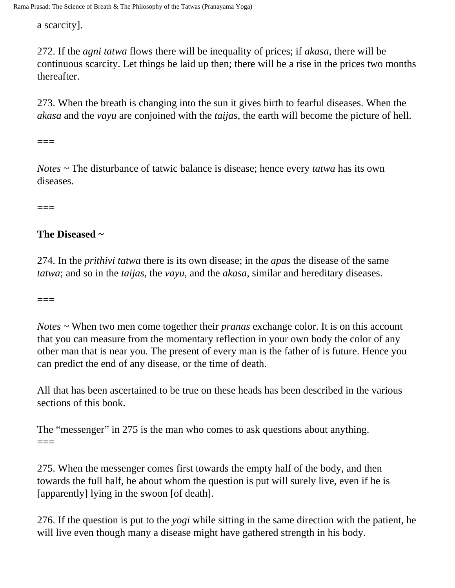a scarcity].

272. If the *agni tatwa* flows there will be inequality of prices; if *akasa*, there will be continuous scarcity. Let things be laid up then; there will be a rise in the prices two months thereafter.

273. When the breath is changing into the sun it gives birth to fearful diseases. When the *akasa* and the *vayu* are conjoined with the *taijas*, the earth will become the picture of hell.

 $==$ 

*Notes ~* The disturbance of tatwic balance is disease; hence every *tatwa* has its own diseases.

 $==$ 

### **The Diseased ~**

274. In the *prithivi tatwa* there is its own disease; in the *apas* the disease of the same *tatwa*; and so in the *taijas*, the *vayu*, and the *akasa*, similar and hereditary diseases.

 $===$ 

*Notes ~* When two men come together their *pranas* exchange color. It is on this account that you can measure from the momentary reflection in your own body the color of any other man that is near you. The present of every man is the father of is future. Hence you can predict the end of any disease, or the time of death.

All that has been ascertained to be true on these heads has been described in the various sections of this book.

The "messenger" in 275 is the man who comes to ask questions about anything.  $==$ 

275. When the messenger comes first towards the empty half of the body, and then towards the full half, he about whom the question is put will surely live, even if he is [apparently] lying in the swoon [of death].

276. If the question is put to the *yogi* while sitting in the same direction with the patient, he will live even though many a disease might have gathered strength in his body.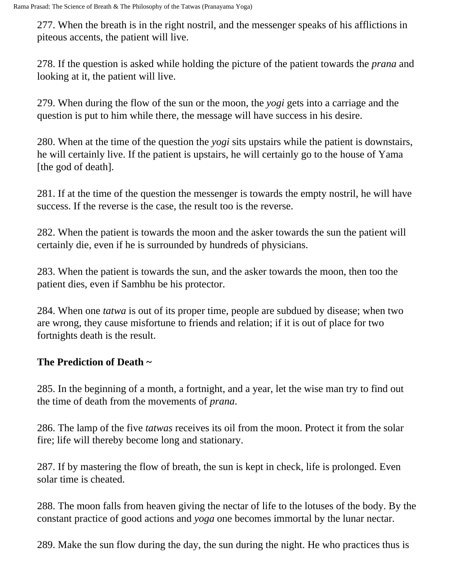277. When the breath is in the right nostril, and the messenger speaks of his afflictions in piteous accents, the patient will live.

278. If the question is asked while holding the picture of the patient towards the *prana* and looking at it, the patient will live.

279. When during the flow of the sun or the moon, the *yogi* gets into a carriage and the question is put to him while there, the message will have success in his desire.

280. When at the time of the question the *yogi* sits upstairs while the patient is downstairs, he will certainly live. If the patient is upstairs, he will certainly go to the house of Yama [the god of death].

281. If at the time of the question the messenger is towards the empty nostril, he will have success. If the reverse is the case, the result too is the reverse.

282. When the patient is towards the moon and the asker towards the sun the patient will certainly die, even if he is surrounded by hundreds of physicians.

283. When the patient is towards the sun, and the asker towards the moon, then too the patient dies, even if Sambhu be his protector.

284. When one *tatwa* is out of its proper time, people are subdued by disease; when two are wrong, they cause misfortune to friends and relation; if it is out of place for two fortnights death is the result.

### **The Prediction of Death ~**

285. In the beginning of a month, a fortnight, and a year, let the wise man try to find out the time of death from the movements of *prana*.

286. The lamp of the five *tatwas* receives its oil from the moon. Protect it from the solar fire; life will thereby become long and stationary.

287. If by mastering the flow of breath, the sun is kept in check, life is prolonged. Even solar time is cheated.

288. The moon falls from heaven giving the nectar of life to the lotuses of the body. By the constant practice of good actions and *yoga* one becomes immortal by the lunar nectar.

289. Make the sun flow during the day, the sun during the night. He who practices thus is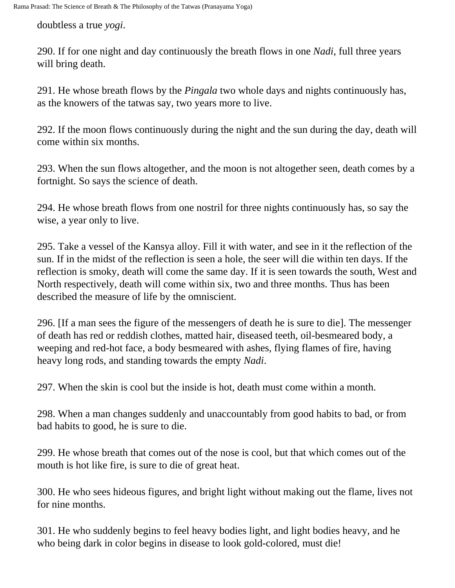doubtless a true *yogi*.

290. If for one night and day continuously the breath flows in one *Nadi*, full three years will bring death.

291. He whose breath flows by the *Pingala* two whole days and nights continuously has, as the knowers of the tatwas say, two years more to live.

292. If the moon flows continuously during the night and the sun during the day, death will come within six months.

293. When the sun flows altogether, and the moon is not altogether seen, death comes by a fortnight. So says the science of death.

294. He whose breath flows from one nostril for three nights continuously has, so say the wise, a year only to live.

295. Take a vessel of the Kansya alloy. Fill it with water, and see in it the reflection of the sun. If in the midst of the reflection is seen a hole, the seer will die within ten days. If the reflection is smoky, death will come the same day. If it is seen towards the south, West and North respectively, death will come within six, two and three months. Thus has been described the measure of life by the omniscient.

296. [If a man sees the figure of the messengers of death he is sure to die]. The messenger of death has red or reddish clothes, matted hair, diseased teeth, oil-besmeared body, a weeping and red-hot face, a body besmeared with ashes, flying flames of fire, having heavy long rods, and standing towards the empty *Nadi*.

297. When the skin is cool but the inside is hot, death must come within a month.

298. When a man changes suddenly and unaccountably from good habits to bad, or from bad habits to good, he is sure to die.

299. He whose breath that comes out of the nose is cool, but that which comes out of the mouth is hot like fire, is sure to die of great heat.

300. He who sees hideous figures, and bright light without making out the flame, lives not for nine months.

301. He who suddenly begins to feel heavy bodies light, and light bodies heavy, and he who being dark in color begins in disease to look gold-colored, must die!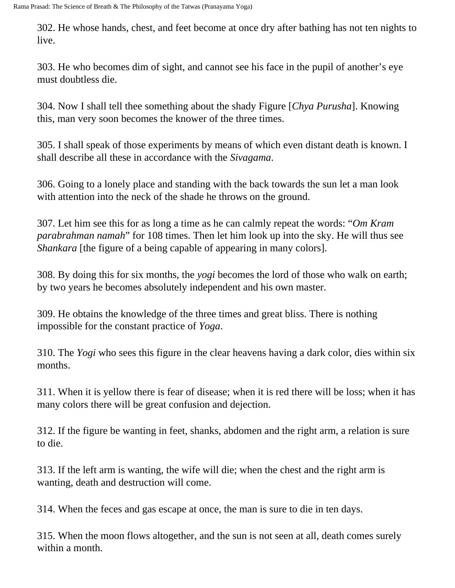302. He whose hands, chest, and feet become at once dry after bathing has not ten nights to live.

303. He who becomes dim of sight, and cannot see his face in the pupil of another's eye must doubtless die.

304. Now I shall tell thee something about the shady Figure [*Chya Purusha*]. Knowing this, man very soon becomes the knower of the three times.

305. I shall speak of those experiments by means of which even distant death is known. I shall describe all these in accordance with the *Sivagama*.

306. Going to a lonely place and standing with the back towards the sun let a man look with attention into the neck of the shade he throws on the ground.

307. Let him see this for as long a time as he can calmly repeat the words: "*Om Kram parabrahman namah*" for 108 times. Then let him look up into the sky. He will thus see *Shankara* [the figure of a being capable of appearing in many colors].

308. By doing this for six months, the *yogi* becomes the lord of those who walk on earth; by two years he becomes absolutely independent and his own master.

309. He obtains the knowledge of the three times and great bliss. There is nothing impossible for the constant practice of *Yoga*.

310. The *Yogi* who sees this figure in the clear heavens having a dark color, dies within six months.

311. When it is yellow there is fear of disease; when it is red there will be loss; when it has many colors there will be great confusion and dejection.

312. If the figure be wanting in feet, shanks, abdomen and the right arm, a relation is sure to die.

313. If the left arm is wanting, the wife will die; when the chest and the right arm is wanting, death and destruction will come.

314. When the feces and gas escape at once, the man is sure to die in ten days.

315. When the moon flows altogether, and the sun is not seen at all, death comes surely within a month.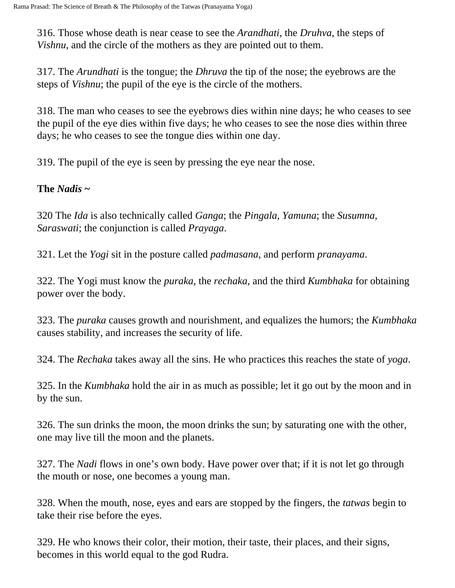316. Those whose death is near cease to see the *Arandhati*, the *Druhva*, the steps of *Vishnu*, and the circle of the mothers as they are pointed out to them.

317. The *Arundhati* is the tongue; the *Dhruva* the tip of the nose; the eyebrows are the steps of *Vishnu*; the pupil of the eye is the circle of the mothers.

318. The man who ceases to see the eyebrows dies within nine days; he who ceases to see the pupil of the eye dies within five days; he who ceases to see the nose dies within three days; he who ceases to see the tongue dies within one day.

319. The pupil of the eye is seen by pressing the eye near the nose.

## **The** *Nadis*  $\sim$

320 The *Ida* is also technically called *Ganga*; the *Pingala*, *Yamuna*; the *Susumna, Saraswati*; the conjunction is called *Prayaga*.

321. Let the *Yogi* sit in the posture called *padmasana*, and perform *pranayama*.

322. The Yogi must know the *puraka*, the *rechaka*, and the third *Kumbhaka* for obtaining power over the body.

323. The *puraka* causes growth and nourishment, and equalizes the humors; the *Kumbhaka* causes stability, and increases the security of life.

324. The *Rechaka* takes away all the sins. He who practices this reaches the state of *yoga*.

325. In the *Kumbhaka* hold the air in as much as possible; let it go out by the moon and in by the sun.

326. The sun drinks the moon, the moon drinks the sun; by saturating one with the other, one may live till the moon and the planets.

327. The *Nadi* flows in one's own body. Have power over that; if it is not let go through the mouth or nose, one becomes a young man.

328. When the mouth, nose, eyes and ears are stopped by the fingers, the *tatwas* begin to take their rise before the eyes.

329. He who knows their color, their motion, their taste, their places, and their signs, becomes in this world equal to the god Rudra.